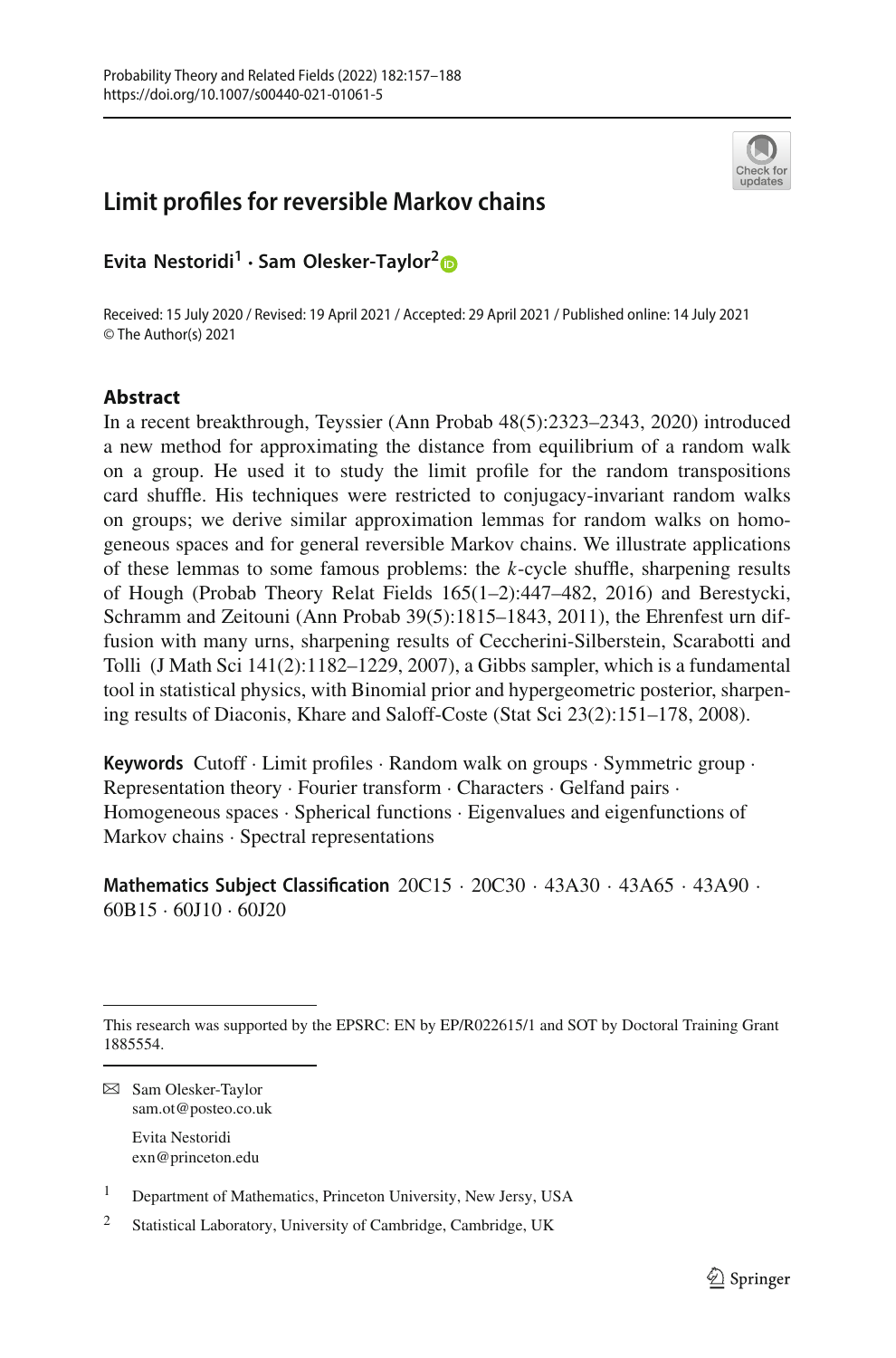

# **Limit profiles for reversible Markov chains**

**Evita Nestoridi<sup>1</sup> · Sam Olesker-Taylor[2](http://orcid.org/0000-0001-9764-1645)**

Received: 15 July 2020 / Revised: 19 April 2021 / Accepted: 29 April 2021 / Published online: 14 July 2021 © The Author(s) 2021

### **Abstract**

In a recent breakthrough, Teyssier (Ann Probab 48(5):2323–2343, 2020) introduced a new method for approximating the distance from equilibrium of a random walk on a group. He used it to study the limit profile for the random transpositions card shuffle. His techniques were restricted to conjugacy-invariant random walks on groups; we derive similar approximation lemmas for random walks on homogeneous spaces and for general reversible Markov chains. We illustrate applications of these lemmas to some famous problems: the *k*-cycle shuffle, sharpening results of Hough (Probab Theory Relat Fields 165(1–2):447–482, 2016) and Berestycki, Schramm and Zeitouni (Ann Probab 39(5):1815–1843, 2011), the Ehrenfest urn diffusion with many urns, sharpening results of Ceccherini-Silberstein, Scarabotti and Tolli (J Math Sci 141(2):1182–1229, 2007), a Gibbs sampler, which is a fundamental tool in statistical physics, with Binomial prior and hypergeometric posterior, sharpening results of Diaconis, Khare and Saloff-Coste (Stat Sci 23(2):151–178, 2008).

**Keywords** Cutoff · Limit profiles · Random walk on groups · Symmetric group · Representation theory · Fourier transform · Characters · Gelfand pairs · Homogeneous spaces · Spherical functions · Eigenvalues and eigenfunctions of Markov chains · Spectral representations

**Mathematics Subject Classification** 20C15 · 20C30 · 43A30 · 43A65 · 43A90 · 60B15 · 60J10 · 60J20

B Sam Olesker-Taylor sam.ot@posteo.co.uk

Evita Nestoridi exn@princeton.edu

<sup>1</sup> Department of Mathematics, Princeton University, New Jersy, USA

This research was supported by the EPSRC: EN by EP/R022615/1 and SOT by Doctoral Training Grant 1885554.

<sup>2</sup> Statistical Laboratory, University of Cambridge, Cambridge, UK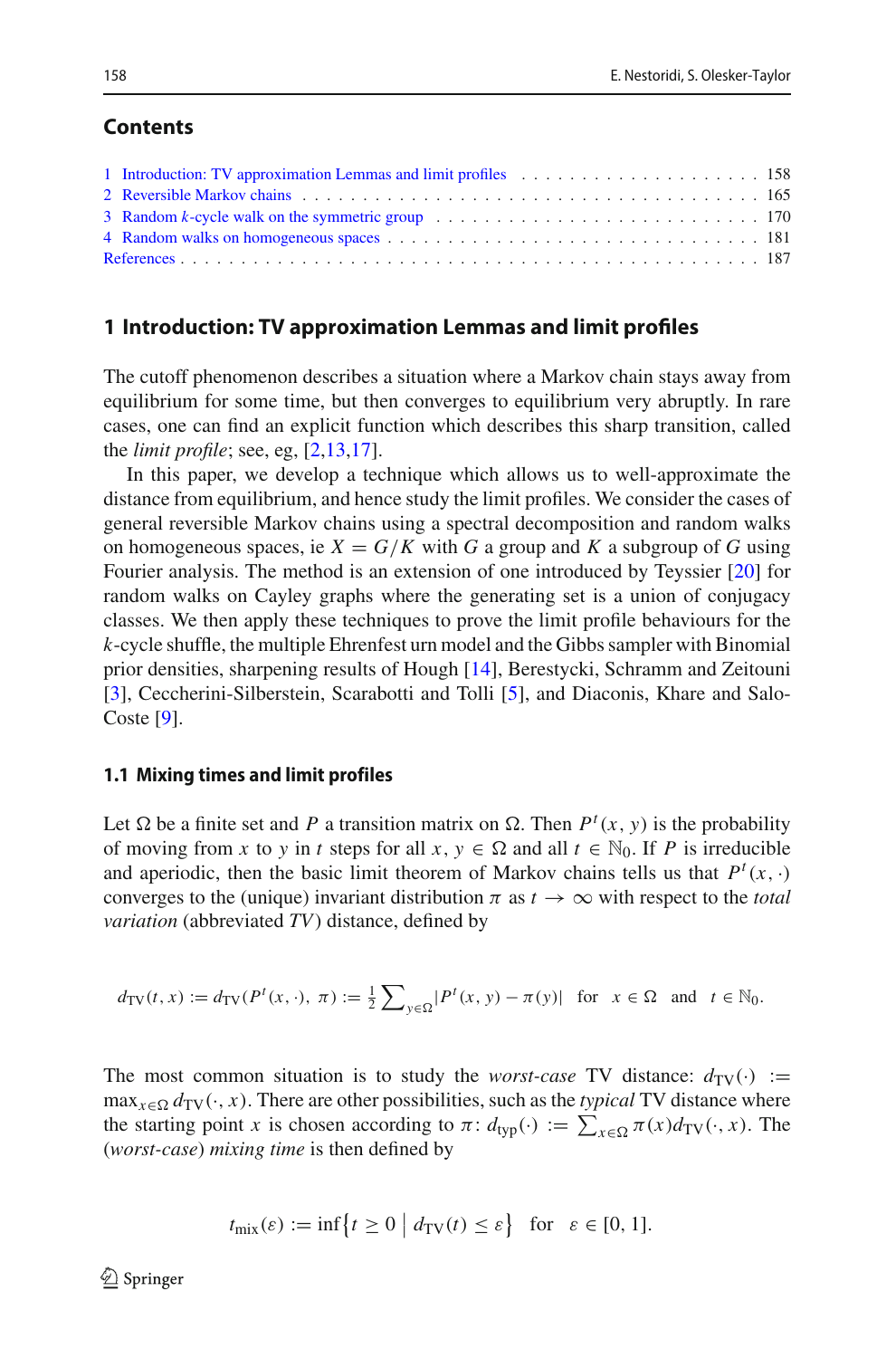### **Contents**

| 1 Introduction: TV approximation Lemmas and limit profiles expansion of the state of the state of the state of the state of the state of the state of the state of the state of the state of the state of the state of the sta |  |
|--------------------------------------------------------------------------------------------------------------------------------------------------------------------------------------------------------------------------------|--|
|                                                                                                                                                                                                                                |  |
|                                                                                                                                                                                                                                |  |
|                                                                                                                                                                                                                                |  |
|                                                                                                                                                                                                                                |  |

### <span id="page-1-0"></span>**1 Introduction: TV approximation Lemmas and limit profiles**

The cutoff phenomenon describes a situation where a Markov chain stays away from equilibrium for some time, but then converges to equilibrium very abruptly. In rare cases, one can find an explicit function which describes this sharp transition, called the *limit profile*; see, eg, [\[2](#page-30-1)[,13](#page-31-0)[,17](#page-31-1)].

In this paper, we develop a technique which allows us to well-approximate the distance from equilibrium, and hence study the limit profiles. We consider the cases of general reversible Markov chains using a spectral decomposition and random walks on homogeneous spaces, ie  $X = G/K$  with G a group and K a subgroup of G using Fourier analysis. The method is an extension of one introduced by Teyssier [\[20](#page-31-2)] for random walks on Cayley graphs where the generating set is a union of conjugacy classes. We then apply these techniques to prove the limit profile behaviours for the *k*-cycle shuffle, the multiple Ehrenfest urn model and the Gibbs sampler with Binomial prior densities, sharpening results of Hough [\[14\]](#page-31-3), Berestycki, Schramm and Zeitouni [\[3](#page-30-2)], Ceccherini-Silberstein, Scarabotti and Tolli [\[5](#page-30-3)], and Diaconis, Khare and Salo-Coste [\[9](#page-31-4)].

#### **1.1 Mixing times and limit profiles**

Let  $\Omega$  be a finite set and *P* a transition matrix on  $\Omega$ . Then  $P^t(x, y)$  is the probability of moving from *x* to *y* in *t* steps for all  $x, y \in \Omega$  and all  $t \in \mathbb{N}_0$ . If *P* is irreducible and aperiodic, then the basic limit theorem of Markov chains tells us that  $P^t(x, \cdot)$ converges to the (unique) invariant distribution  $\pi$  as  $t \to \infty$  with respect to the *total variation* (abbreviated *TV*) distance, defined by

$$
d_{\text{TV}}(t, x) := d_{\text{TV}}(P^t(x, \cdot), \ \pi) := \frac{1}{2} \sum_{y \in \Omega} |P^t(x, y) - \pi(y)| \quad \text{for} \quad x \in \Omega \quad \text{and} \quad t \in \mathbb{N}_0.
$$

The most common situation is to study the *worst-case* TV distance:  $d_{TV}(\cdot) :=$  $\max_{x \in \Omega} d_{\text{TV}}(\cdot, x)$ . There are other possibilities, such as the *typical* TV distance where the starting point *x* is chosen according to  $\pi$ :  $d_{typ}(\cdot) := \sum_{x \in \Omega} \pi(x) d_{TV}(\cdot, x)$ . The (*worst-case*) *mixing time* is then defined by

$$
t_{\text{mix}}(\varepsilon) := \inf \{ t \ge 0 \mid d_{\text{TV}}(t) \le \varepsilon \} \text{ for } \varepsilon \in [0, 1].
$$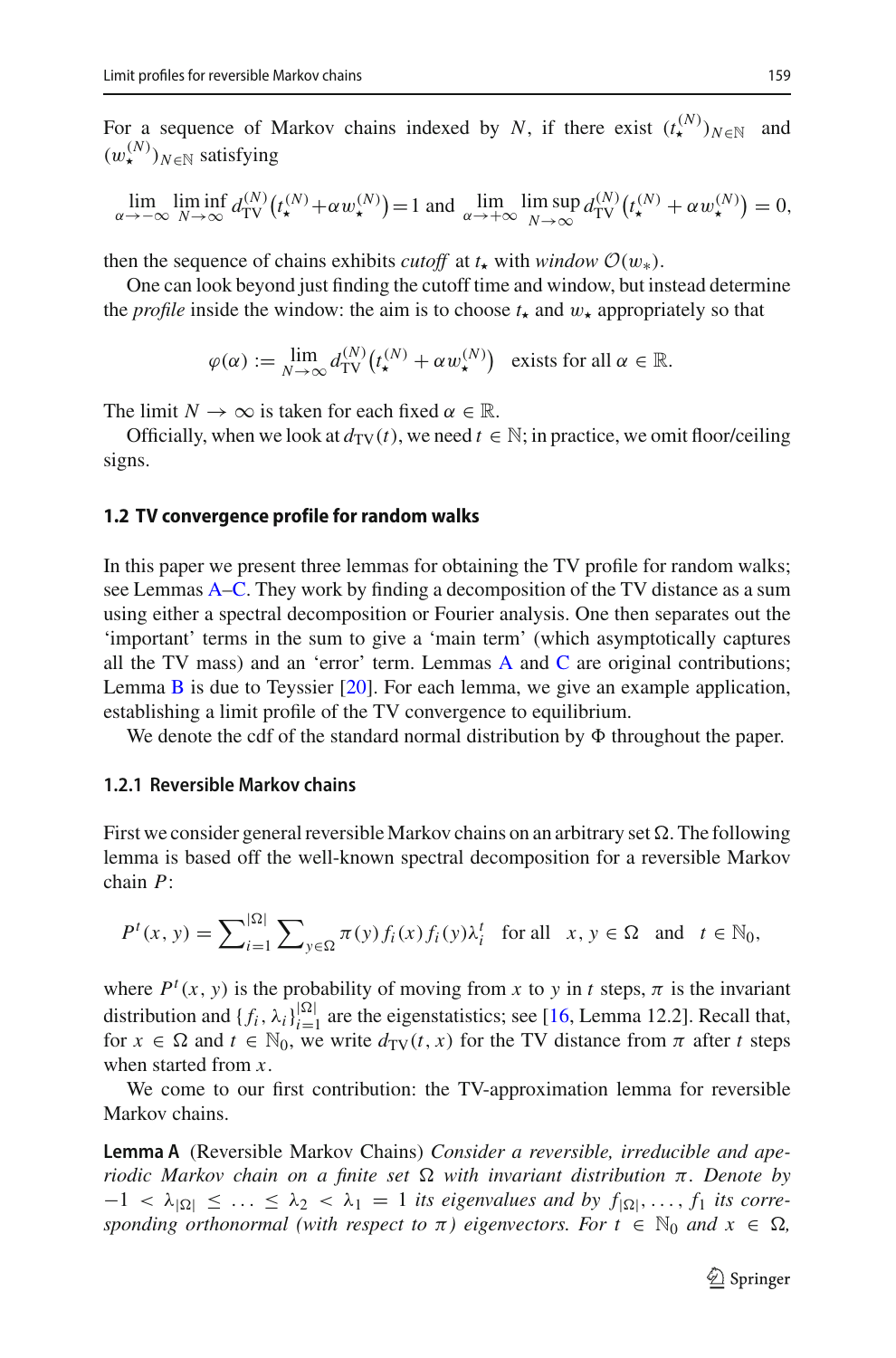For a sequence of Markov chains indexed by *N*, if there exist  $(t^{(N)}_{\star})_{N \in \mathbb{N}}$  and  $(w_{\star}^{(N)})_{N \in \mathbb{N}}$  satisfying

$$
\lim_{\alpha \to -\infty} \liminf_{N \to \infty} d_{\mathrm{TV}}^{(N)}(t_\star^{(N)} + \alpha w_\star^{(N)}) = 1 \text{ and } \lim_{\alpha \to +\infty} \limsup_{N \to \infty} d_{\mathrm{TV}}^{(N)}(t_\star^{(N)} + \alpha w_\star^{(N)}) = 0,
$$

then the sequence of chains exhibits *cutoff* at  $t_{\star}$  with *window*  $\mathcal{O}(w_{*})$ .

One can look beyond just finding the cutoff time and window, but instead determine the *profile* inside the window: the aim is to choose  $t_{\star}$  and  $w_{\star}$  appropriately so that

$$
\varphi(\alpha) := \lim_{N \to \infty} d_{\text{TV}}^{(N)} \big( t_{\star}^{(N)} + \alpha w_{\star}^{(N)} \big) \quad \text{exists for all } \alpha \in \mathbb{R}.
$$

The limit  $N \to \infty$  is taken for each fixed  $\alpha \in \mathbb{R}$ .

Officially, when we look at  $d_{\text{TV}}(t)$ , we need  $t \in \mathbb{N}$ ; in practice, we omit floor/ceiling signs.

#### **1.2 TV convergence profile for random walks**

In this paper we present three lemmas for obtaining the TV profile for random walks; see Lemmas [A](#page-2-0)[–C.](#page-6-0) They work by finding a decomposition of the TV distance as a sum using either a spectral decomposition or Fourier analysis. One then separates out the 'important' terms in the sum to give a 'main term' (which asymptotically captures all the TV mass) and an 'error' term. Lemmas  $A$  and  $C$  are original contributions; Lemma [B](#page-5-0) is due to Teyssier [\[20\]](#page-31-2). For each lemma, we give an example application, establishing a limit profile of the TV convergence to equilibrium.

We denote the cdf of the standard normal distribution by  $\Phi$  throughout the paper.

### **1.2.1 Reversible Markov chains**

First we consider general reversible Markov chains on an arbitrary set  $\Omega$ . The following lemma is based off the well-known spectral decomposition for a reversible Markov chain *P*:

$$
P^t(x, y) = \sum_{i=1}^{|\Omega|} \sum_{y \in \Omega} \pi(y) f_i(x) f_i(y) \lambda_i^t \text{ for all } x, y \in \Omega \text{ and } t \in \mathbb{N}_0,
$$

where  $P^{t}(x, y)$  is the probability of moving from *x* to *y* in *t* steps,  $\pi$  is the invariant distribution and  $\{f_i, \lambda_i\}_{i=1}^{|\Omega|}$  are the eigenstatistics; see [\[16](#page-31-5), Lemma 12.2]. Recall that, for  $x \in \Omega$  and  $t \in \mathbb{N}_0$ , we write  $d_{TV}(t, x)$  for the TV distance from  $\pi$  after  $t$  steps when started from *x*.

<span id="page-2-0"></span>We come to our first contribution: the TV-approximation lemma for reversible Markov chains.

**Lemma A** (Reversible Markov Chains) *Consider a reversible, irreducible and aperiodic Markov chain on a finite set*  $\Omega$  *with invariant distribution* π*. Denote by*  $-1 < \lambda_{|\Omega|} \leq \ldots \leq \lambda_2 < \lambda_1 = 1$  *its eigenvalues and by*  $f_{|\Omega|}, \ldots, f_1$  *its corresponding orthonormal (with respect to*  $\pi$ ) *eigenvectors. For*  $t \in \mathbb{N}_0$  *and*  $x \in \Omega$ ,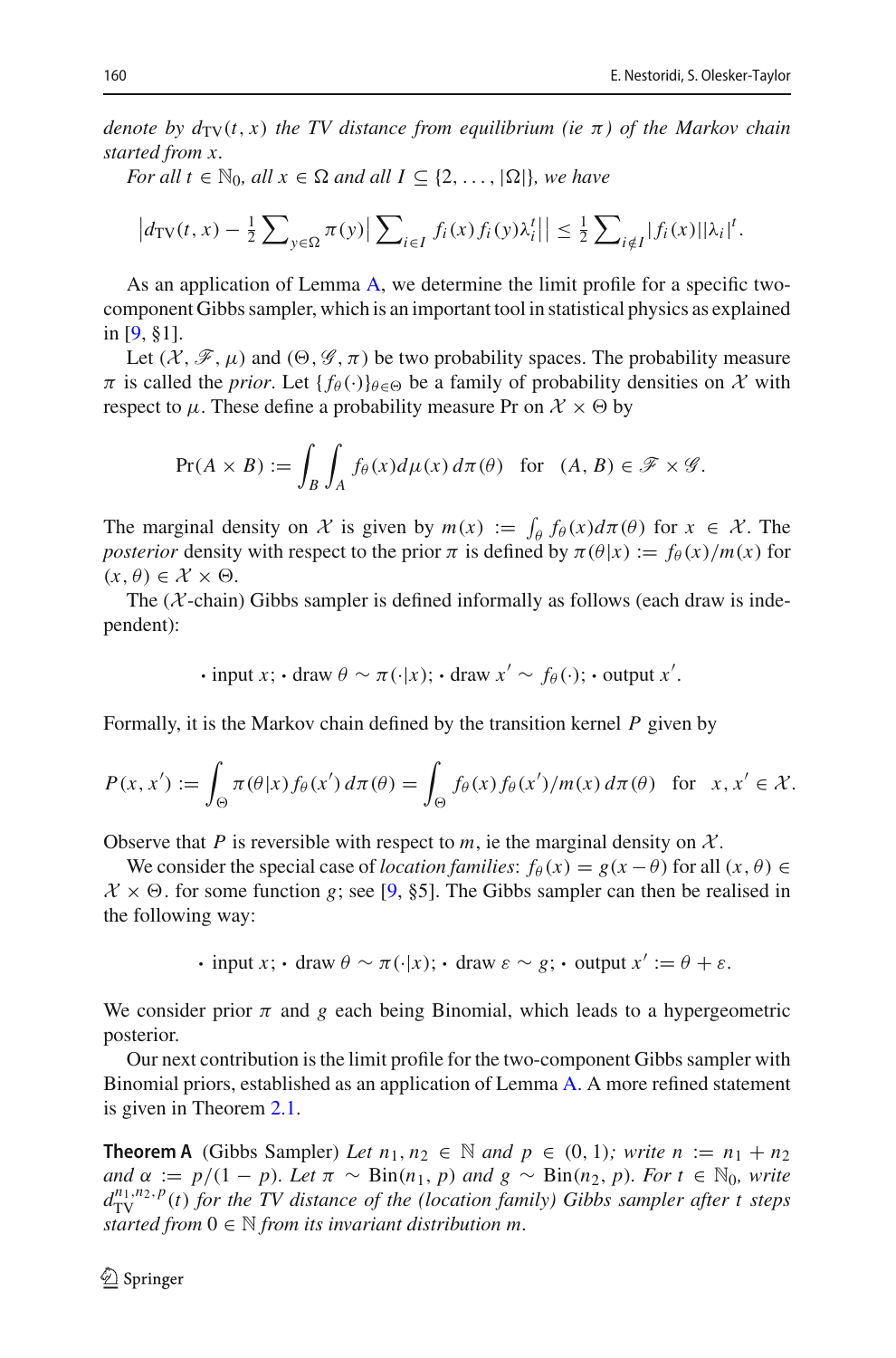*denote by*  $d_{\text{TV}}(t, x)$  *the TV distance from equilibrium (ie*  $\pi$ *) of the Markov chain started from x.*

*For all*  $t \in \mathbb{N}_0$ *, all*  $x \in \Omega$  *and all*  $I \subseteq \{2, ..., |\Omega|\}$ *, we have* 

$$
\left|d_{\mathrm{TV}}(t,x) - \frac{1}{2}\sum\nolimits_{y \in \Omega} \pi(y) \right| \sum\nolimits_{i \in I} f_i(x) f_i(y) \lambda_i^t \middle| \right| \leq \frac{1}{2} \sum\nolimits_{i \notin I} |f_i(x)| |\lambda_i|^t.
$$

As an application of Lemma [A,](#page-2-0) we determine the limit profile for a specific twocomponent Gibbs sampler, which is an important tool in statistical physics as explained in [\[9](#page-31-4), §1].

Let  $(\mathcal{X}, \mathcal{F}, \mu)$  and  $(\Theta, \mathcal{G}, \pi)$  be two probability spaces. The probability measure  $\pi$  is called the *prior*. Let  $\{f_{\theta}(\cdot)\}_{\theta \in \Theta}$  be a family of probability densities on  $\mathcal X$  with respect to  $\mu$ . These define a probability measure Pr on  $\mathcal{X} \times \Theta$  by

$$
\Pr(A \times B) := \int_B \int_A f_\theta(x) d\mu(x) d\pi(\theta) \text{ for } (A, B) \in \mathscr{F} \times \mathscr{G}.
$$

The marginal density on *X* is given by  $m(x) := \int_{\theta} f_{\theta}(x) d\pi(\theta)$  for  $x \in \mathcal{X}$ . The *posterior* density with respect to the prior  $\pi$  is defined by  $\pi(\theta|x) := f_{\theta}(x)/m(x)$  for  $(x, \theta) \in \mathcal{X} \times \Theta$ .

The  $(X$ -chain) Gibbs sampler is defined informally as follows (each draw is independent):

$$
· input x; ⋅ draw θ ∼ π(·|x); ⋅ draw x' ∼ fθ(·); ⋅ output x'.
$$

Formally, it is the Markov chain defined by the transition kernel *P* given by

$$
P(x, x') := \int_{\Theta} \pi(\theta|x) f_{\theta}(x') d\pi(\theta) = \int_{\Theta} f_{\theta}(x) f_{\theta}(x') / m(x) d\pi(\theta) \text{ for } x, x' \in \mathcal{X}.
$$

Observe that *P* is reversible with respect to *m*, ie the marginal density on  $X$ .

We consider the special case of *location families*:  $f_{\theta}(x) = g(x - \theta)$  for all  $(x, \theta) \in$  $X \times \Theta$ . for some function *g*; see [\[9,](#page-31-4) §5]. The Gibbs sampler can then be realised in the following way:

**•** input *x*; **•** draw  $\theta \sim \pi(\cdot|x)$ ; **•** draw  $\varepsilon \sim g$ ; • output  $x' := \theta + \varepsilon$ .

We consider prior  $\pi$  and  $g$  each being Binomial, which leads to a hypergeometric posterior.

Our next contribution is the limit profile for the two-component Gibbs sampler with Binomial priors, established as an application of Lemma [A.](#page-2-0) A more refined statement is given in Theorem [2.1.](#page-9-0)

<span id="page-3-0"></span>**Theorem A** (Gibbs Sampler) *Let*  $n_1, n_2 \in \mathbb{N}$  *and*  $p \in (0, 1)$ *; write*  $n := n_1 + n_2$ *and*  $\alpha := p/(1 - p)$ *. Let*  $\pi \sim \text{Bin}(n_1, p)$  *and*  $g \sim \text{Bin}(n_2, p)$ *. For*  $t \in \mathbb{N}_0$ *, write*  $d_{\text{TV}}^{n_1, n_2, p}(t)$  *for the TV distance of the (location family) Gibbs sampler after t steps started from*  $0 \in \mathbb{N}$  *from its invariant distribution m.*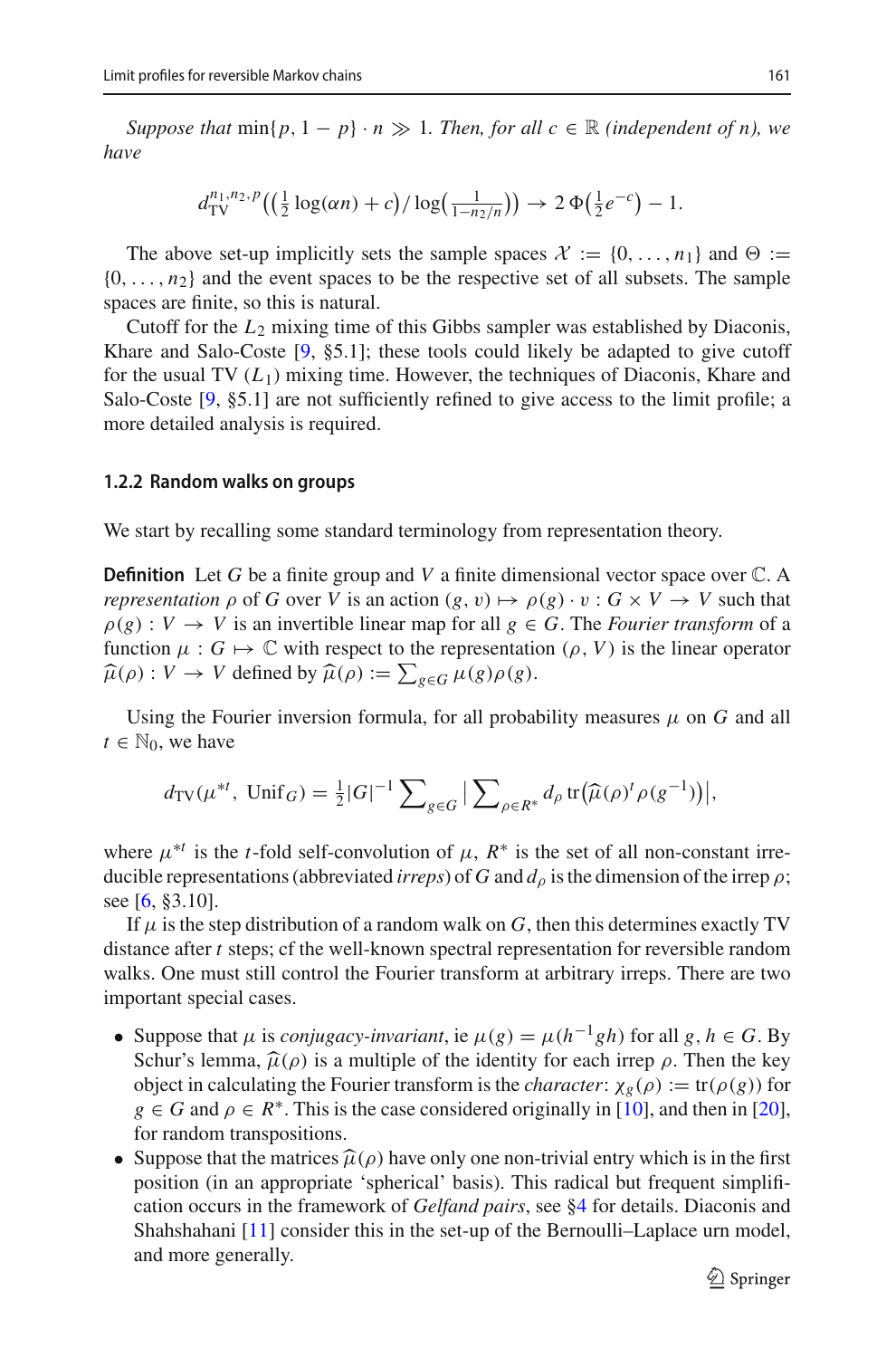*Suppose that*  $\min\{p, 1 - p\} \cdot n \gg 1$ . Then, for all  $c \in \mathbb{R}$  *(independent of n), we have*

$$
d_{\text{TV}}^{n_1, n_2, p} \left( \left( \frac{1}{2} \log(\alpha n) + c \right) / \log \left( \frac{1}{1 - n_2/n} \right) \right) \to 2 \Phi \left( \frac{1}{2} e^{-c} \right) - 1.
$$

The above set-up implicitly sets the sample spaces  $\mathcal{X} := \{0, \ldots, n_1\}$  and  $\Theta :=$  $\{0, \ldots, n_2\}$  and the event spaces to be the respective set of all subsets. The sample spaces are finite, so this is natural.

Cutoff for the *L*<sup>2</sup> mixing time of this Gibbs sampler was established by Diaconis, Khare and Salo-Coste  $[9, §5.1]$  $[9, §5.1]$ ; these tools could likely be adapted to give cutoff for the usual TV  $(L_1)$  mixing time. However, the techniques of Diaconis, Khare and Salo-Coste [\[9,](#page-31-4) §5.1] are not sufficiently refined to give access to the limit profile; a more detailed analysis is required.

#### **1.2.2 Random walks on groups**

We start by recalling some standard terminology from representation theory.

**Definition** Let *G* be a finite group and *V* a finite dimensional vector space over C. A *representation*  $\rho$  of *G* over *V* is an action  $(g, v) \mapsto \rho(g) \cdot v : G \times V \to V$  such that  $\rho(g) : V \to V$  is an invertible linear map for all  $g \in G$ . The *Fourier transform* of a function  $\mu: G \mapsto \mathbb{C}$  with respect to the representation  $(\rho, V)$  is the linear operator  $\widehat{\mu}(\rho) : V \to V$  defined by  $\widehat{\mu}(\rho) := \sum_{g \in G} \mu(g) \rho(g)$ .

Using the Fourier inversion formula, for all probability measures  $\mu$  on  $G$  and all  $t \in \mathbb{N}_0$ , we have

$$
d_{\text{TV}}(\mu^{*t}, \text{ Unif}_G) = \frac{1}{2}|G|^{-1} \sum_{g \in G} \left| \sum_{\rho \in R^*} d_{\rho} \text{ tr}(\widehat{\mu}(\rho)^t \rho(g^{-1})) \right|,
$$

where  $\mu^{*t}$  is the *t*-fold self-convolution of  $\mu$ ,  $R^*$  is the set of all non-constant irreducible representations (abbreviated *irreps*) of *G* and  $d_{\rho}$  is the dimension of the irrep  $\rho$ ; see [\[6](#page-31-6), §3.10].

If  $\mu$  is the step distribution of a random walk on *G*, then this determines exactly TV distance after *t* steps; cf the well-known spectral representation for reversible random walks. One must still control the Fourier transform at arbitrary irreps. There are two important special cases.

- Suppose that  $\mu$  is *conjugacy-invariant*, ie  $\mu(g) = \mu(h^{-1}gh)$  for all  $g, h \in G$ . By Schur's lemma,  $\hat{\mu}(\rho)$  is a multiple of the identity for each irrep  $\rho$ . Then the key object in calculating the Fourier transform is the *character*:  $\chi_g(\rho) := \text{tr}(\rho(g))$  for  $g \in G$  and  $\rho \in R^*$ . This is the case considered originally in [\[10](#page-31-7)], and then in [\[20](#page-31-2)], for random transpositions.
- Suppose that the matrices  $\hat{\mu}(\rho)$  have only one non-trivial entry which is in the first position (in an appropriate 'spherical' basis). This radical but frequent simplification occurs in the framework of *Gelfand pairs*, see [§4](#page-24-0) for details. Diaconis and Shahshahani [\[11\]](#page-31-8) consider this in the set-up of the Bernoulli–Laplace urn model, and more generally.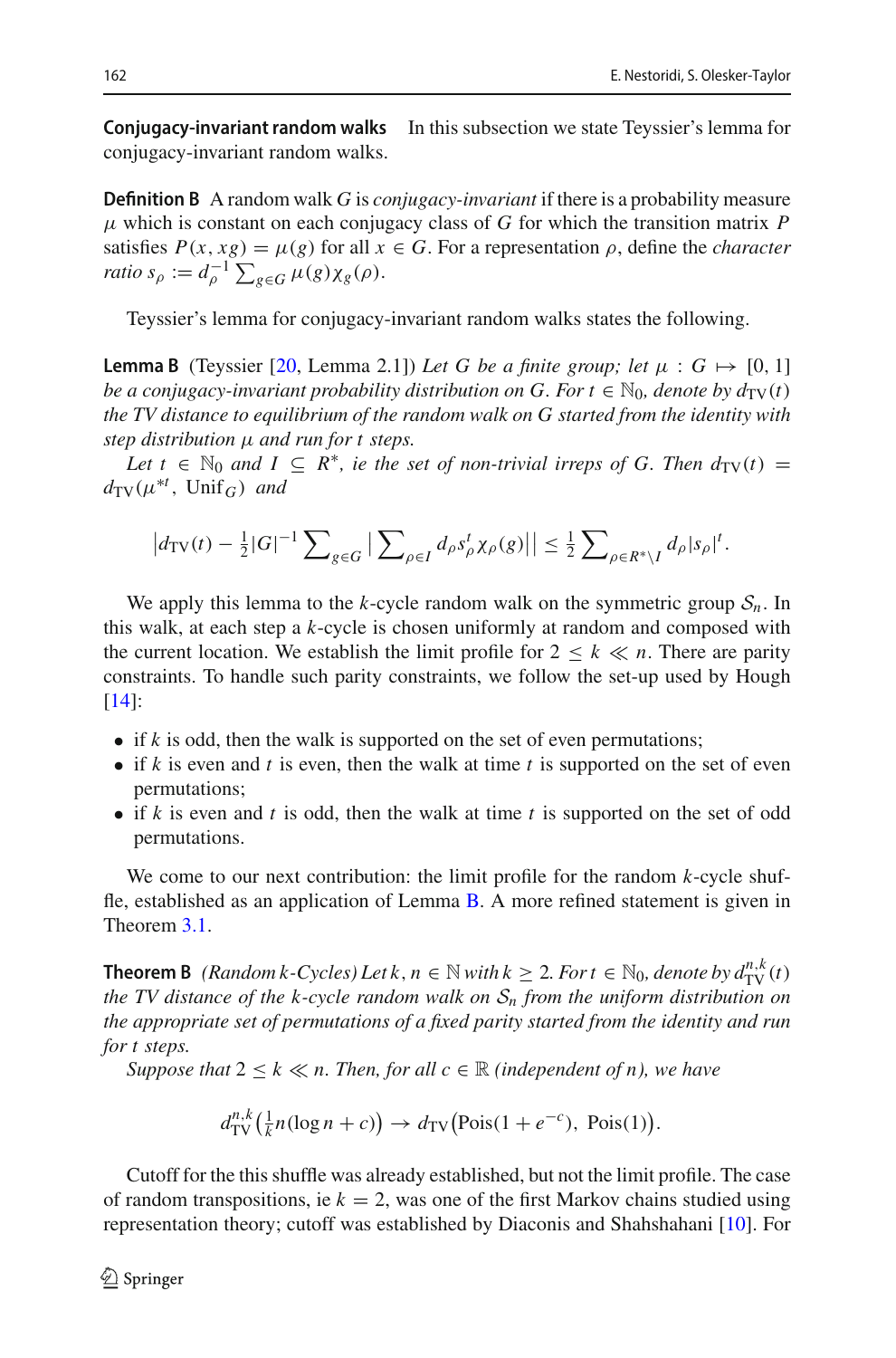**Conjugacy-invariant random walks** In this subsection we state Teyssier's lemma for conjugacy-invariant random walks.

**Definition B** A random walk *G* is *conjugacy-invariant* if there is a probability measure  $\mu$  which is constant on each conjugacy class of *G* for which the transition matrix *P* satisfies  $P(x, xg) = \mu(g)$  for all  $x \in G$ . For a representation  $\rho$ , define the *character ratio*  $s_\rho := d_\rho^{-1} \sum_{g \in G} \mu(g) \chi_g(\rho).$ 

<span id="page-5-0"></span>Teyssier's lemma for conjugacy-invariant random walks states the following.

**Lemma B** (Teyssier [\[20](#page-31-2), Lemma 2.1]) Let G be a finite group; let  $\mu : G \mapsto [0, 1]$ *be a conjugacy-invariant probability distribution on G. For*  $t \in \mathbb{N}_0$ *, denote by*  $d_{TV}(t)$ *the TV distance to equilibrium of the random walk on G started from the identity with step distribution* μ *and run for t steps.*

*Let*  $t \in \mathbb{N}_0$  *and*  $I \subseteq R^*$ *, ie the set of non-trivial irreps of G. Then*  $d_{TV}(t) =$  $d_{\text{TV}}(\mu^{*t}, \text{Unif}_G)$  *and* 

$$
\left|d_{\mathrm{TV}}(t) - \frac{1}{2}|G|^{-1} \sum\nolimits_{g \in G} \left| \sum\nolimits_{\rho \in I} d_{\rho} s_{\rho}^t \chi_{\rho}(g) \right| \right| \leq \frac{1}{2} \sum\nolimits_{\rho \in R^* \backslash I} d_{\rho} |s_{\rho}|^t.
$$

We apply this lemma to the *k*-cycle random walk on the symmetric group  $S_n$ . In this walk, at each step a *k*-cycle is chosen uniformly at random and composed with the current location. We establish the limit profile for  $2 \leq k \ll n$ . There are parity constraints. To handle such parity constraints, we follow the set-up used by Hough [\[14](#page-31-3)]:

- if *k* is odd, then the walk is supported on the set of even permutations;
- if *k* is even and *t* is even, then the walk at time *t* is supported on the set of even permutations;
- if *k* is even and *t* is odd, then the walk at time *t* is supported on the set of odd permutations.

We come to our next contribution: the limit profile for the random *k*-cycle shuffle, established as an application of Lemma [B.](#page-5-0) A more refined statement is given in Theorem [3.1.](#page-14-0)

**Theorem B** *(Random k-Cycles) Let k*,  $n \in \mathbb{N}$  *with k*  $\geq 2$ *. For t*  $\in \mathbb{N}_0$ *, denote by*  $d_{\text{TV}}^{n,k}(t)$ *the TV distance of the k-cycle random walk on S<sup>n</sup> from the uniform distribution on the appropriate set of permutations of a fixed parity started from the identity and run for t steps.*

*Suppose that*  $2 \leq k \ll n$ . Then, for all  $c \in \mathbb{R}$  *(independent of n), we have* 

$$
d_{\text{TV}}^{n,k}(\tfrac{1}{k}n(\log n + c)) \to d_{\text{TV}}(\text{Pois}(1 + e^{-c}), \text{Pois}(1)).
$$

Cutoff for the this shuffle was already established, but not the limit profile. The case of random transpositions, ie  $k = 2$ , was one of the first Markov chains studied using representation theory; cutoff was established by Diaconis and Shahshahani [\[10\]](#page-31-7). For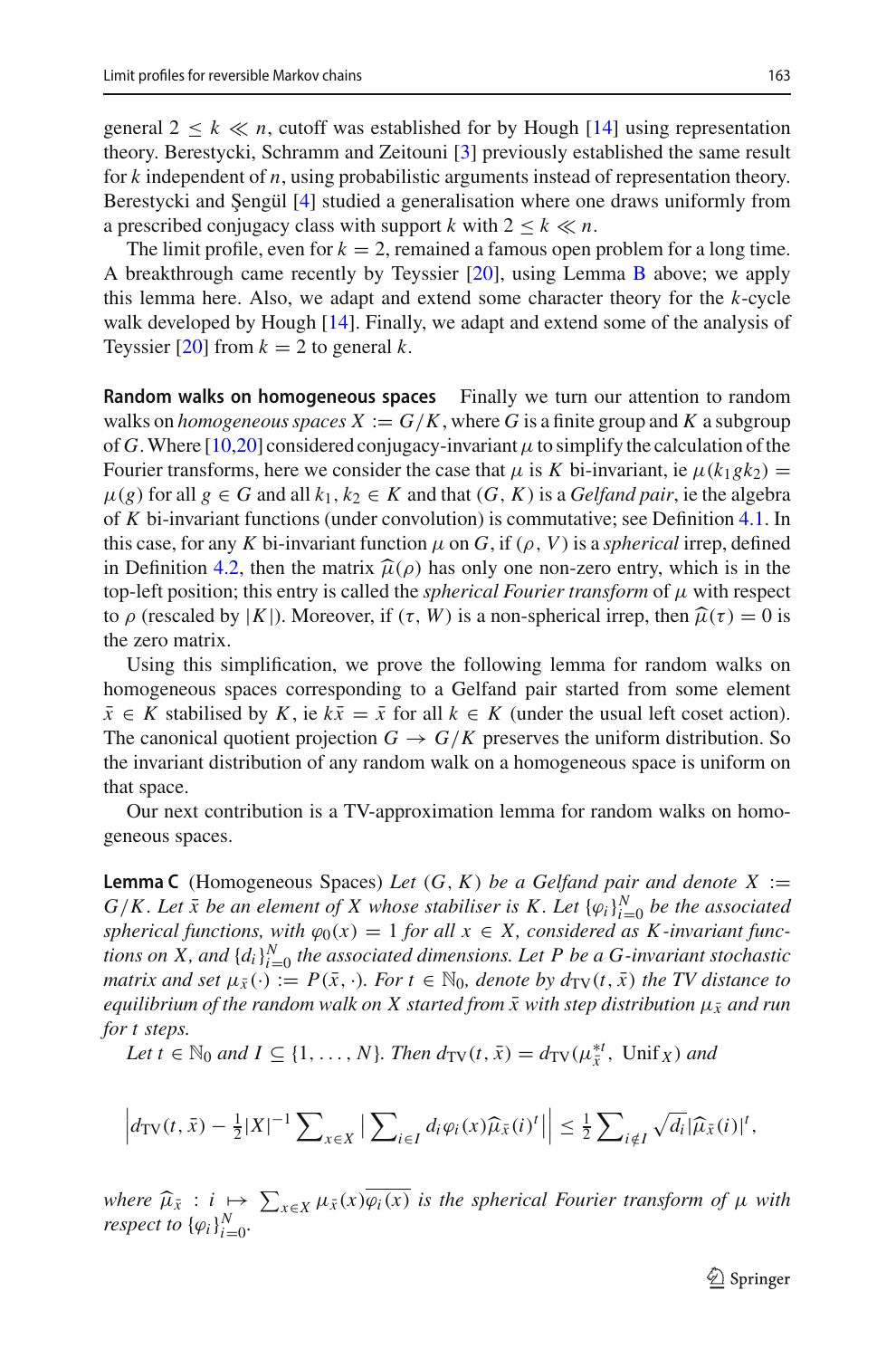general  $2 \leq k \ll n$ , cutoff was established for by Hough [\[14\]](#page-31-3) using representation theory. Berestycki, Schramm and Zeitouni [\[3\]](#page-30-2) previously established the same result for *k* independent of *n*, using probabilistic arguments instead of representation theory. Berestycki and Şengül [\[4\]](#page-30-4) studied a generalisation where one draws uniformly from a prescribed conjugacy class with support *k* with  $2 \leq k \ll n$ .

The limit profile, even for  $k = 2$ , remained a famous open problem for a long time. A breakthrough came recently by Teyssier [\[20\]](#page-31-2), using Lemma [B](#page-5-0) above; we apply this lemma here. Also, we adapt and extend some character theory for the *k*-cycle walk developed by Hough [\[14](#page-31-3)]. Finally, we adapt and extend some of the analysis of Teyssier  $[20]$  $[20]$  from  $k = 2$  to general  $k$ .

**Random walks on homogeneous spaces** Finally we turn our attention to random walks on *homogeneous spaces*  $X := G/K$ , where G is a finite group and K a subgroup of *G*. Where [\[10](#page-31-7)[,20](#page-31-2)] considered conjugacy-invariant  $\mu$  to simplify the calculation of the Fourier transforms, here we consider the case that  $\mu$  is *K* bi-invariant, ie  $\mu$ ( $k_1$ *gk*<sub>2</sub>) =  $\mu(g)$  for all  $g \in G$  and all  $k_1, k_2 \in K$  and that  $(G, K)$  is a *Gelfand pair*, ie the algebra of *K* bi-invariant functions (under convolution) is commutative; see Definition [4.1.](#page-24-1) In this case, for any *K* bi-invariant function  $\mu$  on *G*, if ( $\rho$ , *V*) is a *spherical* irrep, defined in Definition [4.2,](#page-25-0) then the matrix  $\hat{\mu}(\rho)$  has only one non-zero entry, which is in the top-left position; this entry is called the *spherical Fourier transform* of μ with respect to *ρ* (rescaled by |K|). Moreover, if (τ, W) is a non-spherical irrep, then  $\hat{\mu}(\tau) = 0$  is the zero matrix.

Using this simplification, we prove the following lemma for random walks on homogeneous spaces corresponding to a Gelfand pair started from some element  $\bar{x} \in K$  stabilised by *K*, ie  $k\bar{x} = \bar{x}$  for all  $k \in K$  (under the usual left coset action). The canonical quotient projection  $G \to G/K$  preserves the uniform distribution. So the invariant distribution of any random walk on a homogeneous space is uniform on that space.

<span id="page-6-0"></span>Our next contribution is a TV-approximation lemma for random walks on homogeneous spaces.

**Lemma C** (Homogeneous Spaces) Let  $(G, K)$  be a Gelfand pair and denote X :=  $G/K$ . Let  $\bar{x}$  be an element of X whose stabiliser is K. Let  ${\varphi_i}_i_{i=0}^N$  be the associated *spherical functions, with*  $\varphi_0(x) = 1$  *for all*  $x \in X$ *, considered as K-invariant functions on X, and*  $\{d_i\}_{i=0}^N$  *the associated dimensions. Let P be a G-invariant stochastic matrix and set*  $\mu_{\bar{x}}(\cdot) := P(\bar{x}, \cdot)$ *. For*  $t \in \mathbb{N}_0$ *, denote by*  $d_{\text{TV}}(t, \bar{x})$  *the TV distance to equilibrium of the random walk on X started from*  $\bar{x}$  with step distribution  $\mu_{\bar{x}}$  and run *for t steps.*

*Let*  $t \in \mathbb{N}_0$  *and*  $I \subseteq \{1, ..., N\}$ *. Then*  $d_{TV}(t, \bar{x}) = d_{TV}(\mu_{\bar{x}}^{*t}, \text{Unif } \chi)$  *and* 

$$
\left|d_{\mathrm{TV}}(t,\bar{x}) - \frac{1}{2}|X|^{-1} \sum_{x \in X} \left| \sum_{i \in I} d_i \varphi_i(x) \widehat{\mu}_{\bar{x}}(i)^t \right| \right| \leq \frac{1}{2} \sum_{i \notin I} \sqrt{d_i} |\widehat{\mu}_{\bar{x}}(i)|^t,
$$

*where*  $\widehat{\mu}_{\bar{x}} : i \mapsto \sum_{x \in X} \mu_{\bar{x}}(x) \varphi_i(x)$  *is the spherical Fourier transform of*  $\mu$  *with* respect to  $\iota \varphi_i \chi^N$ *respect to*  $\{\varphi_i\}_{i=0}^N$ .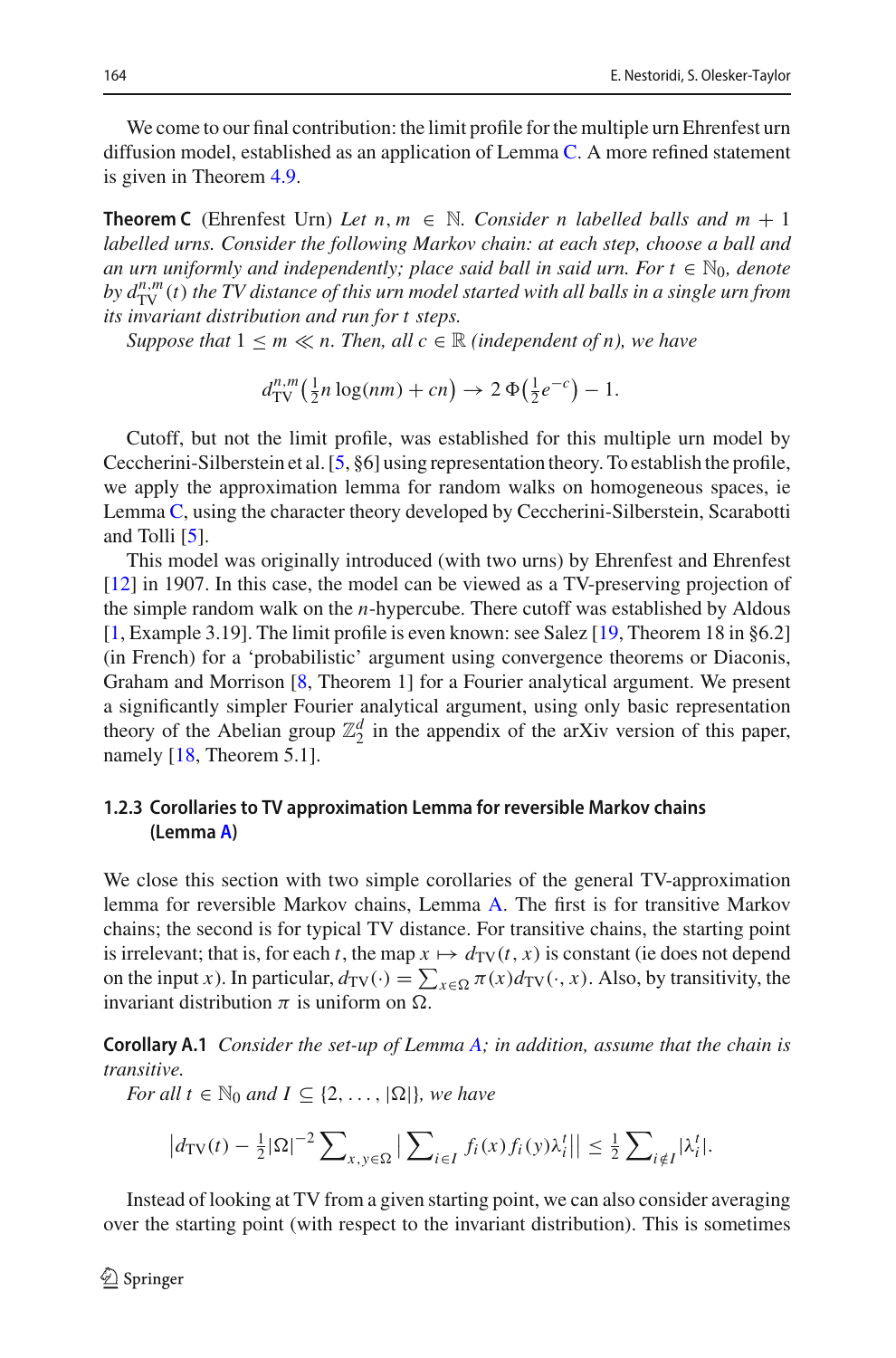We come to our final contribution: the limit profile for the multiple urn Ehrenfest urn diffusion model, established as an application of Lemma [C.](#page-6-0) A more refined statement is given in Theorem [4.9.](#page-27-0)

<span id="page-7-1"></span>**Theorem C** (Ehrenfest Urn) Let  $n, m \in \mathbb{N}$ . Consider n labelled balls and  $m + 1$ *labelled urns. Consider the following Markov chain: at each step, choose a ball and an urn uniformly and independently; place said ball in said urn. For*  $t \in \mathbb{N}_0$ *, denote by dn*,*<sup>m</sup>* TV (*t*) *the TV distance of this urn model started with all balls in a single urn from its invariant distribution and run for t steps.*

*Suppose that*  $1 \le m \ll n$ . Then, all  $c \in \mathbb{R}$  *(independent of n), we have* 

$$
d_{\mathrm{TV}}^{n,m}\left(\tfrac{1}{2}n\log(nm) + cn\right) \to 2\,\Phi\left(\tfrac{1}{2}e^{-c}\right) - 1.
$$

Cutoff, but not the limit profile, was established for this multiple urn model by Ceccherini-Silberstein et al. [\[5](#page-30-3), §6] using representation theory. To establish the profile, we apply the approximation lemma for random walks on homogeneous spaces, ie Lemma [C,](#page-6-0) using the character theory developed by Ceccherini-Silberstein, Scarabotti and Tolli [\[5\]](#page-30-3).

This model was originally introduced (with two urns) by Ehrenfest and Ehrenfest [\[12](#page-31-9)] in 1907. In this case, the model can be viewed as a TV-preserving projection of the simple random walk on the *n*-hypercube. There cutoff was established by Aldous [\[1](#page-30-5), Example 3.19]. The limit profile is even known: see Salez [\[19,](#page-31-10) Theorem 18 in §6.2] (in French) for a 'probabilistic' argument using convergence theorems or Diaconis, Graham and Morrison [\[8,](#page-31-11) Theorem 1] for a Fourier analytical argument. We present a significantly simpler Fourier analytical argument, using only basic representation theory of the Abelian group  $\mathbb{Z}_2^d$  in the appendix of the arXiv version of this paper, namely [\[18,](#page-31-12) Theorem 5.1].

## **1.2.3 Corollaries to TV approximation Lemma for reversible Markov chains (Lemma [A\)](#page-2-0)**

We close this section with two simple corollaries of the general TV-approximation lemma for reversible Markov chains, Lemma [A.](#page-2-0) The first is for transitive Markov chains; the second is for typical TV distance. For transitive chains, the starting point is irrelevant; that is, for each *t*, the map  $x \mapsto d_{TV}(t, x)$  is constant (ie does not depend on the input *x*). In particular,  $d_{\text{TV}}(\cdot) = \sum_{x \in \Omega} \pi(x) d_{\text{TV}}(\cdot, x)$ . Also, by transitivity, the invariant distribution  $\pi$  is uniform on  $\Omega$ .

<span id="page-7-0"></span>**Corollary A.1** *Consider the set-up of Lemma [A;](#page-2-0) in addition, assume that the chain is transitive.*

*For all t*  $\in$   $\mathbb{N}_0$  *and*  $I \subseteq \{2, ..., |\Omega|\}$ *, we have* 

$$
\left|d_{\mathrm{TV}}(t) - \frac{1}{2}|\Omega|^{-2} \sum_{x,y \in \Omega} \left| \sum_{i \in I} f_i(x) f_i(y) \lambda_i^t \right| \right| \leq \frac{1}{2} \sum_{i \notin I} |\lambda_i^t|.
$$

Instead of looking at TV from a given starting point, we can also consider averaging over the starting point (with respect to the invariant distribution). This is sometimes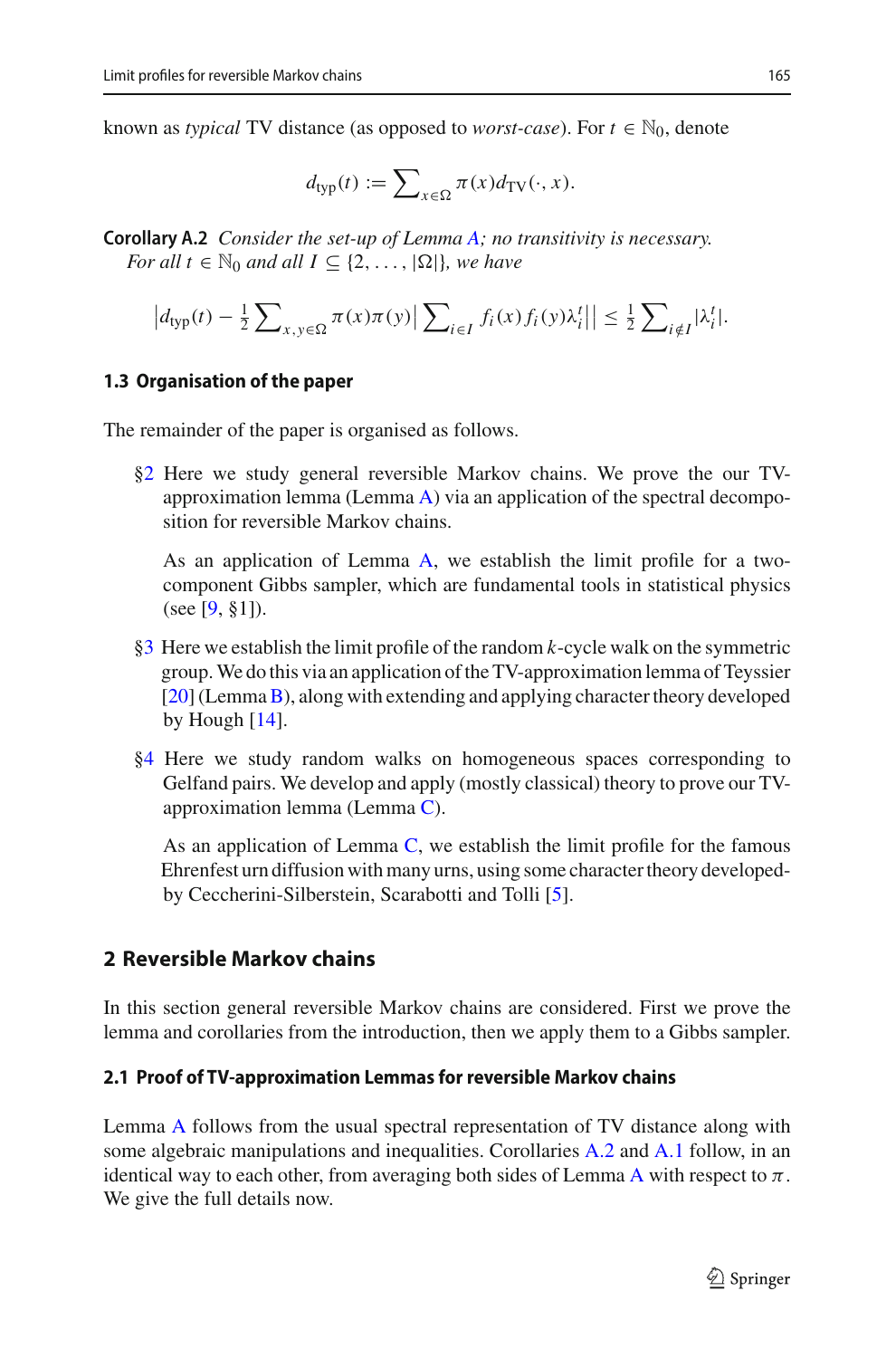known as *typical* TV distance (as opposed to *worst-case*). For  $t \in \mathbb{N}_0$ , denote

$$
d_{\text{typ}}(t) := \sum\nolimits_{x \in \Omega} \pi(x) d_{\text{TV}}(\cdot, x).
$$

<span id="page-8-1"></span>**Corollary A.2** *Consider the set-up of Lemma [A;](#page-2-0) no transitivity is necessary. For all*  $t \in \mathbb{N}_0$  *and all*  $I \subseteq \{2, ..., |\Omega|\}$ *, we have* 

$$
\left|d_{\text{typ}}(t) - \frac{1}{2} \sum_{x, y \in \Omega} \pi(x) \pi(y) \right| \sum_{i \in I} f_i(x) f_i(y) \lambda_i^t \left| \right| \leq \frac{1}{2} \sum_{i \notin I} |\lambda_i^t|.
$$

#### **1.3 Organisation of the paper**

The remainder of the paper is organised as follows.

[§2](#page-8-0) Here we study general reversible Markov chains. We prove the our TVapproximation lemma (Lemma  $\overline{A}$ ) via an application of the spectral decomposition for reversible Markov chains.

As an application of Lemma [A,](#page-2-0) we establish the limit profile for a twocomponent Gibbs sampler, which are fundamental tools in statistical physics (see [\[9,](#page-31-4) §1]).

- [§3](#page-13-0) Here we establish the limit profile of the random *k*-cycle walk on the symmetric group.We do this via an application of the TV-approximation lemma of Teyssier [\[20](#page-31-2)] (Lemma[B\)](#page-5-0), along with extending and applying character theory developed by Hough [\[14](#page-31-3)].
- [§4](#page-24-0) Here we study random walks on homogeneous spaces corresponding to Gelfand pairs. We develop and apply (mostly classical) theory to prove our TVapproximation lemma (Lemma [C\)](#page-6-0).

As an application of Lemma  $C$ , we establish the limit profile for the famous Ehrenfest urn diffusion with many urns, using some character theory developedby Ceccherini-Silberstein, Scarabotti and Tolli [\[5\]](#page-30-3).

# <span id="page-8-0"></span>**2 Reversible Markov chains**

In this section general reversible Markov chains are considered. First we prove the lemma and corollaries from the introduction, then we apply them to a Gibbs sampler.

### **2.1 Proof of TV-approximation Lemmas for reversible Markov chains**

Lemma [A](#page-2-0) follows from the usual spectral representation of TV distance along with some algebraic manipulations and inequalities. Corollaries [A.2](#page-8-1) and [A.1](#page-7-0) follow, in an identical way to each other, from averaging both sides of Lemma [A](#page-2-0) with respect to  $\pi$ . We give the full details now.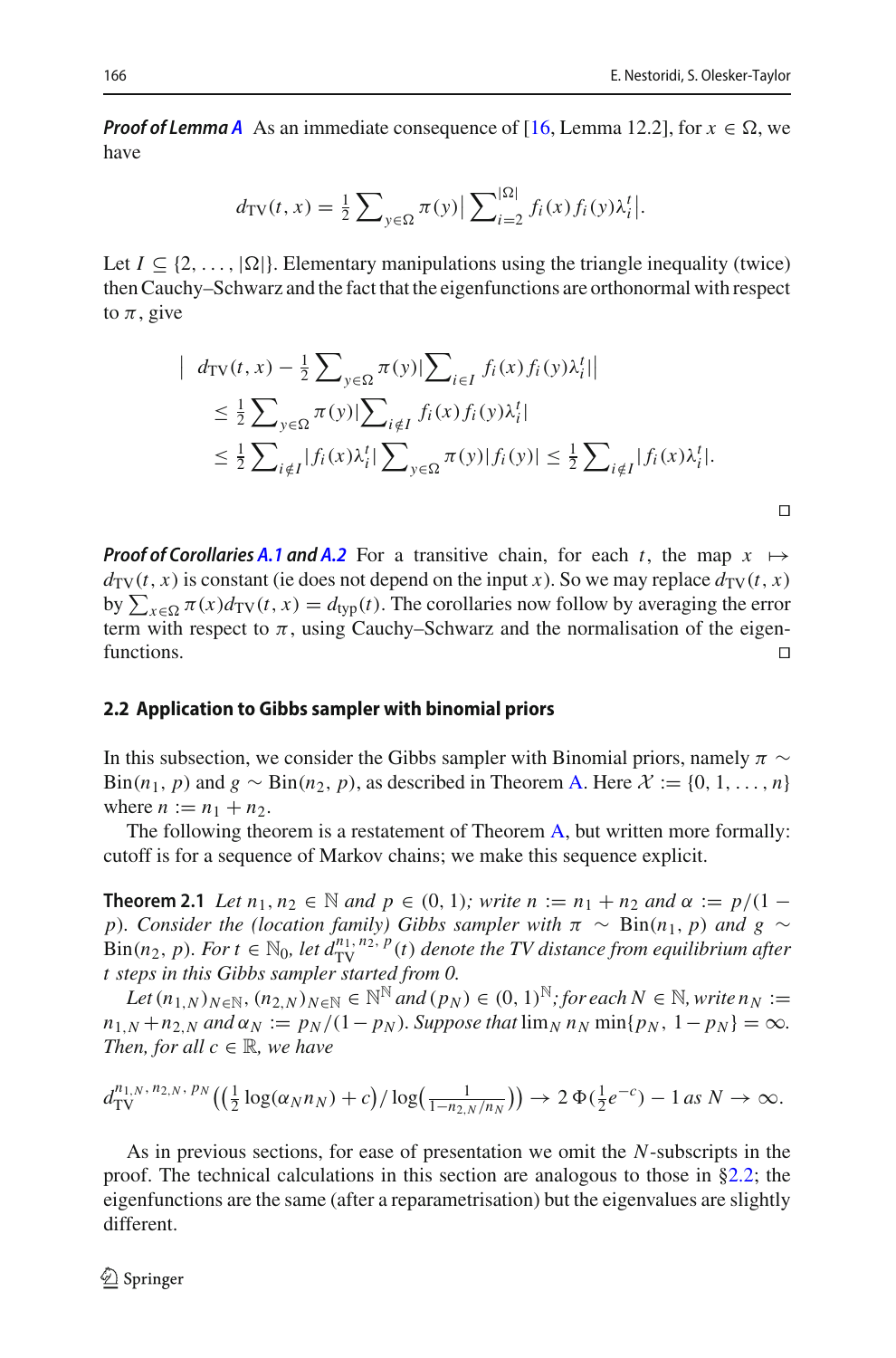$\Box$ 

**Proof of Lemma** *[A](#page-2-0)* As an immediate consequence of [\[16](#page-31-5), Lemma 12.2], for  $x \in \Omega$ , we have

$$
d_{\text{TV}}(t, x) = \frac{1}{2} \sum_{y \in \Omega} \pi(y) \left| \sum_{i=2}^{|\Omega|} f_i(x) f_i(y) \lambda_i^t \right|.
$$

Let  $I \subseteq \{2, ..., |\Omega|\}$ . Elementary manipulations using the triangle inequality (twice) then Cauchy–Schwarz and the fact that the eigenfunctions are orthonormal with respect to  $\pi$ , give

$$
\begin{split} \left| \quad d_{\text{TV}}(t, x) - \frac{1}{2} \sum_{y \in \Omega} \pi(y) \left| \sum_{i \in I} f_i(x) f_i(y) \lambda_i^t \right| \right| \\ &\leq \frac{1}{2} \sum_{y \in \Omega} \pi(y) \left| \sum_{i \notin I} f_i(x) f_i(y) \lambda_i^t \right| \\ &\leq \frac{1}{2} \sum_{i \notin I} |f_i(x) \lambda_i^t| \sum_{y \in \Omega} \pi(y) |f_i(y)| \leq \frac{1}{2} \sum_{i \notin I} |f_i(x) \lambda_i^t|. \end{split}
$$

*Proof of Corollaries [A.1](#page-7-0) and [A.2](#page-8-1)* For a transitive chain, for each *t*, the map  $x \mapsto$  $d_{\text{TV}}(t, x)$  is constant (ie does not depend on the input *x*). So we may replace  $d_{\text{TV}}(t, x)$ by  $\sum_{x \in \Omega} \pi(x) d_{\text{TV}}(t, x) = d_{\text{typ}}(t)$ . The corollaries now follow by averaging the error term with respect to  $\pi$ , using Cauchy–Schwarz and the normalisation of the eigen- $\Box$  functions.

#### <span id="page-9-1"></span>**2.2 Application to Gibbs sampler with binomial priors**

In this subsection, we consider the Gibbs sampler with Binomial priors, namely  $\pi \sim$ Bin(*n*<sub>1</sub>, *p*) and  $g \sim Bin(n_2, p)$ , as described in Theorem [A.](#page-3-0) Here  $\mathcal{X} := \{0, 1, \ldots, n\}$ where  $n := n_1 + n_2$ .

<span id="page-9-0"></span>The following theorem is a restatement of Theorem [A,](#page-3-0) but written more formally: cutoff is for a sequence of Markov chains; we make this sequence explicit.

**Theorem 2.1** *Let*  $n_1, n_2 \in \mathbb{N}$  *and*  $p \in (0, 1)$ *; write*  $n := n_1 + n_2$  *and*  $\alpha := p/(1 - \frac{1}{n_1})$ *p*)*. Consider the (location family) Gibbs sampler with*  $\pi \sim Bin(n_1, p)$  *and*  $g \sim$ Bin(*n*<sub>2</sub>, *p*)*. For t*  $\in$   $\mathbb{N}_0$ *, let*  $d_{\text{TV}}^{n_1, n_2, p}(t)$  *denote the TV distance from equilibrium after t steps in this Gibbs sampler started from 0.*

 $Let (n_{1,N})_{N \in \mathbb{N}}, (n_{2,N})_{N \in \mathbb{N}} \in \mathbb{N}^{\mathbb{N}}$  and  $(p_N) \in (0,1)^{\mathbb{N}}$ ; for each  $N \in \mathbb{N}$ , write  $n_N :=$  $n_{1,N} + n_{2,N}$  *and*  $\alpha_N := p_N/(1-p_N)$ *. Suppose that*  $\lim_N n_N \min\{p_N, 1-p_N\} = \infty$ *. Then, for all*  $c \in \mathbb{R}$ *, we have* 

$$
d_{\mathrm{TV}}^{n_{1,N},\,n_{2,N},\,p_N}\big((\tfrac{1}{2}\log(\alpha_N n_N)+c)/\log(\tfrac{1}{1-n_{2,N}/n_N})\big) \to 2\,\Phi(\tfrac{1}{2}e^{-c})-1\,as\,N\to\infty.
$$

As in previous sections, for ease of presentation we omit the *N*-subscripts in the proof. The technical calculations in this section are analogous to those in [§2.2;](#page-9-1) the eigenfunctions are the same (after a reparametrisation) but the eigenvalues are slightly different.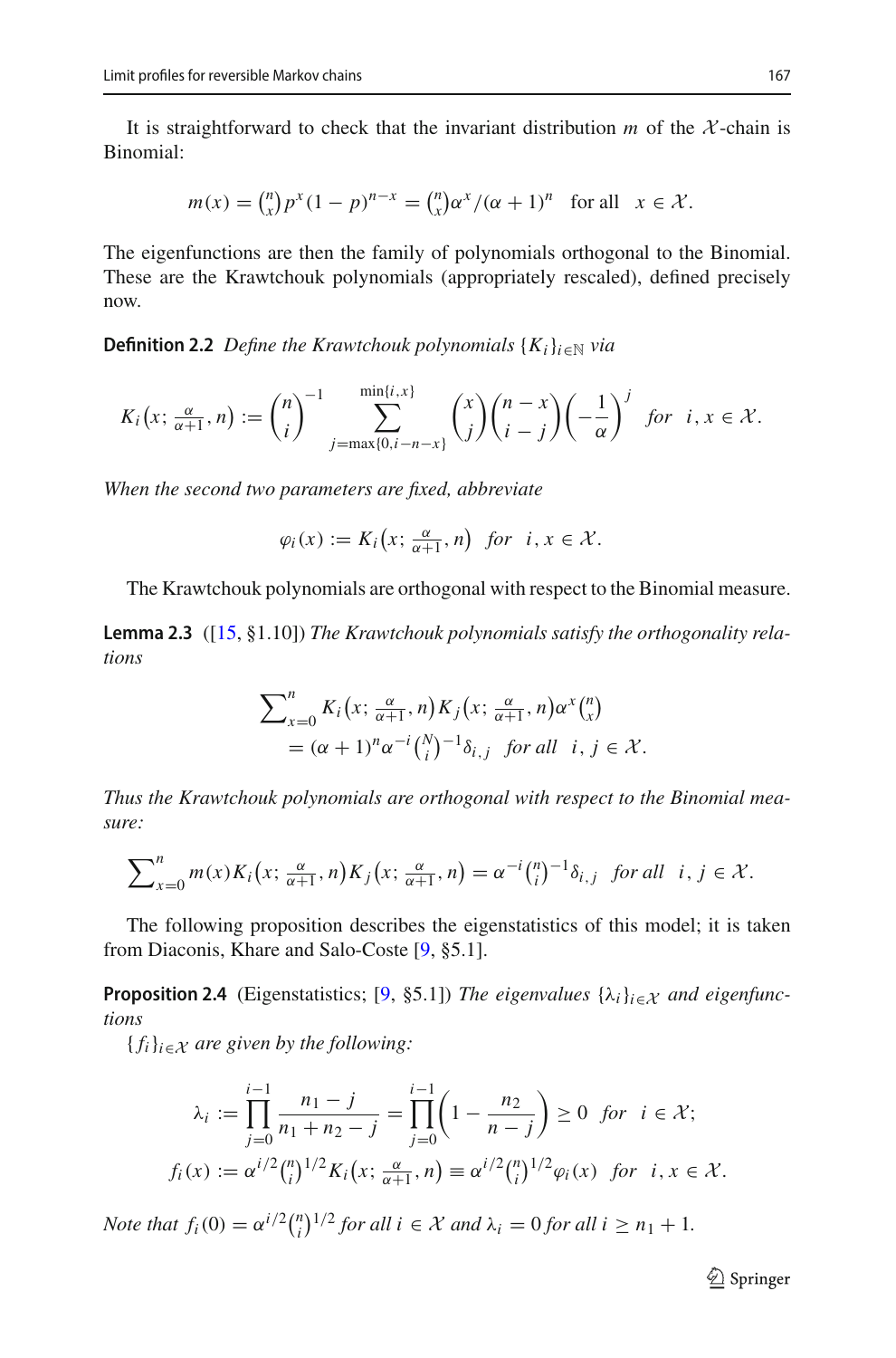It is straightforward to check that the invariant distribution  $m$  of the  $\mathcal{X}$ -chain is Binomial:

$$
m(x) = {n \choose x} p^x (1-p)^{n-x} = {n \choose x} \alpha^x / (\alpha+1)^n
$$
 for all  $x \in \mathcal{X}$ .

The eigenfunctions are then the family of polynomials orthogonal to the Binomial. These are the Krawtchouk polynomials (appropriately rescaled), defined precisely now.

**Definition 2.2** *Define the Krawtchouk polynomials*  $\{K_i\}_{i\in\mathbb{N}}$  *via* 

$$
K_i\big(x;\frac{\alpha}{\alpha+1},n\big):=\binom{n}{i}^{-1}\sum_{j=\max\{0,i-n-x\}}^{\min\{i,x\}}\binom{x}{j}\binom{n-x}{i-j}\bigg(-\frac{1}{\alpha}\bigg)^j \text{ for } i,x\in\mathcal{X}.
$$

*When the second two parameters are fixed, abbreviate*

$$
\varphi_i(x) := K_i\big(x; \tfrac{\alpha}{\alpha+1}, n\big) \ \ \text{for} \ \ i, x \in \mathcal{X}.
$$

<span id="page-10-1"></span>The Krawtchouk polynomials are orthogonal with respect to the Binomial measure.

**Lemma 2.3** ([\[15](#page-31-13), §1.10]) *The Krawtchouk polynomials satisfy the orthogonality relations*

$$
\sum_{x=0}^{n} K_i(x; \frac{\alpha}{\alpha+1}, n) K_j(x; \frac{\alpha}{\alpha+1}, n) \alpha^x {n \choose x}
$$
  
=  $(\alpha + 1)^n \alpha^{-i} {N \choose i}^{-1} \delta_{i,j}$  for all  $i, j \in \mathcal{X}$ .

*Thus the Krawtchouk polynomials are orthogonal with respect to the Binomial measure:*

$$
\sum_{x=0}^{n} m(x) K_i\big(x; \frac{\alpha}{\alpha+1}, n\big) K_j\big(x; \frac{\alpha}{\alpha+1}, n\big) = \alpha^{-i} {n \choose i}^{-1} \delta_{i,j} \text{ for all } i, j \in \mathcal{X}.
$$

<span id="page-10-0"></span>The following proposition describes the eigenstatistics of this model; it is taken from Diaconis, Khare and Salo-Coste [\[9](#page-31-4), §5.1].

**Proposition 2.4** (Eigenstatistics; [\[9,](#page-31-4) §5.1]) *The eigenvalues*  $\{\lambda_i\}_{i \in \mathcal{X}}$  *and eigenfunctions*

 ${f_i}_{i \in X}$  *are given by the following:* 

$$
\lambda_i := \prod_{j=0}^{i-1} \frac{n_1 - j}{n_1 + n_2 - j} = \prod_{j=0}^{i-1} \left( 1 - \frac{n_2}{n - j} \right) \ge 0 \text{ for } i \in \mathcal{X};
$$
  

$$
f_i(x) := \alpha^{i/2} {n \choose i}^{1/2} K_i \left( x; \frac{\alpha}{\alpha + 1}, n \right) \equiv \alpha^{i/2} {n \choose i}^{1/2} \varphi_i(x) \text{ for } i, x \in \mathcal{X}.
$$

*Note that*  $f_i(0) = \alpha^{i/2} {n \choose i}^{1/2}$  *for all*  $i \in \mathcal{X}$  *and*  $\lambda_i = 0$  *for all*  $i \geq n_1 + 1$ *.*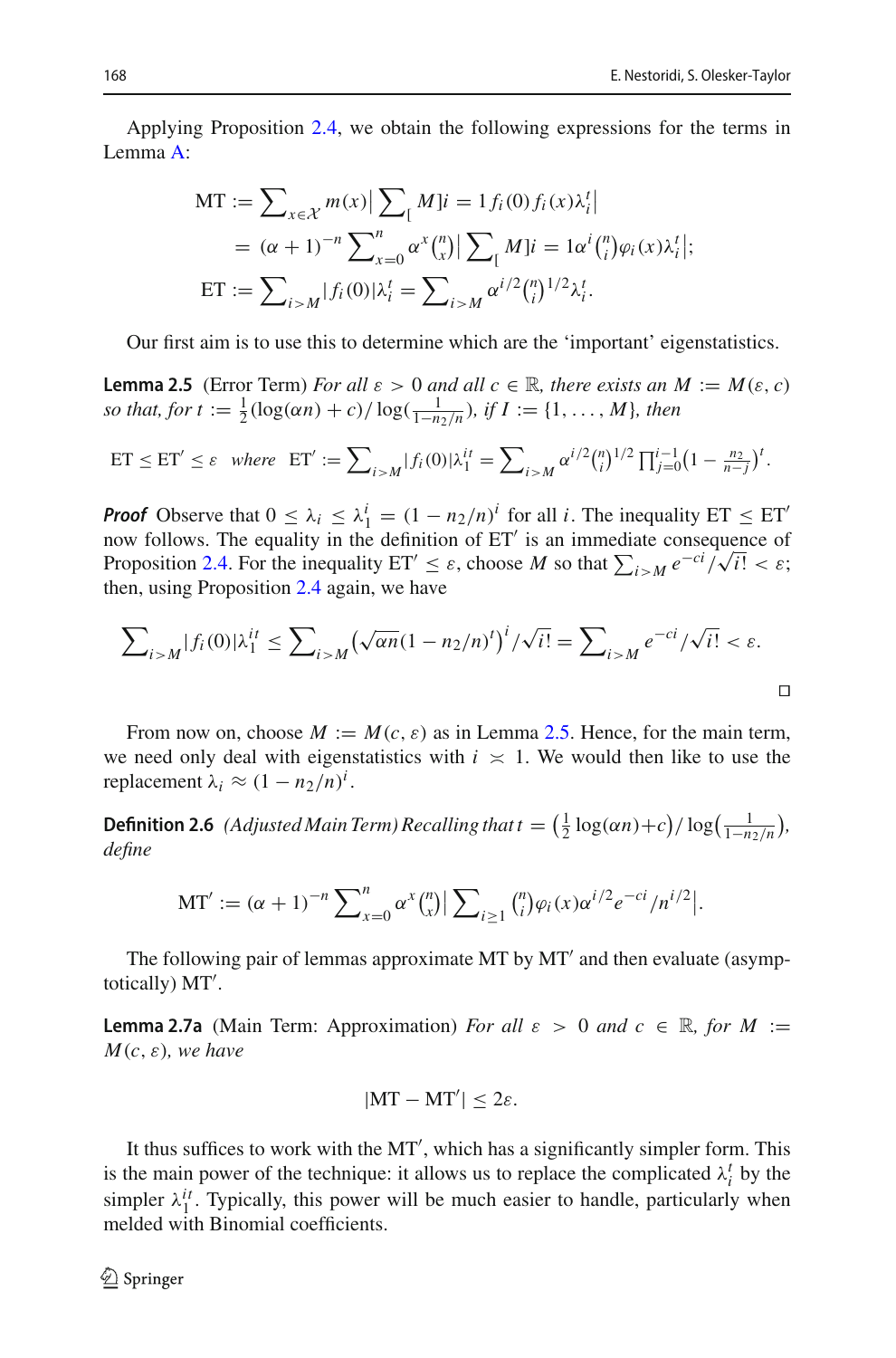Applying Proposition [2.4,](#page-10-0) we obtain the following expressions for the terms in Lemma [A:](#page-2-0)

$$
MT := \sum_{x \in \mathcal{X}} m(x) \left| \sum_{i} M_{i} = 1 f_{i}(0) f_{i}(x) \lambda_{i}^{t} \right|
$$
  
=  $(\alpha + 1)^{-n} \sum_{x=0}^{n} \alpha^{x} {n \choose x} \left| \sum_{i} M_{i} \right| = 1 \alpha^{i} {n \choose i} \varphi_{i}(x) \lambda_{i}^{t} \left| ;$   
ET :=  $\sum_{i > M} |f_{i}(0)| \lambda_{i}^{t} = \sum_{i > M} \alpha^{i/2} {n \choose i}^{1/2} \lambda_{i}^{t}.$ 

<span id="page-11-0"></span>Our first aim is to use this to determine which are the 'important' eigenstatistics.

**Lemma 2.5** (Error Term) *For all*  $\varepsilon > 0$  *and all*  $c \in \mathbb{R}$ *, there exists an*  $M := M(\varepsilon, c)$ *so that, for t* :=  $\frac{1}{2}$ ( $\log(\alpha n) + c$ )/ $\log(\frac{1}{1-n_2/n})$ *, if*  $I := \{1, ..., M\}$ *, then* 

ET 
$$
\leq
$$
 ET'  $\leq \varepsilon$  where ET' :=  $\sum_{i>M} |f_i(0)| \lambda_1^{it} = \sum_{i>M} \alpha^{i/2} {n \choose i}^{1/2} \prod_{j=0}^{i-1} (1 - \frac{n_2}{n-j})^t$ .

*Proof* Observe that  $0 \leq \lambda_i \leq \lambda_1^i = (1 - n_2/n)^i$  for all *i*. The inequality ET  $\leq$  ET<sup>'</sup> now follows. The equality in the definition of ET is an immediate consequence of Proposition [2.4.](#page-10-0) For the inequality  $ET' \leq \varepsilon$ , choose *M* so that  $\sum_{i > M} e^{-ci}/\sqrt{i!} < \varepsilon$ ; then, using Proposition [2.4](#page-10-0) again, we have

$$
\sum_{i>M} |f_i(0)| \lambda_1^{it} \le \sum_{i>M} \left(\sqrt{\alpha n} (1 - n_2/n)^t\right)^i / \sqrt{i!} = \sum_{i>M} e^{-ci} / \sqrt{i!} < \varepsilon.
$$

From now on, choose  $M := M(c, \varepsilon)$  as in Lemma [2.5.](#page-11-0) Hence, for the main term, we need only deal with eigenstatistics with  $i \times 1$ . We would then like to use the replacement  $\lambda_i \approx (1 - n_2/n)^i$ .

<span id="page-11-3"></span>**Definition 2.6** (Adjusted Main Term) Recalling that  $t = (\frac{1}{2} \log(\alpha n) + c)/\log(\frac{1}{1-n_2/n})$ , *define*

$$
MT' := (\alpha + 1)^{-n} \sum_{x=0}^{n} \alpha^{x} {n \choose x} \big| \sum_{i \geq 1} {n \choose i} \varphi_i(x) \alpha^{i/2} e^{-ci} / n^{i/2} \big|.
$$

<span id="page-11-1"></span>The following pair of lemmas approximate MT by MT' and then evaluate (asymptotically) MT .

**Lemma 2.7a** (Main Term: Approximation) *For all*  $\varepsilon > 0$  *and*  $c \in \mathbb{R}$ , *for*  $M :=$  $M(c, \varepsilon)$ *, we have* 

$$
|MT - MT'| \leq 2\varepsilon.
$$

<span id="page-11-2"></span>It thus suffices to work with the MT', which has a significantly simpler form. This is the main power of the technique: it allows us to replace the complicated  $\lambda_i^t$  by the simpler  $\lambda_1^{it}$ . Typically, this power will be much easier to handle, particularly when melded with Binomial coefficients.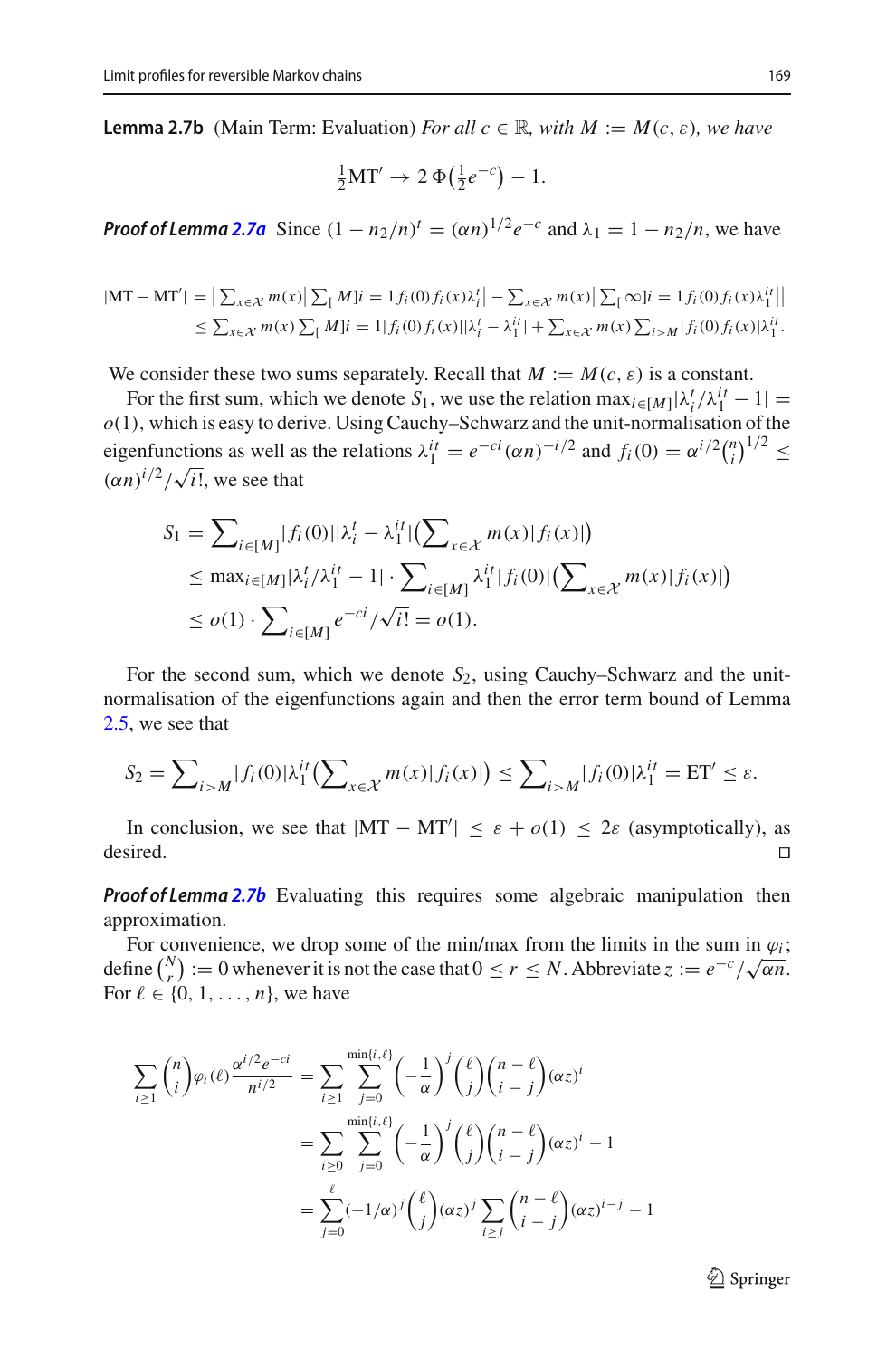**Lemma 2.7b** (Main Term: Evaluation) *For all*  $c \in \mathbb{R}$ *, with*  $M := M(c, \varepsilon)$ *, we have* 

$$
\frac{1}{2}\mathbf{MT}' \to 2\,\Phi\big(\frac{1}{2}e^{-c}\big) - 1.
$$

*Proof of Lemma* 2.7*a* Since  $(1 - n_2/n)^t = (\alpha n)^{1/2} e^{-c}$  and  $\lambda_1 = 1 - n_2/n$ , we have

$$
|\mathbf{MT} - \mathbf{MT'}| = \left| \sum_{x \in \mathcal{X}} m(x) \right| \sum_{\mathfrak{l}} M |i = 1 f_i(0) f_i(x) \lambda_i' | - \sum_{x \in \mathcal{X}} m(x) \left| \sum_{\mathfrak{l}} \infty |i = 1 f_i(0) f_i(x) \lambda_i'' | \right|
$$
  
\$\leq \sum\_{x \in \mathcal{X}} m(x) \sum\_{\mathfrak{l}} M |i = 1 | f\_i(0) f\_i(x) | \lambda\_i' - \lambda\_1''| + \sum\_{x \in \mathcal{X}} m(x) \sum\_{i > M} | f\_i(0) f\_i(x) | \lambda\_1''|\$

We consider these two sums separately. Recall that  $M := M(c, \varepsilon)$  is a constant.

For the first sum, which we denote  $S_1$ , we use the relation  $\max_{i \in [M]} |\lambda_i^t / \lambda_1^{it} - 1|$ *o*(1), which is easy to derive. Using Cauchy–Schwarz and the unit-normalisation of the eigenfunctions as well as the relations  $\lambda_1^{it} = e^{-ci} (\alpha n)^{-i/2}$  and  $f_i(0) = \alpha^{i/2} {n \choose i}^{1/2} \le$  $(\alpha n)^{i/2} / \sqrt{i!}$ , we see that

$$
S_1 = \sum_{i \in [M]} |f_i(0)| |\lambda_i^t - \lambda_1^{it}| (\sum_{x \in \mathcal{X}} m(x) |f_i(x)|)
$$
  
\n
$$
\leq \max_{i \in [M]} |\lambda_i^t / \lambda_1^{it} - 1| \cdot \sum_{i \in [M]} \lambda_1^{it} |f_i(0)| (\sum_{x \in \mathcal{X}} m(x) |f_i(x)|)
$$
  
\n
$$
\leq o(1) \cdot \sum_{i \in [M]} e^{-ci} / \sqrt{i!} = o(1).
$$

For the second sum, which we denote *S*2, using Cauchy–Schwarz and the unitnormalisation of the eigenfunctions again and then the error term bound of Lemma [2.5,](#page-11-0) we see that

$$
S_2 = \sum_{i>M} |f_i(0)| \lambda_1^{it} \left( \sum_{x \in \mathcal{X}} m(x) |f_i(x)| \right) \le \sum_{i>M} |f_i(0)| \lambda_1^{it} = \text{ET}' \le \varepsilon.
$$

In conclusion, we see that  $|MT - MT'| \le \varepsilon + o(1) \le 2\varepsilon$  (asymptotically), as desired.  $\Box$ 

*Proof of Lemma* **[2.7b](#page-11-2)** Evaluating this requires some algebraic manipulation then approximation.

For convenience, we drop some of the min/max from the limits in the sum in  $\varphi_i$ ; define  $\binom{N}{r} := 0$  whenever it is not the case that  $0 \le r \le N$ . Abbreviate  $z := e^{-c}/\sqrt{\alpha n}$ . For  $\ell \in \{0, 1, \ldots, n\}$ , we have

$$
\sum_{i\geq 1} {n \choose i} \varphi_i(\ell) \frac{\alpha^{i/2} e^{-ci}}{n^{i/2}} = \sum_{i\geq 1} \sum_{j=0}^{\min\{i,\ell\}} \left(-\frac{1}{\alpha}\right)^j \binom{\ell}{j} \binom{n-\ell}{i-j} (\alpha z)^i
$$

$$
= \sum_{i\geq 0} \sum_{j=0}^{\min\{i,\ell\}} \left(-\frac{1}{\alpha}\right)^j \binom{\ell}{j} \binom{n-\ell}{i-j} (\alpha z)^i - 1
$$

$$
= \sum_{j=0}^{\ell} (-1/\alpha)^j \binom{\ell}{j} (\alpha z)^j \sum_{i\geq j} \binom{n-\ell}{i-j} (\alpha z)^{i-j} - 1
$$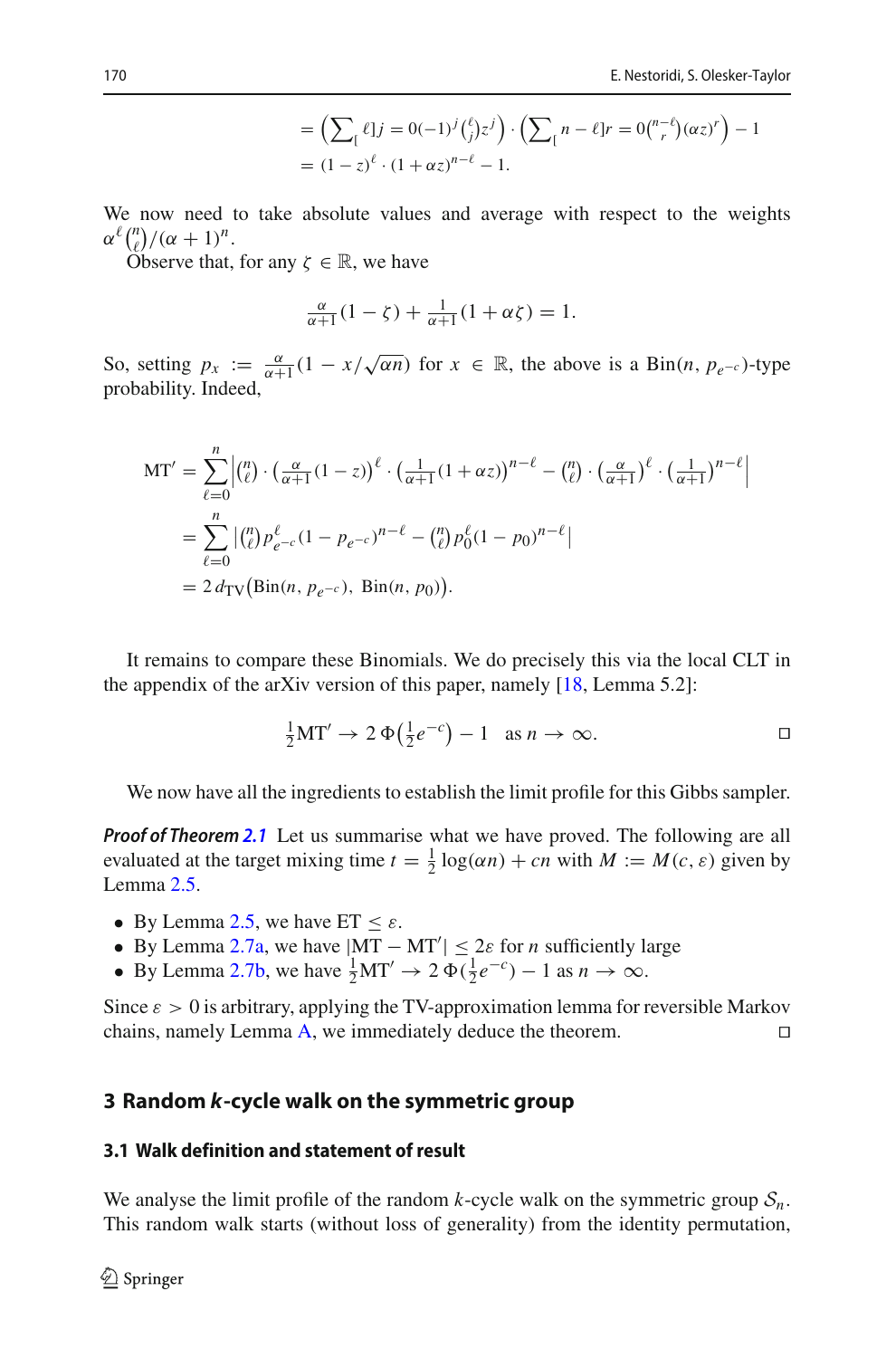$$
= \left(\sum_{\lbrack} \ell \rbrack j = 0(-1)^j {\ell \choose j} z^j \right) \cdot \left(\sum_{\lbrack} n - \ell \rbrack r = 0 {\binom{n-\ell}{r}} (\alpha z)^r \right) - 1
$$
  
=  $(1-z)^{\ell} \cdot (1 + \alpha z)^{n-\ell} - 1.$ 

We now need to take absolute values and average with respect to the weights  $\alpha^{\ell} \binom{n}{\ell} / (\alpha + 1)^n$ .

Observe that, for any  $\zeta \in \mathbb{R}$ , we have

$$
\frac{\alpha}{\alpha+1}(1-\zeta)+\frac{1}{\alpha+1}(1+\alpha\zeta)=1.
$$

So, setting  $p_x := \frac{\alpha}{\alpha+1} (1 - x/\sqrt{\alpha n})$  for  $x \in \mathbb{R}$ , the above is a Bin(*n*,  $p_{e^{-c}}$ )-type probability. Indeed,

$$
MT' = \sum_{\ell=0}^{n} \left| \binom{n}{\ell} \cdot \left( \frac{\alpha}{\alpha+1} (1-z) \right)^{\ell} \cdot \left( \frac{1}{\alpha+1} (1+\alpha z) \right)^{n-\ell} - \binom{n}{\ell} \cdot \left( \frac{\alpha}{\alpha+1} \right)^{\ell} \cdot \left( \frac{1}{\alpha+1} \right)^{n-\ell} \right|
$$
  
= 
$$
\sum_{\ell=0}^{n} \left| \binom{n}{\ell} p_{e^{-c}}^{\ell} (1-p_{e^{-c}})^{n-\ell} - \binom{n}{\ell} p_0^{\ell} (1-p_0)^{n-\ell} \right|
$$
  
= 
$$
2 d_{TV} \left( Bin(n, p_{e^{-c}}), Bin(n, p_0) \right).
$$

It remains to compare these Binomials. We do precisely this via the local CLT in the appendix of the arXiv version of this paper, namely  $[18, \text{Lemma } 5.2]$  $[18, \text{Lemma } 5.2]$ :

$$
\frac{1}{2}MT' \to 2\Phi(\frac{1}{2}e^{-c}) - 1 \quad \text{as } n \to \infty.
$$

We now have all the ingredients to establish the limit profile for this Gibbs sampler.

*Proof of Theorem [2.1](#page-9-0)* Let us summarise what we have proved. The following are all evaluated at the target mixing time  $t = \frac{1}{2} \log(\alpha n) + cn$  with  $M := M(c, \varepsilon)$  given by Lemma [2.5.](#page-11-0)

- By Lemma [2.5,](#page-11-0) we have  $ET \leq \varepsilon$ .
- By Lemma [2.7a,](#page-11-1) we have  $|MT MT'| \leq 2\varepsilon$  for *n* sufficiently large
- By Lemma [2.7b,](#page-11-2) we have  $\frac{1}{2}MT' \rightarrow 2 \Phi(\frac{1}{2}e^{-c}) 1$  as  $n \rightarrow \infty$ .

Since  $\varepsilon > 0$  is arbitrary, applying the TV-approximation lemma for reversible Markov chains, namely Lemma [A,](#page-2-0) we immediately deduce the theorem.

### <span id="page-13-0"></span>**3 Random** *k***-cycle walk on the symmetric group**

### **3.1 Walk definition and statement of result**

We analyse the limit profile of the random  $k$ -cycle walk on the symmetric group  $S_n$ . This random walk starts (without loss of generality) from the identity permutation,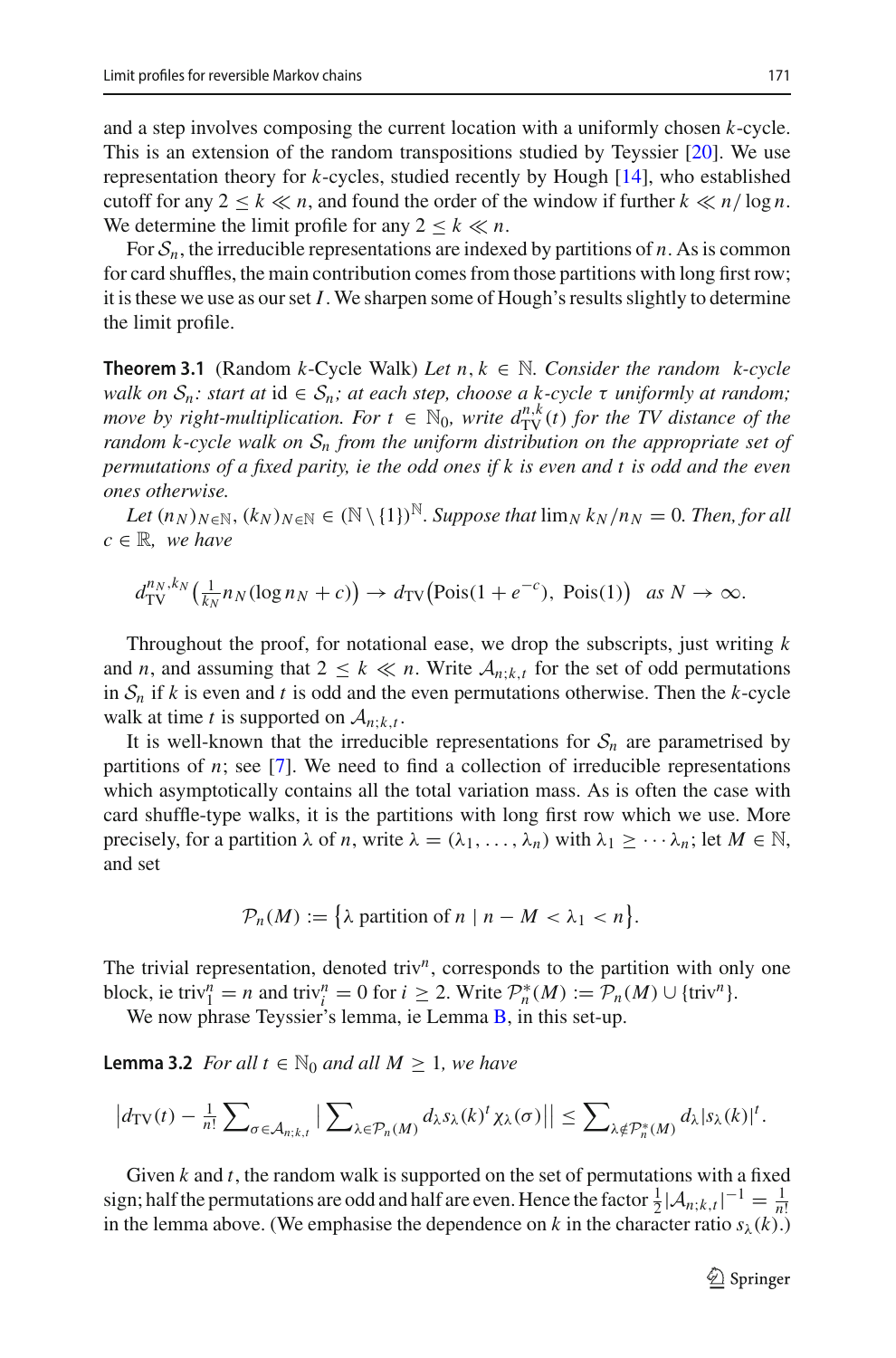and a step involves composing the current location with a uniformly chosen *k*-cycle. This is an extension of the random transpositions studied by Teyssier [\[20](#page-31-2)]. We use representation theory for *k*-cycles, studied recently by Hough [\[14\]](#page-31-3), who established cutoff for any  $2 \le k \ll n$ , and found the order of the window if further  $k \ll n/\log n$ . We determine the limit profile for any  $2 \leq k \ll n$ .

For  $S_n$ , the irreducible representations are indexed by partitions of *n*. As is common for card shuffles, the main contribution comes from those partitions with long first row; it is these we use as our set *I*. We sharpen some of Hough's results slightly to determine the limit profile.

<span id="page-14-0"></span>**Theorem 3.1** (Random *k*-Cycle Walk) *Let*  $n, k \in \mathbb{N}$ . Consider the random *k*-cycle *walk on*  $S_n$ : *start at*  $id \in S_n$ ; *at each step, choose a k-cycle*  $\tau$  *uniformly at random*; *move by right-multiplication. For*  $t \in \mathbb{N}_0$ , write  $d_{\text{TV}}^{n,k}(t)$  for the TV distance of the *random k-cycle walk on S<sup>n</sup> from the uniform distribution on the appropriate set of permutations of a fixed parity, ie the odd ones if k is even and t is odd and the even ones otherwise.*

*Let*  $(n_N)_{N \in \mathbb{N}}$ ,  $(k_N)_{N \in \mathbb{N}} \in (\mathbb{N} \setminus \{1\})^{\mathbb{N}}$ . Suppose that  $\lim_{N \to \infty} k_N/n_N = 0$ . Then, for all  $c \in \mathbb{R}$ *, we have* 

 $d_{\text{TV}}^{n_N, k_N}(\frac{1}{k_N}n_N(\log n_N + c)) \to d_{\text{TV}}(\text{Pois}(1 + e^{-c}), \text{Pois}(1)) \text{ as } N \to \infty.$ 

Throughout the proof, for notational ease, we drop the subscripts, just writing *k* and *n*, and assuming that  $2 \leq k \ll n$ . Write  $A_{n;k,t}$  for the set of odd permutations in  $S_n$  if *k* is even and *t* is odd and the even permutations otherwise. Then the *k*-cycle walk at time *t* is supported on  $A_{n;k,t}$ .

It is well-known that the irreducible representations for  $S_n$  are parametrised by partitions of *n*; see [\[7\]](#page-31-14). We need to find a collection of irreducible representations which asymptotically contains all the total variation mass. As is often the case with card shuffle-type walks, it is the partitions with long first row which we use. More precisely, for a partition  $\lambda$  of *n*, write  $\lambda = (\lambda_1, \ldots, \lambda_n)$  with  $\lambda_1 \geq \cdots \lambda_n$ ; let  $M \in \mathbb{N}$ , and set

$$
\mathcal{P}_n(M) := \left\{ \lambda \text{ partition of } n \mid n - M < \lambda_1 < n \right\}.
$$

The trivial representation, denoted triv<sup>n</sup>, corresponds to the partition with only one block, ie triv<sup>n</sup> = *n* and triv<sup>n</sup> = 0 for *i* ≥ 2. Write  $\mathcal{P}_n^*(M) := \mathcal{P}_n(M) \cup \{\text{triv}^n\}.$ 

<span id="page-14-1"></span>We now phrase Teyssier's lemma, ie Lemma [B,](#page-5-0) in this set-up.

**Lemma 3.2** *For all*  $t \in \mathbb{N}_0$  *and all*  $M \geq 1$ *, we have* 

$$
\left|d_{\mathrm{TV}}(t) - \frac{1}{n!} \sum\nolimits_{\sigma \in \mathcal{A}_{n;k,t}} \left| \sum\nolimits_{\lambda \in \mathcal{P}_n(M)} d_{\lambda} s_{\lambda}(k)^{t} \chi_{\lambda}(\sigma) \right|\right| \leq \sum\nolimits_{\lambda \notin \mathcal{P}_n^*(M)} d_{\lambda} |s_{\lambda}(k)|^{t}.
$$

Given *k* and *t*, the random walk is supported on the set of permutations with a fixed sign; half the permutations are odd and half are even. Hence the factor  $\frac{1}{2} |A_{n;k,t}|^{-1} = \frac{1}{n!}$ in the lemma above. (We emphasise the dependence on *k* in the character ratio  $s_\lambda(k)$ .)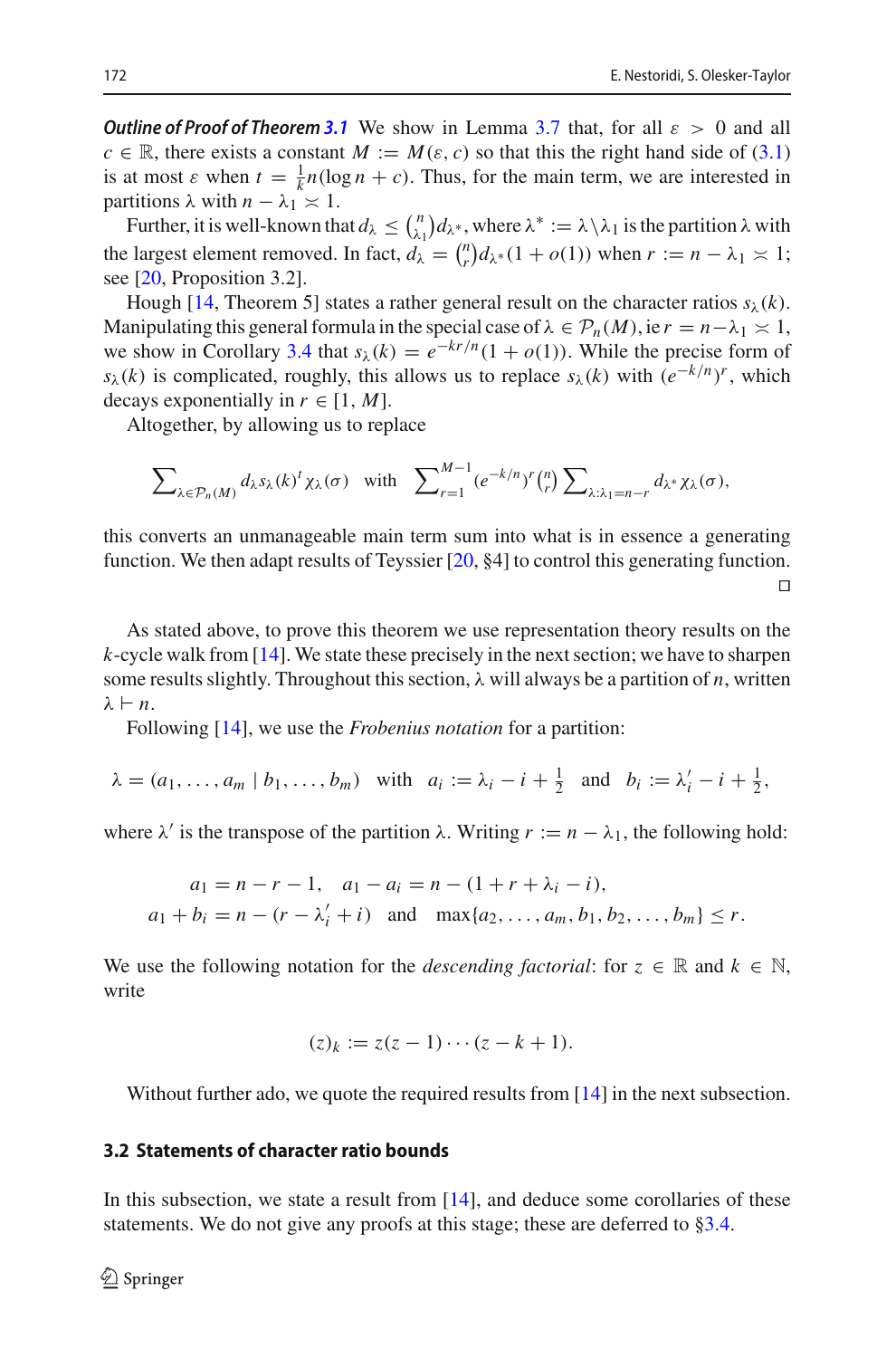*Outline of Proof of Theorem [3.1](#page-14-0)* We show in Lemma [3.7](#page-16-0) that, for all  $\varepsilon > 0$  and all  $c \in \mathbb{R}$ , there exists a constant  $M := M(\varepsilon, c)$  so that this the right hand side of [\(3.1\)](#page-20-0) is at most  $\varepsilon$  when  $t = \frac{1}{k}n(\log n + c)$ . Thus, for the main term, we are interested in partitions  $λ$  with  $n - λ_1 \ge 1$ .

Further, it is well-known that  $d_{\lambda} \leq {n \choose \lambda_1} d_{\lambda^*}$ , where  $\lambda^* := \lambda \setminus \lambda_1$  is the partition  $\lambda$  with the largest element removed. In fact,  $d_{\lambda} = {n \choose r} d_{\lambda} * (1 + o(1))$  when  $r := n - \lambda_1 \times 1$ ; see [\[20](#page-31-2), Proposition 3.2].

Hough [\[14](#page-31-3), Theorem 5] states a rather general result on the character ratios  $s_\lambda(k)$ . Manipulating this general formula in the special case of  $\lambda \in \mathcal{P}_n(M)$ , ie  $r = n - \lambda_1 \times 1$ , we show in Corollary [3.4](#page-16-1) that  $s_\lambda(k) = e^{-kr/n}(1 + o(1))$ . While the precise form of *s*<sub>λ</sub>(*k*) is complicated, roughly, this allows us to replace *s*<sub>λ</sub>(*k*) with  $(e^{-k/n})^r$ , which decays exponentially in  $r \in [1, M]$ .

Altogether, by allowing us to replace

$$
\sum\nolimits_{\lambda \in \mathcal{P}_n(M)} d_{\lambda} s_{\lambda}(k)^t \chi_{\lambda}(\sigma) \quad \text{with} \quad \sum\nolimits_{r=1}^{M-1} (e^{-k/n})^r \binom{n}{r} \sum\nolimits_{\lambda: \lambda_1 = n-r} d_{\lambda^*} \chi_{\lambda}(\sigma),
$$

this converts an unmanageable main term sum into what is in essence a generating function. We then adapt results of Teyssier  $[20, 84]$  $[20, 84]$  to control this generating function.  $\Box$ 

As stated above, to prove this theorem we use representation theory results on the *k*-cycle walk from [\[14](#page-31-3)]. We state these precisely in the next section; we have to sharpen some results slightly. Throughout this section,  $\lambda$  will always be a partition of *n*, written  $\lambda \vdash n$ .

Following [\[14](#page-31-3)], we use the *Frobenius notation* for a partition:

$$
\lambda = (a_1, \ldots, a_m \mid b_1, \ldots, b_m) \quad \text{with} \quad a_i := \lambda_i - i + \frac{1}{2} \quad \text{and} \quad b_i := \lambda'_i - i + \frac{1}{2},
$$

where  $\lambda'$  is the transpose of the partition  $\lambda$ . Writing  $r := n - \lambda_1$ , the following hold:

$$
a_1 = n - r - 1, \quad a_1 - a_i = n - (1 + r + \lambda_i - i),
$$
  
\n
$$
a_1 + b_i = n - (r - \lambda'_i + i) \quad \text{and} \quad \max\{a_2, \dots, a_m, b_1, b_2, \dots, b_m\} \le r.
$$

We use the following notation for the *descending factorial*: for  $z \in \mathbb{R}$  and  $k \in \mathbb{N}$ , write

$$
(z)_k := z(z-1)\cdots(z-k+1).
$$

Without further ado, we quote the required results from [\[14\]](#page-31-3) in the next subsection.

### <span id="page-15-0"></span>**3.2 Statements of character ratio bounds**

In this subsection, we state a result from [\[14](#page-31-3)], and deduce some corollaries of these statements. We do not give any proofs at this stage; these are deferred to [§3.4.](#page-22-0)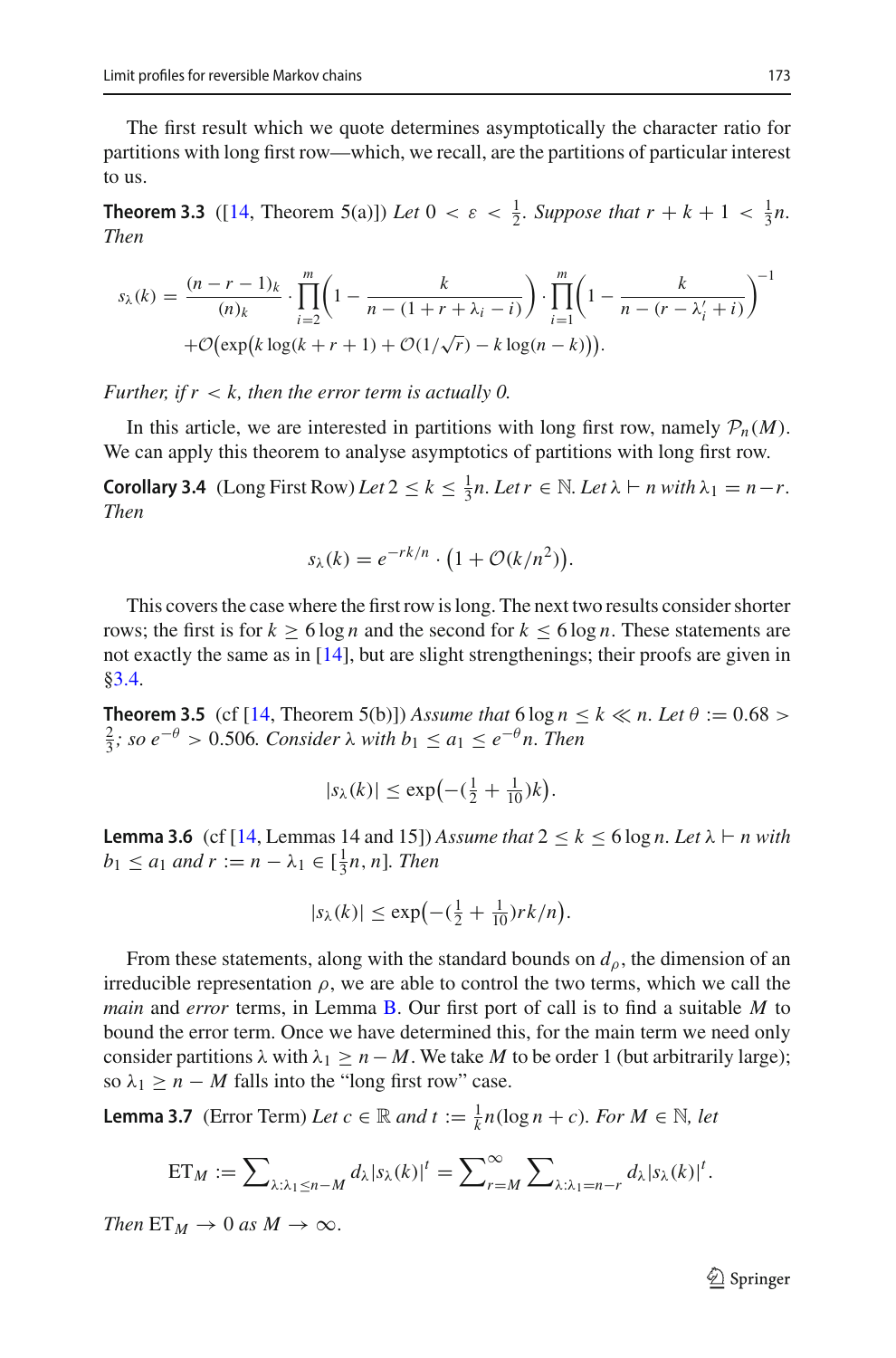The first result which we quote determines asymptotically the character ratio for partitions with long first row—which, we recall, are the partitions of particular interest to us.

<span id="page-16-4"></span>**Theorem 3.3** ([\[14](#page-31-3), Theorem 5(a)]) *Let*  $0 < \varepsilon < \frac{1}{2}$ *. Suppose that*  $r + k + 1 < \frac{1}{3}n$ *. Then*

$$
s_{\lambda}(k) = \frac{(n-r-1)_{k}}{(n)_{k}} \cdot \prod_{i=2}^{m} \left(1 - \frac{k}{n - (1+r+\lambda_{i}-i)}\right) \cdot \prod_{i=1}^{m} \left(1 - \frac{k}{n - (r-\lambda'_{i}+i)}\right)^{-1} + \mathcal{O}(\exp\left(k \log(k+r+1) + \mathcal{O}(1/\sqrt{r}) - k \log(n-k)\right)).
$$

*Further, if r* < *k, then the error term is actually 0.*

<span id="page-16-1"></span>In this article, we are interested in partitions with long first row, namely  $\mathcal{P}_n(M)$ . We can apply this theorem to analyse asymptotics of partitions with long first row.

**Corollary 3.4** (Long First Row) *Let*  $2 \le k \le \frac{1}{3}n$ *. Let*  $r \in \mathbb{N}$ *. Let*  $\lambda \vdash n$  *with*  $\lambda_1 = n - r$ *. Then*

$$
s_{\lambda}(k) = e^{-rk/n} \cdot \left(1 + \mathcal{O}(k/n^2)\right).
$$

This covers the case where the first row is long. The next two results consider shorter rows; the first is for  $k \ge 6 \log n$  and the second for  $k \le 6 \log n$ . These statements are not exactly the same as in [\[14](#page-31-3)], but are slight strengthenings; their proofs are given in [§3.4.](#page-22-0)

<span id="page-16-2"></span>**Theorem 3.5** (cf [\[14,](#page-31-3) Theorem 5(b)]) *Assume that*  $6 \log n \le k \ll n$ . Let  $\theta := 0.68$  $\frac{2}{3}$ ; so e<sup>−θ</sup> > 0.506*.* Consider λ with  $b_1 \le a_1 \le e^{-θ}$ n. Then

$$
|s_{\lambda}(k)| \le \exp\left(-\left(\frac{1}{2} + \frac{1}{10}\right)k\right).
$$

<span id="page-16-3"></span>**Lemma 3.6** (cf [\[14,](#page-31-3) Lemmas 14 and 15]) *Assume that*  $2 \le k \le 6 \log n$ . Let  $\lambda \vdash n$  with  $b_1 \le a_1$  *and*  $r := n - \lambda_1 \in [\frac{1}{3}n, n]$ *. Then* 

$$
|s_\lambda(k)| \le \exp\left(-(\frac{1}{2} + \frac{1}{10})rk/n\right).
$$

From these statements, along with the standard bounds on *d*ρ, the dimension of an irreducible representation  $\rho$ , we are able to control the two terms, which we call the *main* and *error* terms, in Lemma [B.](#page-5-0) Our first port of call is to find a suitable *M* to bound the error term. Once we have determined this, for the main term we need only consider partitions  $\lambda$  with  $\lambda_1 \geq n - M$ . We take *M* to be order 1 (but arbitrarily large); so  $\lambda_1 \geq n - M$  falls into the "long first row" case.

<span id="page-16-0"></span>**Lemma 3.7** (Error Term) *Let*  $c \in \mathbb{R}$  *and*  $t := \frac{1}{k}n(\log n + c)$ *. For*  $M \in \mathbb{N}$ *, let* 

$$
ET_M := \sum\nolimits_{\lambda:\lambda_1\leq n-M} d_\lambda |s_\lambda(k)|^t = \sum\nolimits_{r=M}^\infty \sum\nolimits_{\lambda:\lambda_1=n-r} d_\lambda |s_\lambda(k)|^t.
$$

*Then*  $ET_M \rightarrow 0$  *as*  $M \rightarrow \infty$ .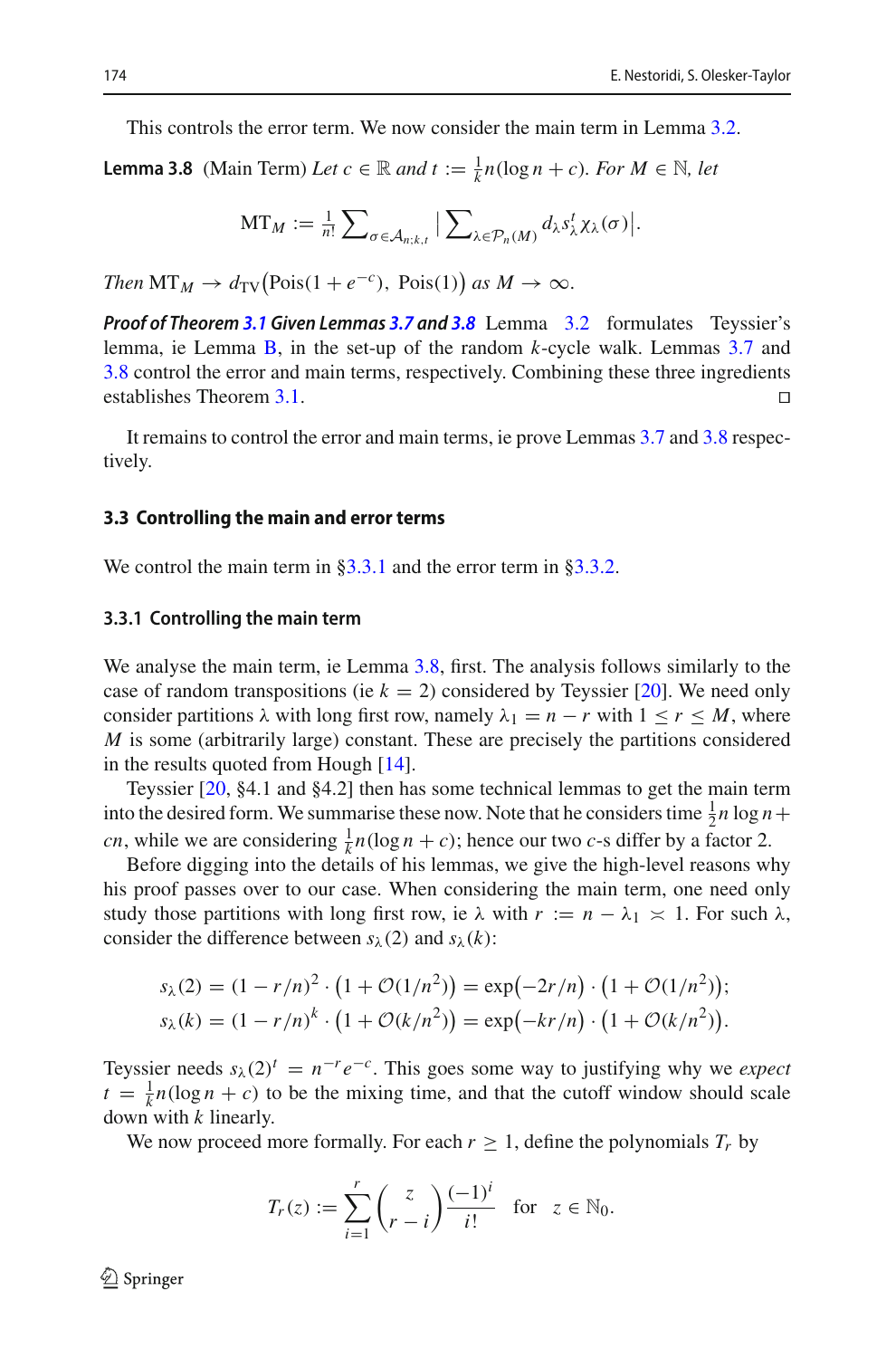<span id="page-17-0"></span>This controls the error term. We now consider the main term in Lemma [3.2.](#page-14-1)

**Lemma 3.8** (Main Term) *Let*  $c \in \mathbb{R}$  *and*  $t := \frac{1}{k}n(\log n + c)$ *. For*  $M \in \mathbb{N}$ *, let* 

$$
\mathrm{MT}_M := \tfrac{1}{n!} \sum\nolimits_{\sigma \in \mathcal{A}_{n;k,t}} \big| \sum\nolimits_{\lambda \in \mathcal{P}_n(M)} d_\lambda s_\lambda^t \chi_\lambda(\sigma) \big|.
$$

*Then*  $MT_M \to d_{TV}(Pois(1 + e^{-c}), Pois(1))$  *as*  $M \to \infty$ .

*Proof of Theorem [3.1](#page-14-0) Given Lemmas [3.7](#page-16-0) and [3.8](#page-17-0)* Lemma [3.2](#page-14-1) formulates Teyssier's lemma, ie Lemma [B,](#page-5-0) in the set-up of the random *k*-cycle walk. Lemmas [3.7](#page-16-0) and [3.8](#page-17-0) control the error and main terms, respectively. Combining these three ingredients establishes Theorem [3.1.](#page-14-0)

It remains to control the error and main terms, ie prove Lemmas [3.7](#page-16-0) and [3.8](#page-17-0) respectively.

#### **3.3 Controlling the main and error terms**

We control the main term in [§3.3.1](#page-17-1) and the error term in [§3.3.2.](#page-20-1)

#### <span id="page-17-1"></span>**3.3.1 Controlling the main term**

We analyse the main term, ie Lemma [3.8,](#page-17-0) first. The analysis follows similarly to the case of random transpositions (ie  $k = 2$ ) considered by Teyssier [\[20](#page-31-2)]. We need only consider partitions  $\lambda$  with long first row, namely  $\lambda_1 = n - r$  with  $1 \le r \le M$ , where *M* is some (arbitrarily large) constant. These are precisely the partitions considered in the results quoted from Hough [\[14\]](#page-31-3).

Teyssier [\[20,](#page-31-2) §4.1 and §4.2] then has some technical lemmas to get the main term into the desired form. We summarise these now. Note that he considers time  $\frac{1}{2}n \log n +$ *cn*, while we are considering  $\frac{1}{k}n(\log n + c)$ ; hence our two *c*-s differ by a factor 2.

Before digging into the details of his lemmas, we give the high-level reasons why his proof passes over to our case. When considering the main term, one need only study those partitions with long first row, ie  $\lambda$  with  $r := n - \lambda_1 \times 1$ . For such  $\lambda$ , consider the difference between  $s_\lambda(2)$  and  $s_\lambda(k)$ :

$$
s_{\lambda}(2) = (1 - r/n)^{2} \cdot (1 + \mathcal{O}(1/n^{2})) = \exp(-2r/n) \cdot (1 + \mathcal{O}(1/n^{2}));
$$
  
\n
$$
s_{\lambda}(k) = (1 - r/n)^{k} \cdot (1 + \mathcal{O}(k/n^{2})) = \exp(-kr/n) \cdot (1 + \mathcal{O}(k/n^{2})).
$$

Teyssier needs  $s_\lambda(2)^t = n^{-r}e^{-c}$ . This goes some way to justifying why we *expect*  $t = \frac{1}{k} n(\log n + c)$  to be the mixing time, and that the cutoff window should scale down with *k* linearly.

We now proceed more formally. For each  $r \geq 1$ , define the polynomials  $T_r$  by

$$
T_r(z) := \sum_{i=1}^r \binom{z}{r-i} \frac{(-1)^i}{i!} \text{ for } z \in \mathbb{N}_0.
$$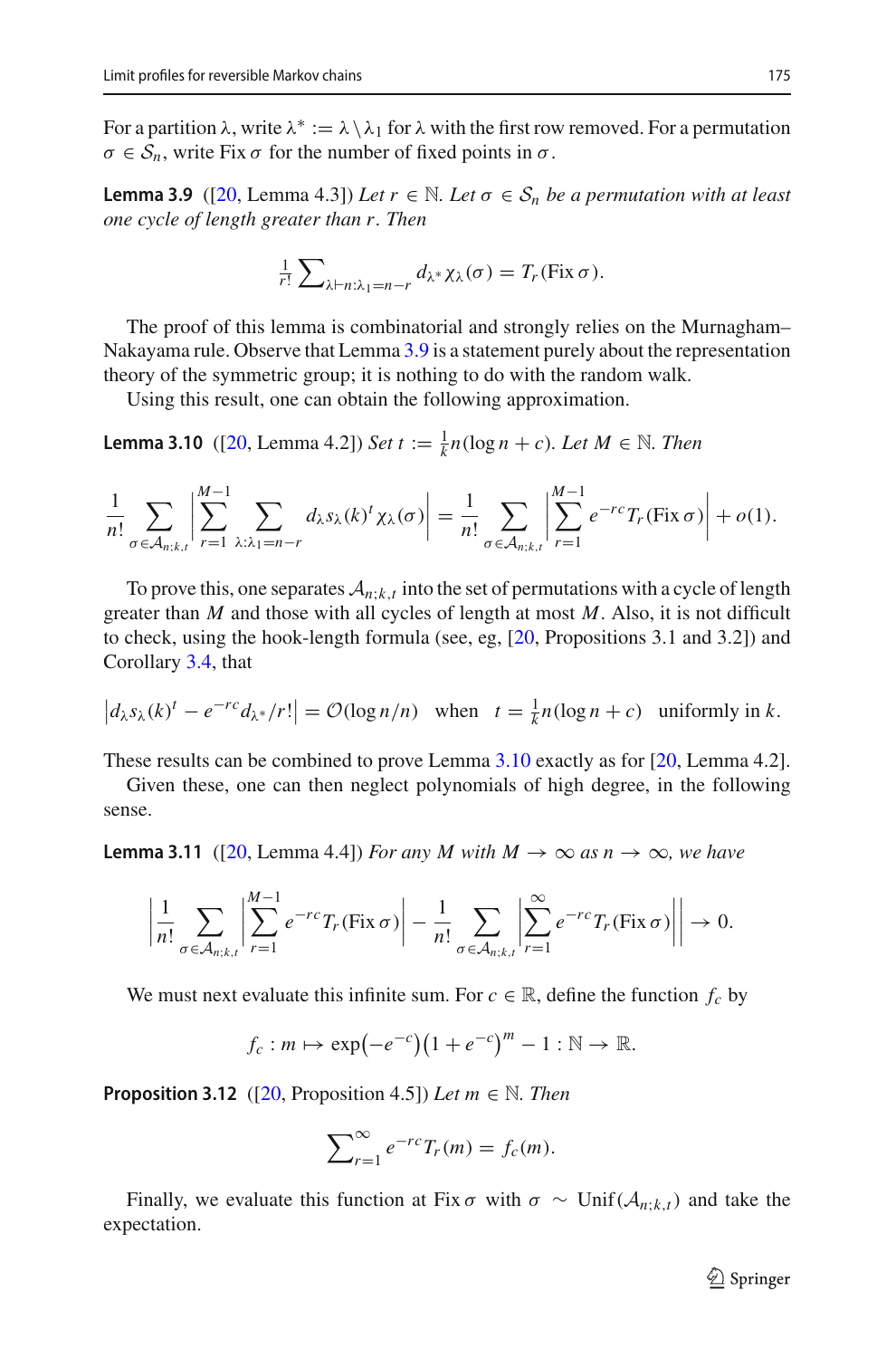<span id="page-18-0"></span>For a partition  $\lambda$ , write  $\lambda^* := \lambda \setminus \lambda_1$  for  $\lambda$  with the first row removed. For a permutation  $\sigma \in S_n$ , write Fix  $\sigma$  for the number of fixed points in  $\sigma$ .

**Lemma 3.9** ([\[20](#page-31-2), Lemma 4.3]) *Let*  $r \in \mathbb{N}$ . Let  $\sigma \in S_n$  *be a permutation with at least one cycle of length greater than r. Then*

$$
\frac{1}{r!}\sum_{\lambda\vdash n:\lambda_1=n-r}d_{\lambda^*}\chi_{\lambda}(\sigma)=T_r(\text{Fix }\sigma).
$$

The proof of this lemma is combinatorial and strongly relies on the Murnagham– Nakayama rule. Observe that Lemma [3.9](#page-18-0) is a statement purely about the representation theory of the symmetric group; it is nothing to do with the random walk.

<span id="page-18-1"></span>Using this result, one can obtain the following approximation.

**Lemma 3.10** ([\[20](#page-31-2), Lemma 4.2]) *Set*  $t := \frac{1}{k} n(\log n + c)$ *. Let*  $M \in \mathbb{N}$ *. Then* 

$$
\frac{1}{n!} \sum_{\sigma \in \mathcal{A}_{n;k,t}} \left| \sum_{r=1}^{M-1} \sum_{\lambda: \lambda_1 = n-r} d_{\lambda} s_{\lambda}(k)^{t} \chi_{\lambda}(\sigma) \right| = \frac{1}{n!} \sum_{\sigma \in \mathcal{A}_{n;k,t}} \left| \sum_{r=1}^{M-1} e^{-rc} T_r(\text{Fix } \sigma) \right| + o(1).
$$

To prove this, one separates  $A_{n,k,t}$  into the set of permutations with a cycle of length greater than *M* and those with all cycles of length at most *M*. Also, it is not difficult to check, using the hook-length formula (see, eg, [\[20](#page-31-2), Propositions 3.1 and 3.2]) and Corollary [3.4,](#page-16-1) that

$$
\left|d_{\lambda} s_{\lambda}(k)^{t} - e^{-rc} d_{\lambda^{*}}/r!\right| = \mathcal{O}(\log n/n) \quad \text{when} \quad t = \frac{1}{k}n(\log n + c) \quad \text{uniformly in } k.
$$

These results can be combined to prove Lemma [3.10](#page-18-1) exactly as for [\[20](#page-31-2), Lemma 4.2].

<span id="page-18-3"></span>Given these, one can then neglect polynomials of high degree, in the following sense.

**Lemma 3.11** ([\[20](#page-31-2), Lemma 4.4]) *For any M with M*  $\rightarrow \infty$  *as n*  $\rightarrow \infty$ *, we have* 

$$
\left|\frac{1}{n!}\sum_{\sigma\in\mathcal{A}_{n;k,t}}\left|\sum_{r=1}^{M-1}e^{-rc}T_r(\text{Fix}\,\sigma)\right|-\frac{1}{n!}\sum_{\sigma\in\mathcal{A}_{n;k,t}}\left|\sum_{r=1}^{\infty}e^{-rc}T_r(\text{Fix}\,\sigma)\right|\right|\to 0.
$$

We must next evaluate this infinite sum. For  $c \in \mathbb{R}$ , define the function  $f_c$  by

$$
f_c: m \mapsto \exp(-e^{-c})(1+e^{-c})^m-1: \mathbb{N} \to \mathbb{R}.
$$

<span id="page-18-4"></span>**Proposition 3.12** ( $[20,$  Proposition 4.5]) *Let*  $m \in \mathbb{N}$ . *Then* 

$$
\sum_{r=1}^{\infty} e^{-rc} T_r(m) = f_c(m).
$$

<span id="page-18-2"></span>Finally, we evaluate this function at Fix  $\sigma$  with  $\sigma \sim \text{Unif}(\mathcal{A}_{n;k,t})$  and take the expectation.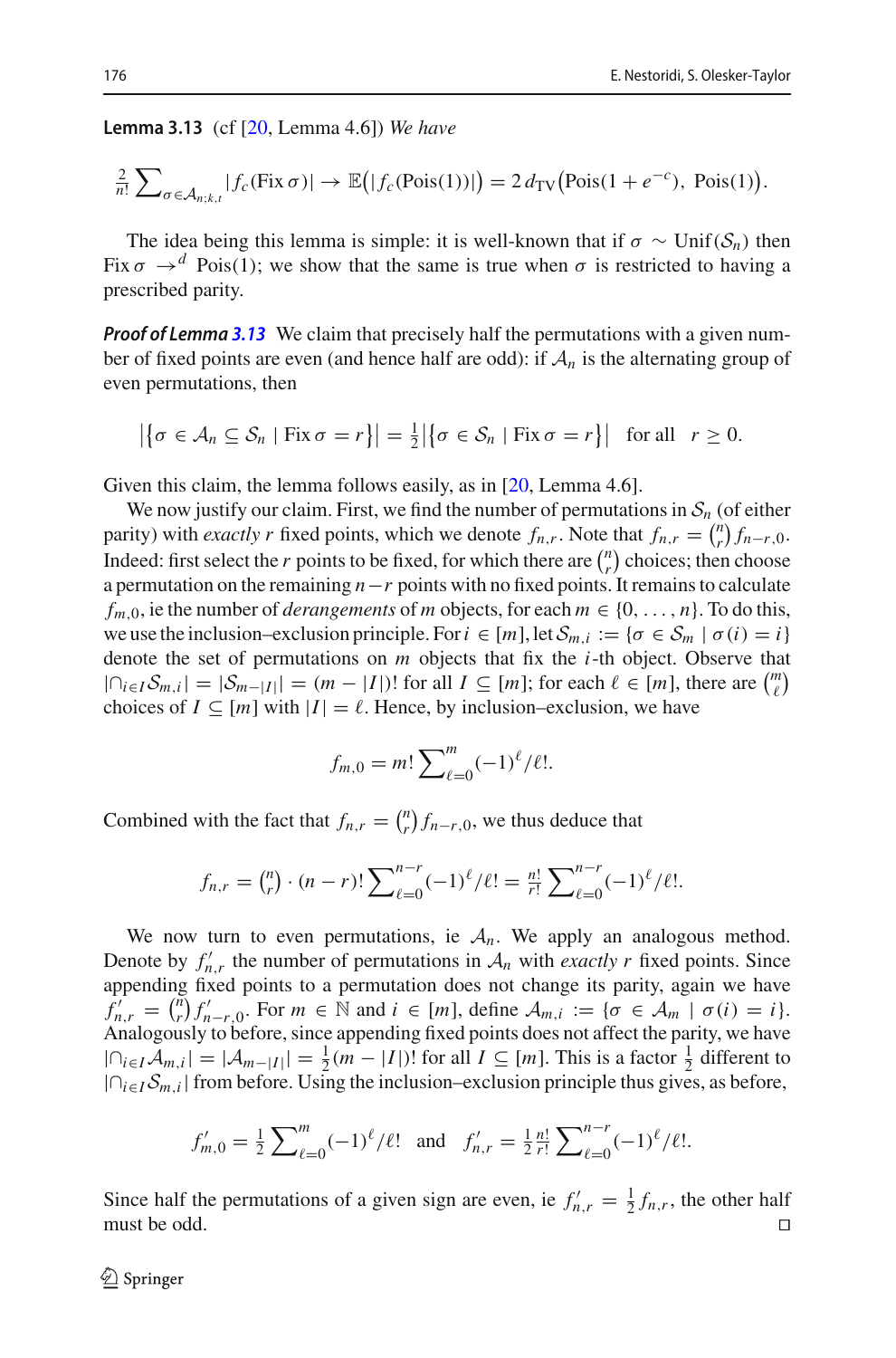**Lemma 3.13** (cf [\[20](#page-31-2), Lemma 4.6]) *We have*

$$
\frac{2}{n!}\sum_{\sigma\in\mathcal{A}_{n;k,t}}|f_c(\text{Fix}\,\sigma)|\to\mathbb{E}\big(|f_c(\text{Pois}(1))|\big)=2\,d_{\text{TV}}\big(\text{Pois}(1+e^{-c}),\text{ Pois}(1)\big).
$$

The idea being this lemma is simple: it is well-known that if  $\sigma \sim \text{Unif}(\mathcal{S}_n)$  then Fix  $\sigma \rightarrow d$  Pois(1); we show that the same is true when  $\sigma$  is restricted to having a prescribed parity.

*Proof of Lemma [3.13](#page-18-2)* We claim that precisely half the permutations with a given number of fixed points are even (and hence half are odd): if  $A_n$  is the alternating group of even permutations, then

$$
\left|\left\{\sigma\in\mathcal{A}_n\subseteq\mathcal{S}_n\mid\text{Fix}\,\sigma=r\right\}\right|=\frac{1}{2}\left|\left\{\sigma\in\mathcal{S}_n\mid\text{Fix}\,\sigma=r\right\}\right|\quad\text{for all}\quad r\geq 0.
$$

Given this claim, the lemma follows easily, as in [\[20](#page-31-2), Lemma 4.6].

We now justify our claim. First, we find the number of permutations in  $S_n$  (of either parity) with *exactly r* fixed points, which we denote  $f_{n,r}$ . Note that  $f_{n,r} = \binom{n}{r} f_{n-r,0}$ . Indeed: first select the *r* points to be fixed, for which there are  $\binom{n}{r}$  choices; then choose a permutation on the remaining *n*−*r* points with no fixed points. It remains to calculate  $f_{m,0}$ , ie the number of *derangements* of *m* objects, for each  $m \in \{0, \ldots, n\}$ . To do this, we use the inclusion–exclusion principle. For  $i \in [m]$ , let  $S_{m,i} := \{\sigma \in S_m \mid \sigma(i) = i\}$ denote the set of permutations on *m* objects that fix the *i*-th object. Observe that  $|\bigcap_{i\in I}S_{m,i}|=|S_{m-|I|}|=(m-|I|)!$  for all  $I\subseteq [m]$ ; for each  $\ell\in [m]$ , there are  $\binom{m}{\ell}$ choices of  $I \subseteq [m]$  with  $|I| = \ell$ . Hence, by inclusion–exclusion, we have

$$
f_{m,0} = m! \sum_{\ell=0}^{m} (-1)^{\ell} / \ell!.
$$

Combined with the fact that  $f_{n,r} = {n \choose r} f_{n-r,0}$ , we thus deduce that

$$
f_{n,r} = {n \choose r} \cdot (n-r)! \sum_{\ell=0}^{n-r} (-1)^{\ell} / \ell! = \frac{n!}{r!} \sum_{\ell=0}^{n-r} (-1)^{\ell} / \ell!.
$$

We now turn to even permutations, ie  $A_n$ . We apply an analogous method. Denote by  $f'_{n,r}$  the number of permutations in  $A_n$  with *exactly r* fixed points. Since appending fixed points to a permutation does not change its parity, again we have  $f'_{n,r} = {n \choose r} f'_{n-r,0}$ . For  $m \in \mathbb{N}$  and  $i \in [m]$ , define  $A_{m,i} := \{ \sigma \in \mathcal{A}_m \mid \sigma(i) = i \}.$ Analogously to before, since appending fixed points does not affect the parity, we have  $|∩_{i \in I}A_{m,i}| = |A_{m-|I|}| = \frac{1}{2}(m - |I|)!$  for all  $I \subseteq [m]$ . This is a factor  $\frac{1}{2}$  different to |∩*i*∈*ISm*,*i*| from before. Using the inclusion–exclusion principle thus gives, as before,

$$
f'_{m,0} = \frac{1}{2} \sum_{\ell=0}^{m} (-1)^{\ell} / \ell! \text{ and } f'_{n,r} = \frac{1}{2} \frac{n!}{r!} \sum_{\ell=0}^{n-r} (-1)^{\ell} / \ell!.
$$

Since half the permutations of a given sign are even, ie  $f'_{n,r} = \frac{1}{2} f_{n,r}$ , the other half must be odd.  $\Box$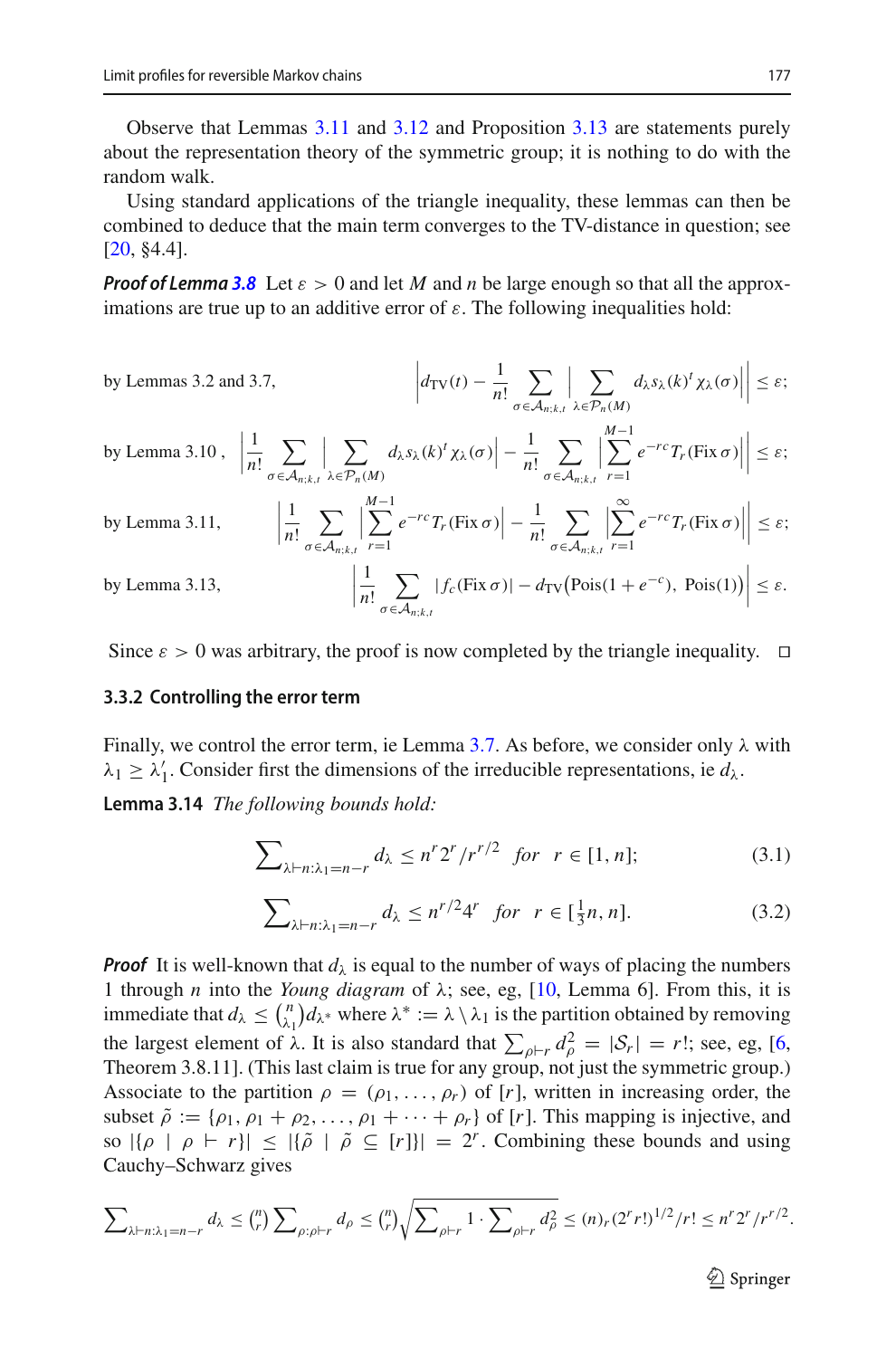Observe that Lemmas [3.11](#page-18-3) and [3.12](#page-18-4) and Proposition [3.13](#page-18-2) are statements purely about the representation theory of the symmetric group; it is nothing to do with the random walk.

Using standard applications of the triangle inequality, these lemmas can then be combined to deduce that the main term converges to the TV-distance in question; see  $[20, §4.4].$  $[20, §4.4].$ 

*Proof of Lemma* [3.8](#page-17-0) Let  $\varepsilon > 0$  and let *M* and *n* be large enough so that all the approximations are true up to an additive error of  $\varepsilon$ . The following inequalities hold:

by Lemma 3.10, 
$$
\left| \frac{1}{n!} \sum_{\sigma \in A_{n;k,t}} \sum_{\lambda \in \mathcal{P}_n(M)} d_{\lambda} s_{\lambda}(k)^t \chi_{\lambda}(\sigma) \right| \leq \varepsilon;
$$
  
\nby Lemma 3.10,  $\left| \frac{1}{n!} \sum_{\sigma \in A_{n;k,t}} \sum_{\lambda \in \mathcal{P}_n(M)} d_{\lambda} s_{\lambda}(k)^t \chi_{\lambda}(\sigma) \right| - \frac{1}{n!} \sum_{\sigma \in A_{n;k,t}} \left| \sum_{r=1}^{M-1} e^{-rc} T_r(\text{Fix } \sigma) \right| \leq \varepsilon;$   
\nby Lemma 3.11,  $\left| \frac{1}{n!} \sum_{\sigma \in A_{n;k,t}} \left| \sum_{r=1}^{M-1} e^{-rc} T_r(\text{Fix } \sigma) \right| - \frac{1}{n!} \sum_{\sigma \in A_{n;k,t}} \left| \sum_{r=1}^{\infty} e^{-rc} T_r(\text{Fix } \sigma) \right| \right| \leq \varepsilon;$   
\nby Lemma 3.13,  $\left| \frac{1}{n!} \sum_{\sigma \in A_{n;k,t}} |f_c(\text{Fix } \sigma)| - d_{\text{TV}}(\text{Pois}(1 + e^{-c}), \text{Pois}(1)) \right| \leq \varepsilon.$ 

<span id="page-20-1"></span>Since  $\varepsilon > 0$  was arbitrary, the proof is now completed by the triangle inequality.  $\Box$ 

#### **3.3.2 Controlling the error term**

Finally, we control the error term, ie Lemma [3.7.](#page-16-0) As before, we consider only  $\lambda$  with  $\lambda_1 \geq \lambda'_1$ . Consider first the dimensions of the irreducible representations, ie  $d_\lambda$ .

**Lemma 3.14** *The following bounds hold:*

<span id="page-20-0"></span>
$$
\sum_{\lambda \vdash n:\lambda_1 = n-r} d_{\lambda} \le n^r 2^r / r^{r/2} \quad \text{for} \quad r \in [1, n]; \tag{3.1}
$$

<span id="page-20-2"></span>
$$
\sum_{\lambda \vdash n:\lambda_1 = n-r} d_{\lambda} \le n^{r/2} 4^r \quad \text{for} \quad r \in [\frac{1}{3}n, n]. \tag{3.2}
$$

*Proof* It is well-known that  $d<sub>\lambda</sub>$  is equal to the number of ways of placing the numbers 1 through *n* into the *Young diagram* of λ; see, eg, [\[10,](#page-31-7) Lemma 6]. From this, it is immediate that  $d_\lambda \leq {n \choose \lambda_1} d_{\lambda^*}$  where  $\lambda^* := \lambda \setminus \lambda_1$  is the partition obtained by removing the largest element of  $\lambda$ . It is also standard that  $\sum_{\rho \vdash r} d_{\rho}^2 = |\mathcal{S}_r| = r!$ ; see, eg, [\[6,](#page-31-6) Theorem 3.8.11]. (This last claim is true for any group, not just the symmetric group.) Associate to the partition  $\rho = (\rho_1, \ldots, \rho_r)$  of [*r*], written in increasing order, the subset  $\tilde{\rho} := {\rho_1, \rho_1 + \rho_2, \ldots, \rho_1 + \cdots + \rho_r}$  of [*r*]. This mapping is injective, and so  $|{\rho} \mid \rho \vdash r| \leq |{\tilde{\rho}} | \tilde{\rho} \subseteq [r]| = 2^r$ . Combining these bounds and using Cauchy–Schwarz gives

$$
\sum_{\lambda \vdash n: \lambda_1 = n-r} d_{\lambda} \leq {n \choose r} \sum_{\rho: \rho \vdash r} d_{\rho} \leq {n \choose r} \sqrt{\sum_{\rho \vdash r} 1 \cdot \sum_{\rho \vdash r} d_{\rho}^2} \leq (n)_r (2^r r!)^{1/2} / r! \leq n^r 2^r / r^{r/2}.
$$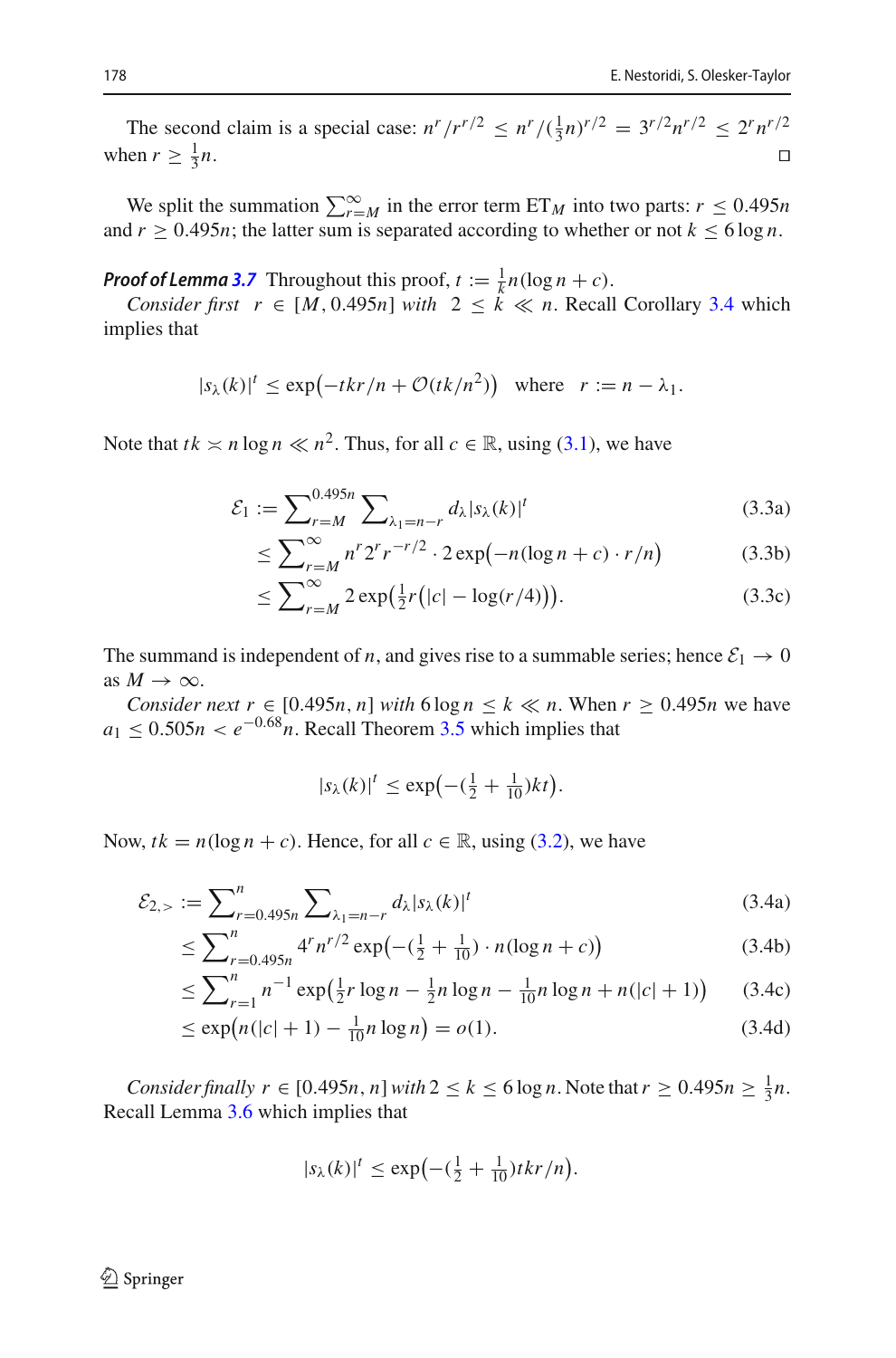The second claim is a special case:  $n^r / r^{r/2} \leq n^r / (\frac{1}{3}n)^{r/2} = 3^{r/2} n^{r/2} \leq 2^r n^{r/2}$ when  $r \geq \frac{1}{3}n$ .  $\frac{1}{3}n$ .

We split the summation  $\sum_{r=M}^{\infty}$  in the error term ET<sub>M</sub> into two parts:  $r \le 0.495n$ and  $r \geq 0.495n$ ; the latter sum is separated according to whether or not  $k \leq 6 \log n$ .

*Proof of Lemma* **[3.7](#page-16-0)** Throughout this proof,  $t := \frac{1}{k}n(\log n + c)$ .

*Consider first*  $r \in [M, 0.495n]$  *with*  $2 \leq k \ll n$ . Recall Corollary [3.4](#page-16-1) which implies that

$$
|s_{\lambda}(k)|^{t} \le \exp\left(-tkr/n + \mathcal{O}(tk/n^{2})\right) \text{ where } r := n - \lambda_{1}.
$$

Note that  $tk \ge n \log n \ll n^2$ . Thus, for all  $c \in \mathbb{R}$ , using [\(3.1\)](#page-20-0), we have

$$
\mathcal{E}_1 := \sum_{r=M}^{0.495n} \sum_{\lambda_1 = n-r} d_{\lambda} |s_{\lambda}(k)|^t
$$
\n(3.3a)

<span id="page-21-0"></span>
$$
\leq \sum_{r=M}^{\infty} n^r 2^r r^{-r/2} \cdot 2 \exp\left(-n(\log n + c) \cdot r/n\right) \tag{3.3b}
$$

$$
\leq \sum_{r=M}^{\infty} 2 \exp\left(\frac{1}{2}r\left(|c| - \log(r/4)\right)\right). \tag{3.3c}
$$

The summand is independent of *n*, and gives rise to a summable series; hence  $\mathcal{E}_1 \rightarrow 0$ as  $M \to \infty$ .

*Consider next*  $r \in [0.495n, n]$  *with*  $6 \log n \leq k \ll n$ . When  $r \geq 0.495n$  we have  $a_1 \leq 0.505n < e^{-0.68}n$ . Recall Theorem [3.5](#page-16-2) which implies that

<span id="page-21-1"></span>
$$
|s_{\lambda}(k)|^t \le \exp\left(-\left(\frac{1}{2} + \frac{1}{10}\right)kt\right).
$$

Now,  $tk = n(\log n + c)$ . Hence, for all  $c \in \mathbb{R}$ , using [\(3.2\)](#page-20-2), we have

$$
\mathcal{E}_{2,>} := \sum_{r=0.495n}^{n} \sum_{\lambda_1 = n-r} d_{\lambda} |s_{\lambda}(k)|^t
$$
\n(3.4a)

$$
\leq \sum_{r=0.495n}^{n} 4^r n^{r/2} \exp\left(-\left(\frac{1}{2} + \frac{1}{10}\right) \cdot n(\log n + c)\right) \tag{3.4b}
$$

$$
\leq \sum_{r=1}^{n} n^{-1} \exp\left(\frac{1}{2}r \log n - \frac{1}{2}n \log n - \frac{1}{10}n \log n + n(|c|+1)\right) \tag{3.4c}
$$

$$
\leq \exp(n(|c|+1) - \frac{1}{10}n \log n) = o(1). \tag{3.4d}
$$

*Consider finally*  $r \in [0.495n, n]$  *with*  $2 \le k \le 6 \log n$ . Note that  $r \ge 0.495n \ge \frac{1}{3}n$ . Recall Lemma [3.6](#page-16-3) which implies that

$$
|s_{\lambda}(k)|^t \le \exp\left(-(\frac{1}{2} + \frac{1}{10})tkr/n\right).
$$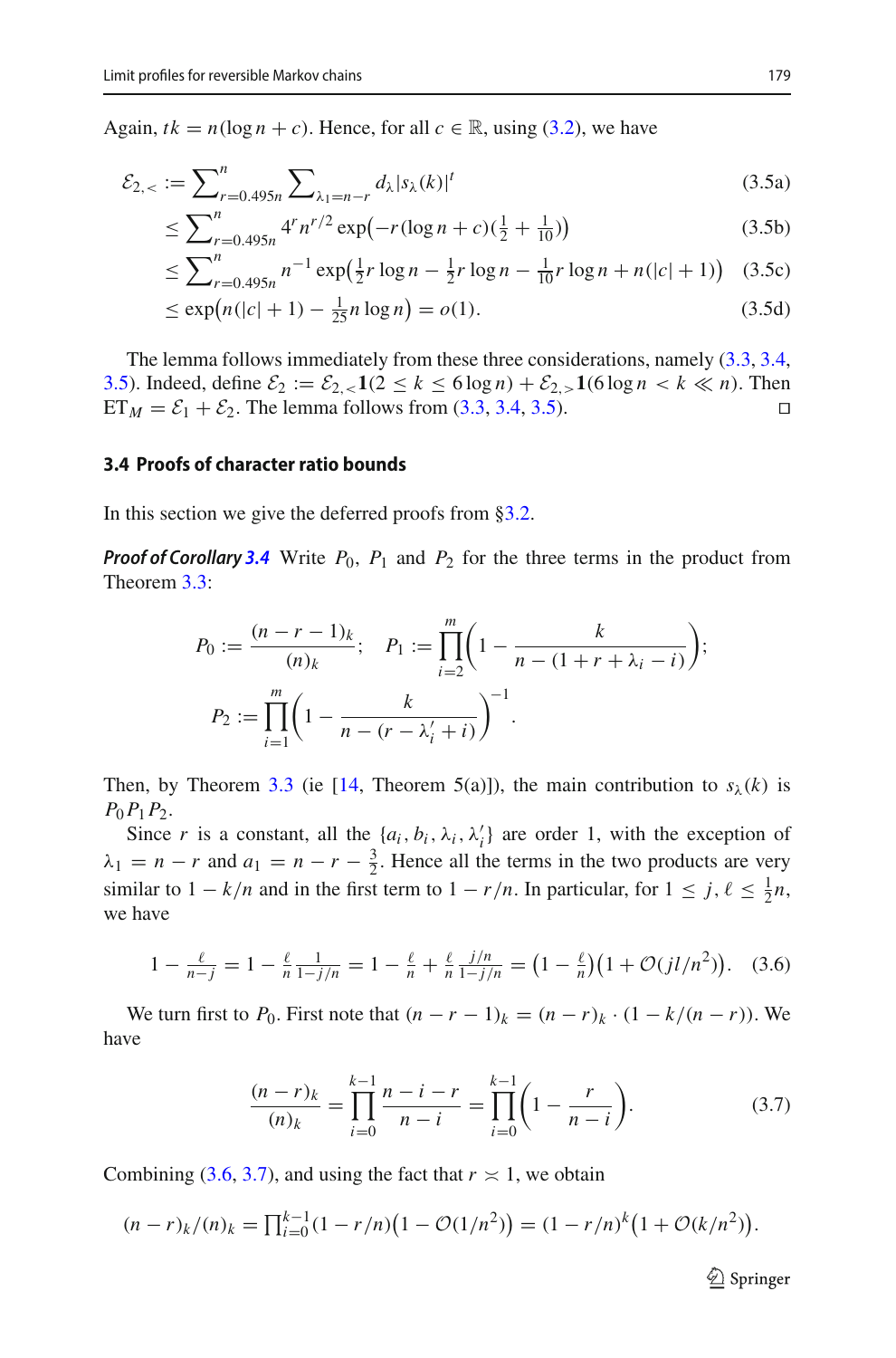Again,  $tk = n(\log n + c)$ . Hence, for all  $c \in \mathbb{R}$ , using [\(3.2\)](#page-20-2), we have

$$
\mathcal{E}_{2,<} := \sum_{r=0.495n}^{n} \sum_{\lambda_1 = n-r} d_{\lambda} |s_{\lambda}(k)|^t
$$
\n(3.5a)

$$
\leq \sum_{r=0.495n}^{n} 4^r n^{r/2} \exp\left(-r(\log n + c)\left(\frac{1}{2} + \frac{1}{10}\right)\right) \tag{3.5b}
$$

<span id="page-22-1"></span>
$$
\leq \sum_{r=0.495n}^{n} n^{-1} \exp\left(\frac{1}{2}r \log n - \frac{1}{2}r \log n - \frac{1}{10}r \log n + n(|c|+1)\right) (3.5c)
$$

$$
\leq \exp(n(|c|+1) - \frac{1}{25}n\log n) = o(1). \tag{3.5d}
$$

The lemma follows immediately from these three considerations, namely [\(3.3,](#page-21-0) [3.4,](#page-21-1) [3.5\)](#page-22-1). Indeed, define  $\mathcal{E}_2 := \mathcal{E}_{2, \le 1} (2 \le k \le 6 \log n) + \mathcal{E}_{2, >} 1(6 \log n < k \ll n)$ . Then ET  $n = \mathcal{E}_1 + \mathcal{E}_2$ . The lemma follows from (3.3, 3.4, 3.5).  $ET_M = \mathcal{E}_1 + \mathcal{E}_2$ . The lemma follows from [\(3.3,](#page-21-0) [3.4,](#page-21-1) [3.5\)](#page-22-1).

#### <span id="page-22-0"></span>**3.4 Proofs of character ratio bounds**

In this section we give the deferred proofs from [§3.2.](#page-15-0)

*Proof of Corollary* [3.4](#page-16-1) Write  $P_0$ ,  $P_1$  and  $P_2$  for the three terms in the product from Theorem [3.3:](#page-16-4)

$$
P_0 := \frac{(n-r-1)_k}{(n)_k}; \quad P_1 := \prod_{i=2}^m \left(1 - \frac{k}{n - (1+r+\lambda_i-i)}\right);
$$

$$
P_2 := \prod_{i=1}^m \left(1 - \frac{k}{n - (r-\lambda'_i+i)}\right)^{-1}.
$$

Then, by Theorem [3.3](#page-16-4) (ie [\[14](#page-31-3), Theorem 5(a)]), the main contribution to  $s_{\lambda}(k)$  is *P*0*P*1*P*2.

Since *r* is a constant, all the  $\{a_i, b_i, \lambda_i, \lambda'_i\}$  are order 1, with the exception of  $\lambda_1 = n - r$  and  $a_1 = n - r - \frac{3}{2}$ . Hence all the terms in the two products are very similar to  $1 - k/n$  and in the first term to  $1 - r/n$ . In particular, for  $1 \le j, \ell \le \frac{1}{2}n$ , we have

<span id="page-22-2"></span>
$$
1 - \frac{\ell}{n - j} = 1 - \frac{\ell}{n} \frac{1}{1 - j/n} = 1 - \frac{\ell}{n} + \frac{\ell}{n} \frac{j/n}{1 - j/n} = \left(1 - \frac{\ell}{n}\right)\left(1 + \mathcal{O}(j l/n^2)\right). \tag{3.6}
$$

We turn first to  $P_0$ . First note that  $(n - r - 1)_k = (n - r)_k \cdot (1 - k/(n - r))$ . We have

<span id="page-22-3"></span>
$$
\frac{(n-r)_k}{(n)_k} = \prod_{i=0}^{k-1} \frac{n-i-r}{n-i} = \prod_{i=0}^{k-1} \left(1 - \frac{r}{n-i}\right).
$$
 (3.7)

Combining [\(3.6,](#page-22-2) [3.7\)](#page-22-3), and using the fact that  $r \approx 1$ , we obtain

$$
(n-r)_k/(n)_k = \prod_{i=0}^{k-1} (1 - r/n) (1 - \mathcal{O}(1/n^2)) = (1 - r/n)^k (1 + \mathcal{O}(k/n^2)).
$$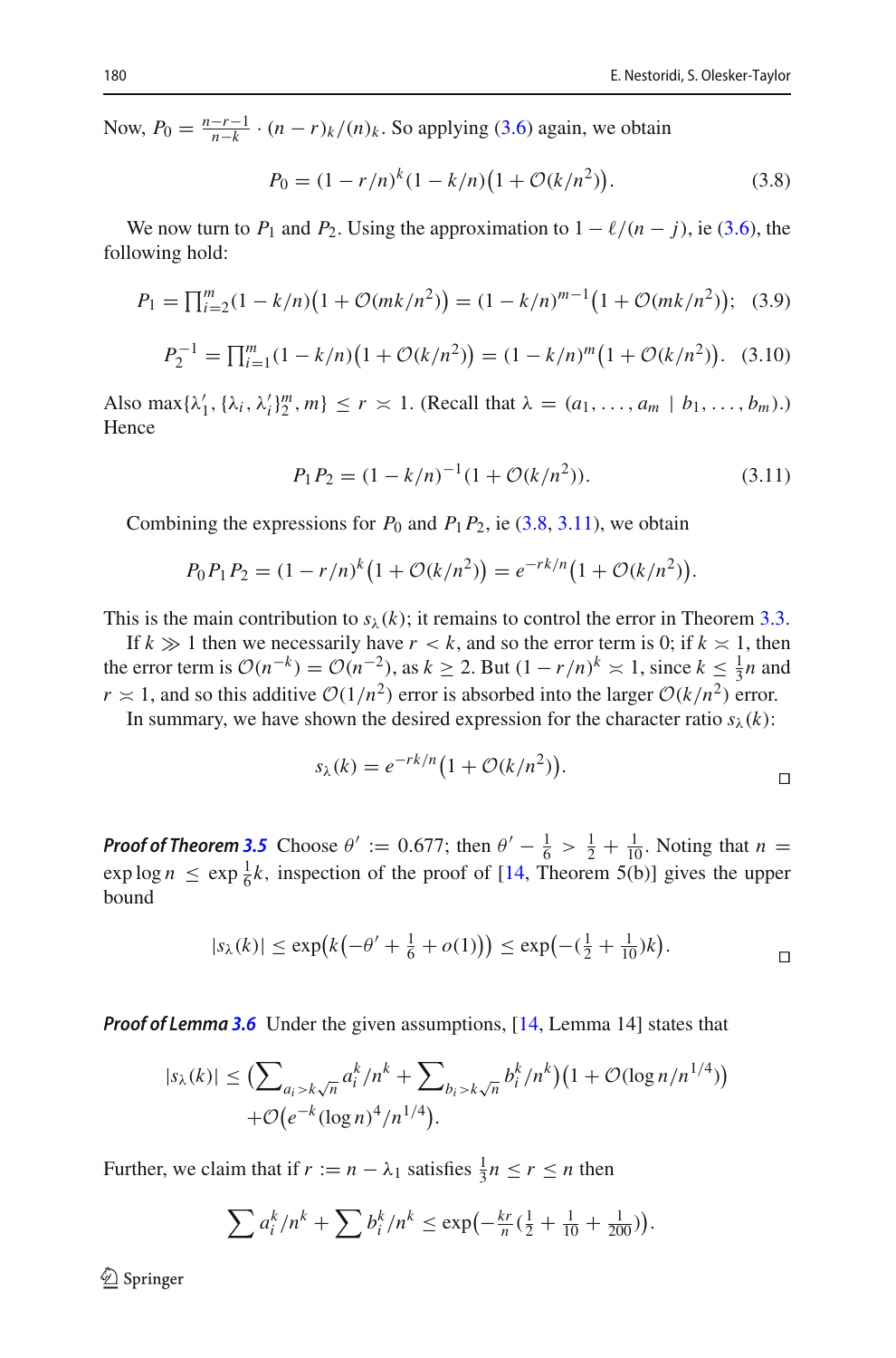Now,  $P_0 = \frac{n-r-1}{n-k} \cdot (n-r)_k/(n)_k$ . So applying [\(3.6\)](#page-22-2) again, we obtain

<span id="page-23-0"></span>
$$
P_0 = (1 - r/n)^k (1 - k/n) (1 + \mathcal{O}(k/n^2)).
$$
\n(3.8)

We now turn to  $P_1$  and  $P_2$ . Using the approximation to  $1 - \ell/(n - j)$ , ie [\(3.6\)](#page-22-2), the following hold:

$$
P_1 = \prod_{i=2}^{m} (1 - k/n) \left( 1 + \mathcal{O}(mk/n^2) \right) = (1 - k/n)^{m-1} \left( 1 + \mathcal{O}(mk/n^2) \right); \tag{3.9}
$$

$$
P_2^{-1} = \prod_{i=1}^m (1 - k/n) \big( 1 + \mathcal{O}(k/n^2) \big) = (1 - k/n)^m \big( 1 + \mathcal{O}(k/n^2) \big). \tag{3.10}
$$

Also max $\{\lambda'_1, \{\lambda_i, \lambda'_i\}_{2}^{m}, m\} \le r \times 1$ . (Recall that  $\lambda = (a_1, \ldots, a_m \mid b_1, \ldots, b_m)$ .) Hence

<span id="page-23-1"></span>
$$
P_1 P_2 = (1 - k/n)^{-1} (1 + \mathcal{O}(k/n^2)).
$$
\n(3.11)

Combining the expressions for  $P_0$  and  $P_1P_2$ , ie [\(3.8,](#page-23-0) [3.11\)](#page-23-1), we obtain

$$
P_0 P_1 P_2 = (1 - r/n)^k (1 + \mathcal{O}(k/n^2)) = e^{-rk/n} (1 + \mathcal{O}(k/n^2)).
$$

This is the main contribution to  $s_{\lambda}(k)$ ; it remains to control the error in Theorem [3.3.](#page-16-4)

If  $k \gg 1$  then we necessarily have  $r < k$ , and so the error term is 0; if  $k \approx 1$ , then the error term is  $\mathcal{O}(n^{-k}) = \mathcal{O}(n^{-2})$ , as  $k \ge 2$ . But  $(1 - r/n)^k \approx 1$ , since  $k \le \frac{1}{3}n$  and  $r \approx 1$ , and so this additive  $O(1/n^2)$  error is absorbed into the larger  $O(k/n^2)$  error.

In summary, we have shown the desired expression for the character ratio  $s_\lambda(k)$ :

$$
s_{\lambda}(k) = e^{-rk/n} \left( 1 + \mathcal{O}(k/n^2) \right).
$$

*Proof of Theorem* [3.5](#page-16-2) Choose  $\theta' := 0.677$ ; then  $\theta' - \frac{1}{6} > \frac{1}{2} + \frac{1}{10}$ . Noting that  $n =$  $\exp \log n \leq \exp \frac{1}{6}k$ , inspection of the proof of [\[14](#page-31-3), Theorem 5(b)] gives the upper bound

$$
|s_{\lambda}(k)| \le \exp\bigl(k\bigl(-\theta' + \frac{1}{6} + o(1)\bigr)\bigr) \le \exp\bigl(-\bigl(\frac{1}{2} + \frac{1}{10}\bigr)k\bigr).
$$

*Proof of Lemma* **[3.6](#page-16-3)** Under the given assumptions, [\[14](#page-31-3), Lemma 14] states that

$$
|s_{\lambda}(k)| \leq \left(\sum_{a_i > k\sqrt{n}} a_i^k / n^k + \sum_{b_i > k\sqrt{n}} b_i^k / n^k\right) \left(1 + \mathcal{O}(\log n / n^{1/4})\right) + \mathcal{O}\left(e^{-k} (\log n)^4 / n^{1/4}\right).
$$

Further, we claim that if  $r := n - \lambda_1$  satisfies  $\frac{1}{3}n \le r \le n$  then

$$
\sum a_i^k/n^k + \sum b_i^k/n^k \le \exp\left(-\frac{kr}{n}(\frac{1}{2} + \frac{1}{10} + \frac{1}{200})\right).
$$

 $\textcircled{2}$  Springer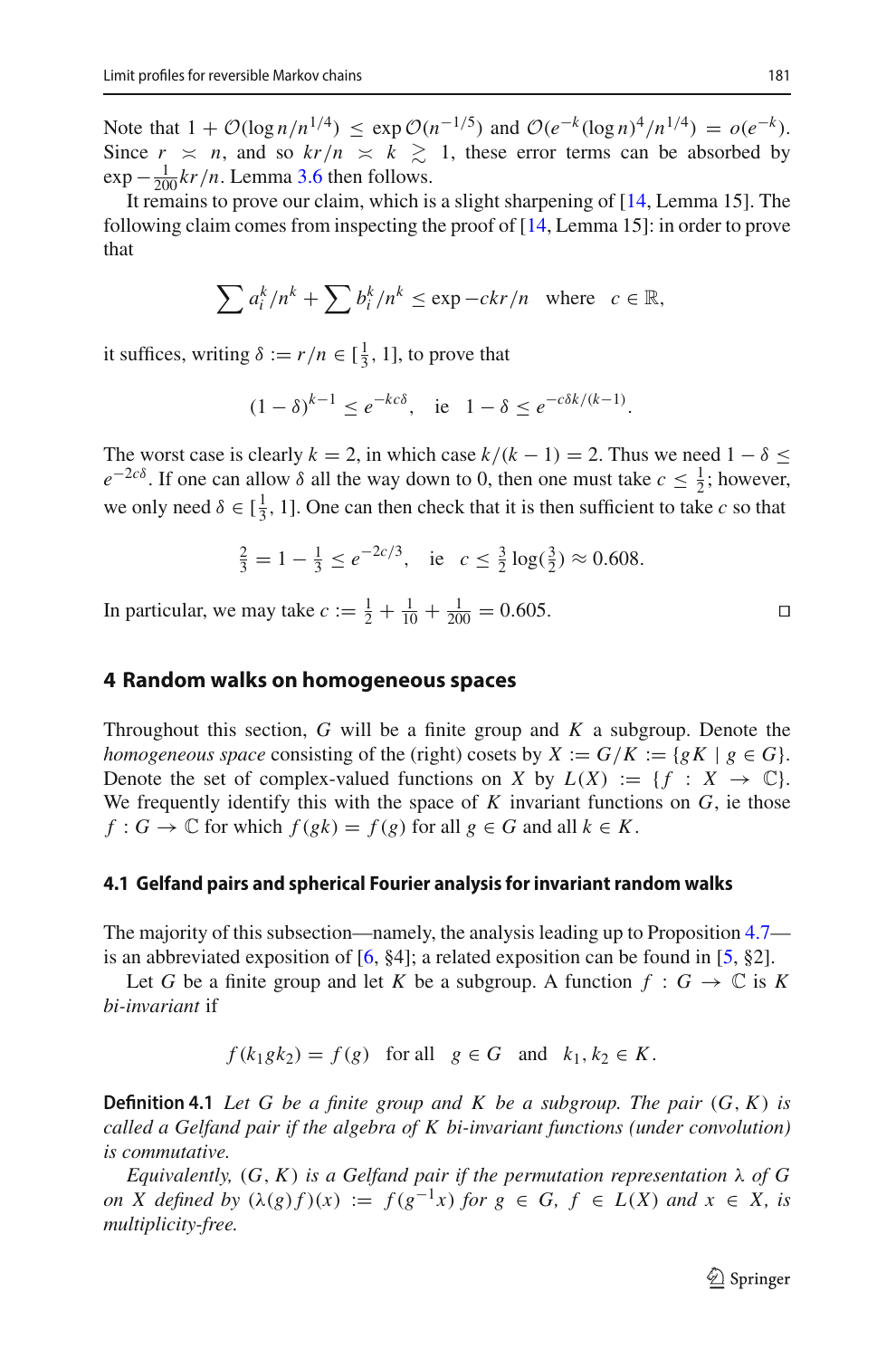Note that  $1 + \mathcal{O}(\log n/n^{1/4}) \leq \exp \mathcal{O}(n^{-1/5})$  and  $\mathcal{O}(e^{-k}(\log n)^4/n^{1/4}) = o(e^{-k}).$ Since  $r \ge n$ , and so  $kr/n \ge k \ge 1$ , these error terms can be absorbed by  $\exp{-\frac{1}{200}kr/n}$ . Lemma [3.6](#page-16-3) then follows.

It remains to prove our claim, which is a slight sharpening of [\[14](#page-31-3), Lemma 15]. The following claim comes from inspecting the proof of [\[14](#page-31-3), Lemma 15]: in order to prove that

$$
\sum a_i^k/n^k + \sum b_i^k/n^k \le \exp - ckr/n \quad \text{where} \quad c \in \mathbb{R},
$$

it suffices, writing  $\delta := r/n \in [\frac{1}{3}, 1]$ , to prove that

$$
(1 - \delta)^{k-1} \le e^{-k\epsilon \delta}
$$
, ie  $1 - \delta \le e^{-\epsilon \delta k/(k-1)}$ .

The worst case is clearly  $k = 2$ , in which case  $k/(k - 1) = 2$ . Thus we need  $1 - \delta \le$  $e^{-2c\delta}$ . If one can allow  $\delta$  all the way down to 0, then one must take  $c \leq \frac{1}{2}$ ; however, we only need  $\delta \in [\frac{1}{3}, 1]$ . One can then check that it is then sufficient to take *c* so that

$$
\frac{2}{3} = 1 - \frac{1}{3} \le e^{-2c/3}, \quad \text{ie} \quad c \le \frac{3}{2} \log(\frac{3}{2}) \approx 0.608.
$$

In particular, we may take  $c := \frac{1}{2} + \frac{1}{10} + \frac{1}{200} = 0.605$ .

### <span id="page-24-0"></span>**4 Random walks on homogeneous spaces**

Throughout this section, *G* will be a finite group and *K* a subgroup. Denote the *homogeneous space* consisting of the (right) cosets by  $X := G/K := \{gK \mid g \in G\}.$ Denote the set of complex-valued functions on *X* by  $L(X) := \{f : X \to \mathbb{C}\}.$ We frequently identify this with the space of *K* invariant functions on *G*, ie those  $f: G \to \mathbb{C}$  for which  $f(gk) = f(g)$  for all  $g \in G$  and all  $k \in K$ .

#### **4.1 Gelfand pairs and spherical Fourier analysis for invariant random walks**

The majority of this subsection—namely, the analysis leading up to Proposition [4.7](#page-26-0) is an abbreviated exposition of  $[6, §4]$  $[6, §4]$ ; a related exposition can be found in  $[5, §2]$  $[5, §2]$ .

Let *G* be a finite group and let *K* be a subgroup. A function  $f : G \to \mathbb{C}$  is *K bi-invariant* if

$$
f(k_1 g k_2) = f(g) \quad \text{for all} \quad g \in G \quad \text{and} \quad k_1, k_2 \in K.
$$

<span id="page-24-1"></span>**Definition 4.1** Let G be a finite group and K be a subgroup. The pair  $(G, K)$  is *called a Gelfand pair if the algebra of K bi-invariant functions (under convolution) is commutative.*

*Equivalently,*  $(G, K)$  *is a Gelfand pair if the permutation representation*  $\lambda$  *of G on X* defined by  $(\lambda(g)f)(x) := f(g^{-1}x)$  *for*  $g \in G$ ,  $f \in L(X)$  *and*  $x \in X$ *, is multiplicity-free.*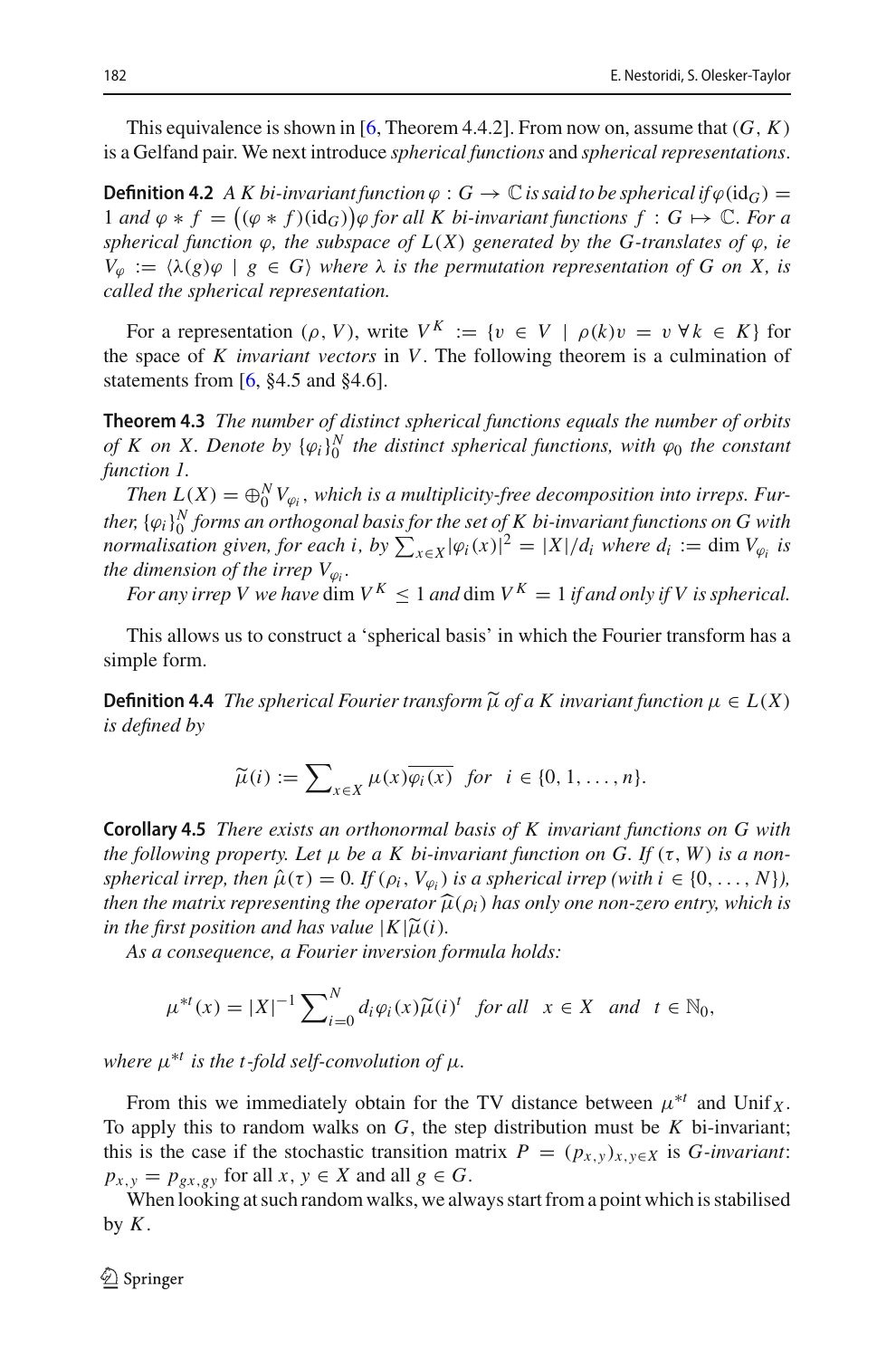<span id="page-25-0"></span>This equivalence is shown in [\[6,](#page-31-6) Theorem 4.4.2]. From now on, assume that  $(G, K)$ is a Gelfand pair. We next introduce *spherical functions* and *spherical representations*.

**Definition 4.2** *A K bi-invariant function*  $\varphi$  :  $G \to \mathbb{C}$  *is said to be spherical if*  $\varphi$  (id<sub>*G*)</sub> = 1 *and*  $\varphi * f = ((\varphi * f)(id_G))\varphi$  *for all K bi-invariant functions f* : *G* → *C. For a spherical function*  $\varphi$ *, the subspace of*  $L(X)$  *generated by the G-translates of*  $\varphi$ *, ie*  $V_{\varphi} := \langle \lambda(g) \varphi \mid g \in G \rangle$  *where*  $\lambda$  *is the permutation representation of G on X, is called the spherical representation.*

For a representation (ρ, V), write  $V^K := \{v \in V \mid \rho(k)v = v \,\forall k \in K\}$  for the space of *K invariant vectors* in *V*. The following theorem is a culmination of statements from [\[6](#page-31-6), §4.5 and §4.6].

<span id="page-25-1"></span>**Theorem 4.3** *The number of distinct spherical functions equals the number of orbits of K on X. Denote by*  $\{\varphi_i\}_0^N$  *the distinct spherical functions, with*  $\varphi_0$  *the constant function 1.*

*Then*  $L(X) = \bigoplus_{0}^{N} V_{\varphi_i}$ , which is a multiplicity-free decomposition into irreps. Further,  $\{\varphi_i\}_0^N$  forms an orthogonal basis for the set of  $K$  bi-invariant functions on  $G$  with *normalisation given, for each i, by*  $\sum_{x \in X} |\varphi_i(x)|^2 = |X|/d_i$  *where*  $d_i := \dim V_{\varphi_i}$  *is the dimension of the irrep*  $V_{\varphi_i}$ *.* 

*For any irrep V we have* dim  $V^K$  < 1 *and* dim  $V^K$  = 1 *if and only if V is spherical.* 

This allows us to construct a 'spherical basis' in which the Fourier transform has a simple form.

**Definition 4.4** *The spherical Fourier transform*  $\widetilde{\mu}$  *of a K invariant function*  $\mu \in L(X)$ *is defined by*

$$
\widetilde{\mu}(i) := \sum\nolimits_{x \in X} \mu(x) \overline{\varphi_i(x)} \ \ \text{for} \ \ i \in \{0, 1, \dots, n\}.
$$

**Corollary 4.5** *There exists an orthonormal basis of K invariant functions on G with the following property. Let*  $\mu$  *be a K bi-invariant function on G. If* ( $\tau$ , *W*) *is a nonspherical irrep, then*  $\hat{\mu}(\tau) = 0$ *. If*  $(\rho_i, V_{\varphi_i})$  *is a spherical irrep* (with  $i \in \{0, \ldots, N\}$ *), then the matrix representing the operator*  $\widehat{\mu}(\rho_i)$  *has only one non-zero entry, which is in the first position and has value*  $|K|\tilde{\mu}(i)$ *.* 

*As a consequence, a Fourier inversion formula holds:*

$$
\mu^{*t}(x) = |X|^{-1} \sum_{i=0}^{N} d_i \varphi_i(x) \widetilde{\mu}(i)^t \text{ for all } x \in X \text{ and } t \in \mathbb{N}_0,
$$

*where*  $\mu^{*t}$  *is the t-fold self-convolution of*  $\mu$ *.* 

From this we immediately obtain for the TV distance between  $\mu^{*t}$  and Unif *x*. To apply this to random walks on *G*, the step distribution must be *K* bi-invariant; this is the case if the stochastic transition matrix  $P = (p_{x,y})_{x,y \in X}$  is *G-invariant*:  $p_{x,y} = p_{gx,gy}$  for all  $x, y \in X$  and all  $g \in G$ .

When looking at such random walks, we always start from a point which is stabilised by  $K$ .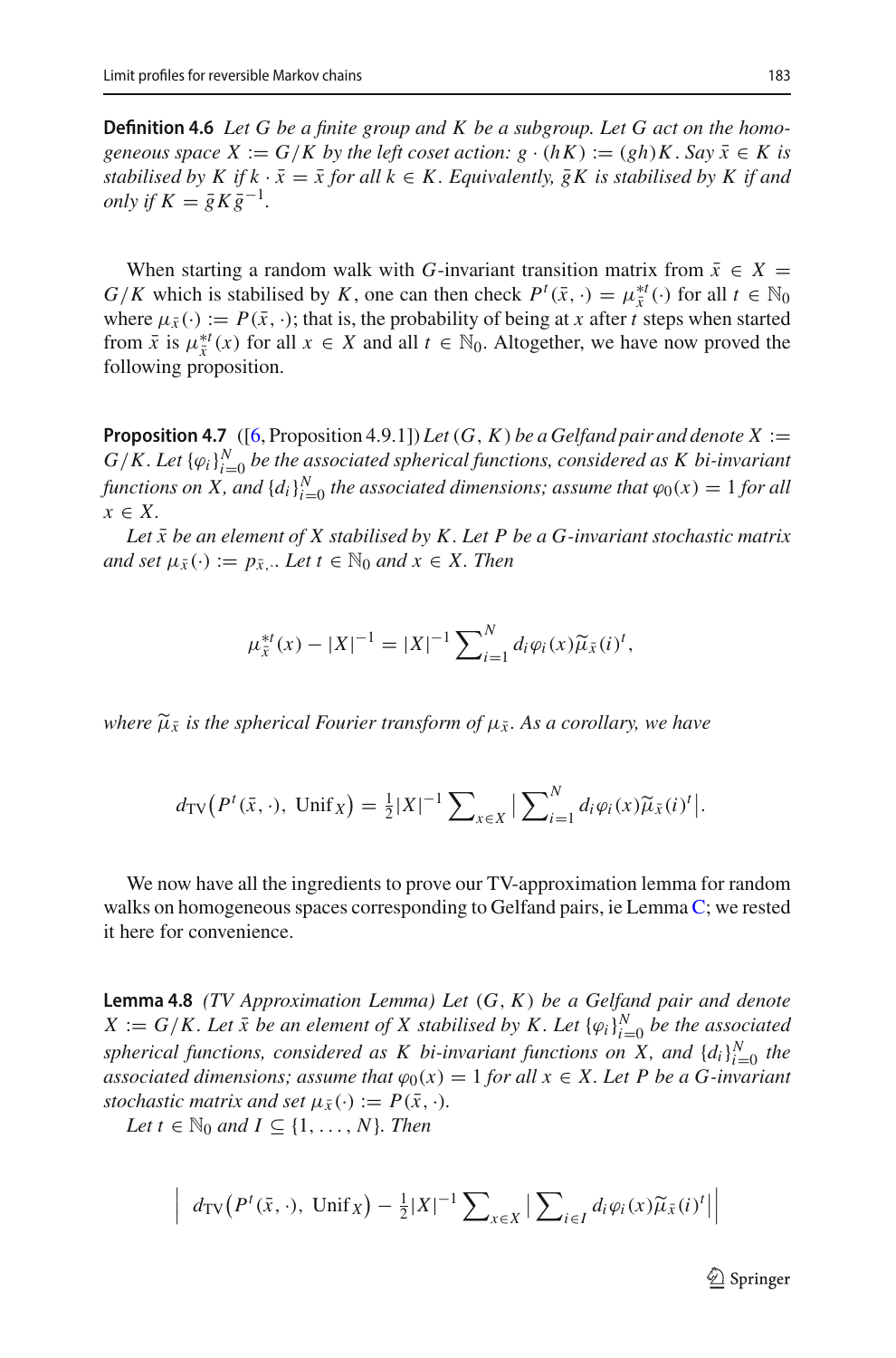**Definition 4.6** *Let G be a finite group and K be a subgroup. Let G act on the homogeneous space*  $X := G/K$  *by the left coset action:*  $g \cdot (hK) := (gh)K$ . *Say*  $\overline{x} \in K$  *is stabilised by K if k*  $\cdot \bar{x} = \bar{x}$  *for all k*  $\in$  *K. Equivalently,*  $\bar{g}K$  *is stabilised by K if and only if*  $K = \overline{g} K \overline{g}^{-1}$ .

When starting a random walk with *G*-invariant transition matrix from  $\bar{x} \in X =$ *G*/*K* which is stabilised by *K*, one can then check  $P^t(\bar{x}, \cdot) = \mu_{\bar{x}}^{*t}(\cdot)$  for all  $t \in \mathbb{N}_0$ where  $\mu_{\bar{x}}(\cdot) := P(\bar{x}, \cdot)$ ; that is, the probability of being at *x* after *t* steps when started from  $\bar{x}$  is  $\mu_{\bar{x}}^{*t}(x)$  for all  $x \in X$  and all  $t \in \mathbb{N}_0$ . Altogether, we have now proved the following proposition.

<span id="page-26-0"></span>**Proposition 4.7** ([\[6,](#page-31-6) Proposition 4.9.1]) *Let*  $(G, K)$  *be a Gelfand pair and denote*  $X :=$  $G/K$ . Let  $\{\varphi_i\}_{i=0}^N$  be the associated spherical functions, considered as K bi-invariant *functions on X, and*  $\{d_i\}_{i=0}^N$  *the associated dimensions; assume that*  $\varphi_0(x) = 1$  *for all x* ∈ *X.*

Let  $\bar{x}$  be an element of  $X$  stabilised by  $K$ . Let  $P$  be a  $G$ -invariant stochastic matrix *and set*  $\mu_{\bar{x}}(\cdot) := p_{\bar{x}}$ .*. Let*  $t \in \mathbb{N}_0$  *and*  $x \in X$ *. Then* 

$$
\mu_{\bar{x}}^{*t}(x) - |X|^{-1} = |X|^{-1} \sum_{i=1}^{N} d_i \varphi_i(x) \widetilde{\mu}_{\bar{x}}(i)^t,
$$

*where*  $\widetilde{\mu}_{\bar{x}}$  *is the spherical Fourier transform of*  $\mu_{\bar{x}}$ *. As a corollary, we have* 

$$
d_{\text{TV}}\big(P^t(\bar{x},\cdot),\ \text{Unif}\,_{X}\big) = \frac{1}{2}|X|^{-1}\sum_{x\in X}\big|\sum_{i=1}^N d_i\varphi_i(x)\widetilde{\mu}_{\bar{x}}(i)^t\big|.
$$

We now have all the ingredients to prove our TV-approximation lemma for random walks on homogeneous spaces corresponding to Gelfand pairs, ie Lemma [C;](#page-6-0) we rested it here for convenience.

**Lemma 4.8** *(TV Approximation Lemma) Let* (*G*, *K*) *be a Gelfand pair and denote*  $X := G/K$ . Let  $\bar{x}$  be an element of X stabilised by K. Let  $\{\varphi_i\}_{i=0}^N$  be the associated *spherical functions, considered as K bi-invariant functions on X, and*  $\{d_i\}_{i=0}^N$  *the associated dimensions; assume that*  $\varphi_0(x) = 1$  *for all*  $x \in X$ *. Let P be a G-invariant stochastic matrix and set*  $\mu_{\bar{x}}(\cdot) := P(\bar{x}, \cdot)$ *.* 

*Let*  $t \in \mathbb{N}_0$  *and*  $I \subseteq \{1, \ldots, N\}$ *. Then* 

 $\overline{\phantom{a}}$  $\overline{\phantom{a}}$  $\frac{1}{2}$ 

$$
d_{\text{TV}}\big(P^t(\bar{x}, \cdot), \text{ Unif } \chi\big) - \frac{1}{2}|X|^{-1} \sum_{x \in X} \Big| \sum_{i \in I} d_i \varphi_i(x) \widetilde{\mu}_{\bar{x}}(i)^t \Big|
$$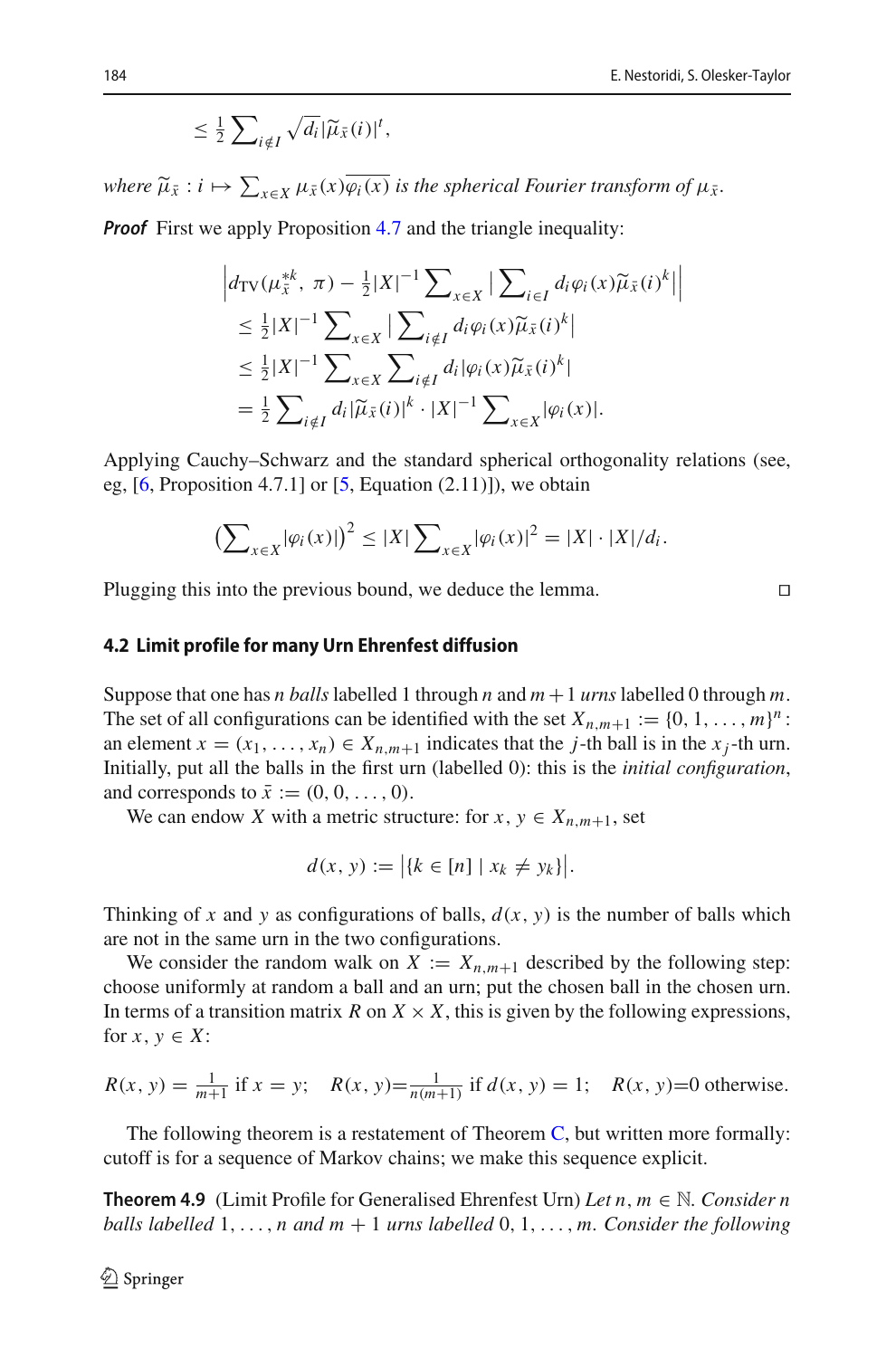$$
\leq \frac{1}{2} \sum_{i \notin I} \sqrt{d_i} |\widetilde{\mu}_{\bar{x}}(i)|^t,
$$

 $\mu_{\bar{x}} : i \mapsto \sum_{x \in X} \mu_{\bar{x}}(x) \varphi_i(x)$  *is the spherical Fourier transform of*  $\mu_{\bar{x}}$ *.* 

*Proof* First we apply Proposition [4.7](#page-26-0) and the triangle inequality:

$$
\left| d_{\text{TV}}(\mu_{\bar{x}}^{*k}, \ \pi) - \frac{1}{2} |X|^{-1} \sum_{x \in X} \left| \sum_{i \in I} d_i \varphi_i(x) \widetilde{\mu}_{\bar{x}}(i)^k \right| \right|
$$
  
\n
$$
\leq \frac{1}{2} |X|^{-1} \sum_{x \in X} \left| \sum_{i \notin I} d_i \varphi_i(x) \widetilde{\mu}_{\bar{x}}(i)^k \right|
$$
  
\n
$$
\leq \frac{1}{2} |X|^{-1} \sum_{x \in X} \sum_{i \notin I} d_i |\varphi_i(x) \widetilde{\mu}_{\bar{x}}(i)^k|
$$
  
\n
$$
= \frac{1}{2} \sum_{i \notin I} d_i |\widetilde{\mu}_{\bar{x}}(i)|^k \cdot |X|^{-1} \sum_{x \in X} |\varphi_i(x)|.
$$

Applying Cauchy–Schwarz and the standard spherical orthogonality relations (see, eg,  $[6,$  $[6,$  Proposition 4.7.1] or  $[5,$  Equation  $(2.11)$ ]), we obtain

$$
\left(\sum\nolimits_{x\in X}|\varphi_i(x)|\right)^2\leq |X|\sum\nolimits_{x\in X}|\varphi_i(x)|^2=|X|\cdot|X|/d_i.
$$

Plugging this into the previous bound, we deduce the lemma.  $\Box$ 

### **4.2 Limit profile for many Urn Ehrenfest diffusion**

Suppose that one has *n balls* labelled 1 through *n* and  $m + 1$  *urns* labelled 0 through *m*. The set of all configurations can be identified with the set  $X_{n,m+1} := \{0, 1, \ldots, m\}^n$ : an element  $x = (x_1, \ldots, x_n) \in X_{n,m+1}$  indicates that the *j*-th ball is in the  $x_j$ -th urn. Initially, put all the balls in the first urn (labelled 0): this is the *initial configuration*, and corresponds to  $\bar{x} := (0, 0, \ldots, 0)$ .

We can endow *X* with a metric structure: for  $x, y \in X_{n,m+1}$ , set

$$
d(x, y) := |{k \in [n] | x_k \neq y_k}|.
$$

Thinking of *x* and *y* as configurations of balls,  $d(x, y)$  is the number of balls which are not in the same urn in the two configurations.

We consider the random walk on  $X := X_{n,m+1}$  described by the following step: choose uniformly at random a ball and an urn; put the chosen ball in the chosen urn. In terms of a transition matrix *R* on  $X \times X$ , this is given by the following expressions, for  $x, y \in X$ :

$$
R(x, y) = \frac{1}{m+1} \text{ if } x = y; \quad R(x, y) = \frac{1}{n(m+1)} \text{ if } d(x, y) = 1; \quad R(x, y) = 0 \text{ otherwise.}
$$

<span id="page-27-0"></span>The following theorem is a restatement of Theorem  $C$ , but written more formally: cutoff is for a sequence of Markov chains; we make this sequence explicit.

**Theorem 4.9** (Limit Profile for Generalised Ehrenfest Urn) *Let n*, *<sup>m</sup>* <sup>∈</sup> <sup>N</sup>*. Consider n balls labelled* 1,..., *n and m* + 1 *urns labelled* 0, 1,..., *m. Consider the following*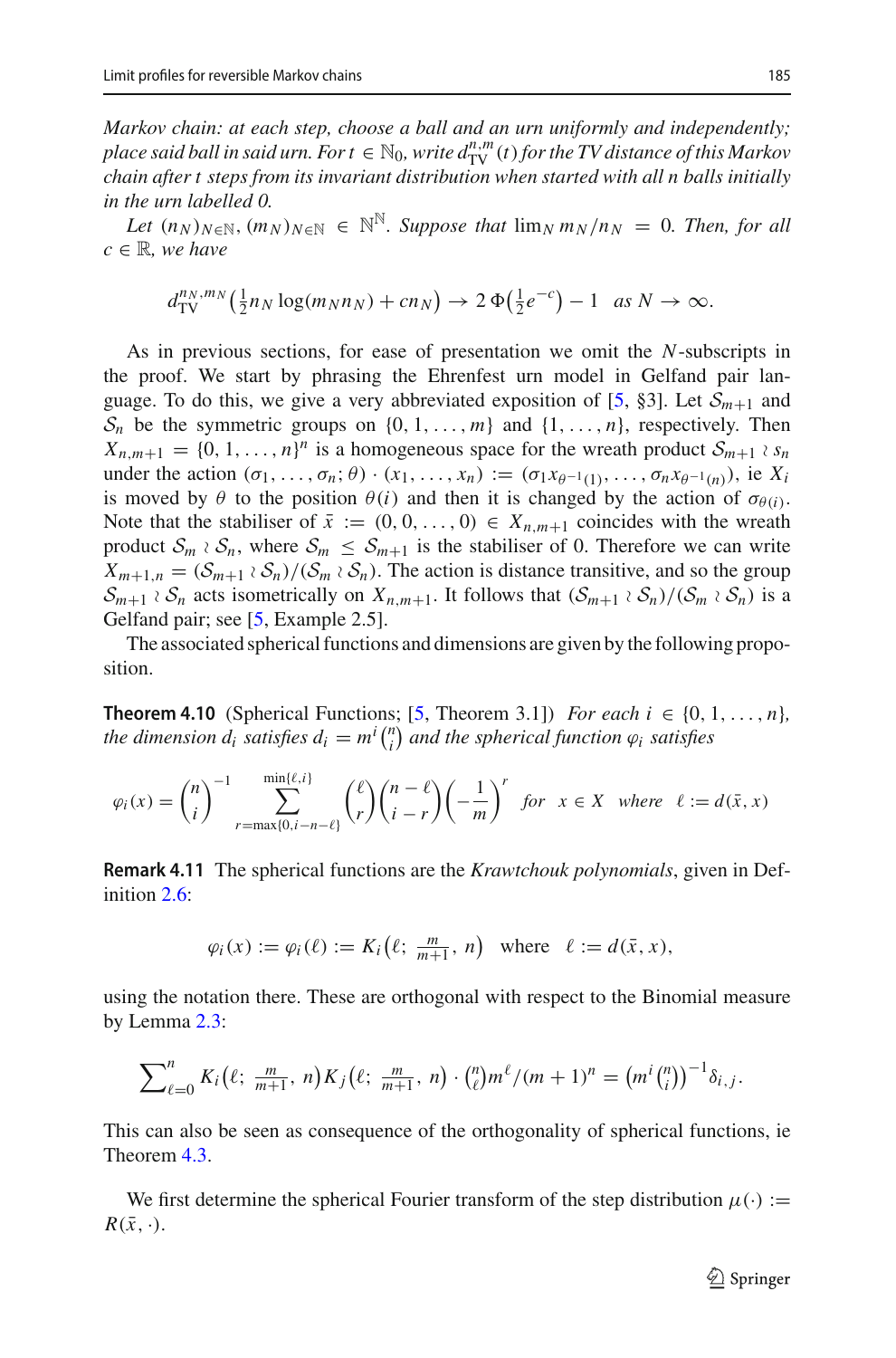*Markov chain: at each step, choose a ball and an urn uniformly and independently; place said ball in said urn. For*  $t \in \mathbb{N}_0$ *, write*  $d_{\text{TV}}^{n,m}(t)$  *for the TV distance of this Markov chain after t steps from its invariant distribution when started with all n balls initially in the urn labelled 0.*

*Let*  $(n_N)_{N \in \mathbb{N}}$ ,  $(m_N)_{N \in \mathbb{N}} \in \mathbb{N}^{\mathbb{N}}$ . Suppose that  $\lim_N m_N/n_N = 0$ . Then, for all  $c \in \mathbb{R}$ *, we have* 

$$
d_{\mathrm{TV}}^{n_N, m_N}(\tfrac{1}{2}n_N \log(m_N n_N) + cn_N) \to 2\Phi(\tfrac{1}{2}e^{-c}) - 1 \quad \text{as } N \to \infty.
$$

As in previous sections, for ease of presentation we omit the *N*-subscripts in the proof. We start by phrasing the Ehrenfest urn model in Gelfand pair lan-guage. To do this, we give a very abbreviated exposition of [\[5](#page-30-3), §3]. Let  $S_{m+1}$  and  $S_n$  be the symmetric groups on  $\{0, 1, \ldots, m\}$  and  $\{1, \ldots, n\}$ , respectively. Then  $X_{n,m+1} = \{0, 1, \ldots, n\}^n$  is a homogeneous space for the wreath product  $S_{m+1} \, \partial_{S_n}$ under the action  $(\sigma_1,\ldots,\sigma_n;\theta) \cdot (x_1,\ldots,x_n) := (\sigma_1 x_{\theta^{-1}(1)},\ldots,\sigma_n x_{\theta^{-1}(n)})$ , ie  $X_i$ is moved by  $\theta$  to the position  $\theta(i)$  and then it is changed by the action of  $\sigma_{\theta(i)}$ . Note that the stabiliser of  $\bar{x} := (0, 0, \ldots, 0) \in X_{n,m+1}$  coincides with the wreath product  $S_m \nvert S_n$ , where  $S_m \nvert S_{m+1}$  is the stabiliser of 0. Therefore we can write  $X_{m+1,n} = (S_{m+1} \wr S_n) / (S_m \wr S_n)$ . The action is distance transitive, and so the group  $S_{m+1} \wr S_n$  acts isometrically on  $X_{n,m+1}$ . It follows that  $(S_{m+1} \wr S_n)/(S_m \wr S_n)$  is a Gelfand pair; see [\[5](#page-30-3), Example 2.5].

<span id="page-28-0"></span>The associated spherical functions and dimensions are given by the following proposition.

**Theorem 4.10** (Spherical Functions; [\[5](#page-30-3), Theorem 3.1]) *For each*  $i \in \{0, 1, ..., n\}$ , *the dimension*  $d_i$  *satisfies*  $d_i = m^i \binom{n}{i}$  and the spherical function  $\varphi_i$  satisfies

$$
\varphi_i(x) = \binom{n}{i}^{-1} \sum_{r=\max\{0,i-n-\ell\}}^{\min\{\ell,i\}} \binom{\ell}{r} \binom{n-\ell}{i-r} \left(-\frac{1}{m}\right)^r \text{ for } x \in X \text{ where } \ell := d(\bar{x}, x)
$$

**Remark 4.11** The spherical functions are the *Krawtchouk polynomials*, given in Definition [2.6:](#page-11-3)

$$
\varphi_i(x) := \varphi_i(\ell) := K_i(\ell; \frac{m}{m+1}, n)
$$
 where  $\ell := d(\bar{x}, x)$ ,

using the notation there. These are orthogonal with respect to the Binomial measure by Lemma [2.3:](#page-10-1)

$$
\sum_{\ell=0}^n K_i(\ell; \frac{m}{m+1}, n) K_j(\ell; \frac{m}{m+1}, n) \cdot {n \choose \ell} m^{\ell} / (m+1)^n = (m^i {n \choose i})^{-1} \delta_{i,j}.
$$

This can also be seen as consequence of the orthogonality of spherical functions, ie Theorem [4.3.](#page-25-1)

<span id="page-28-1"></span>We first determine the spherical Fourier transform of the step distribution  $\mu(\cdot) :=$  $R(\bar{x}, \cdot).$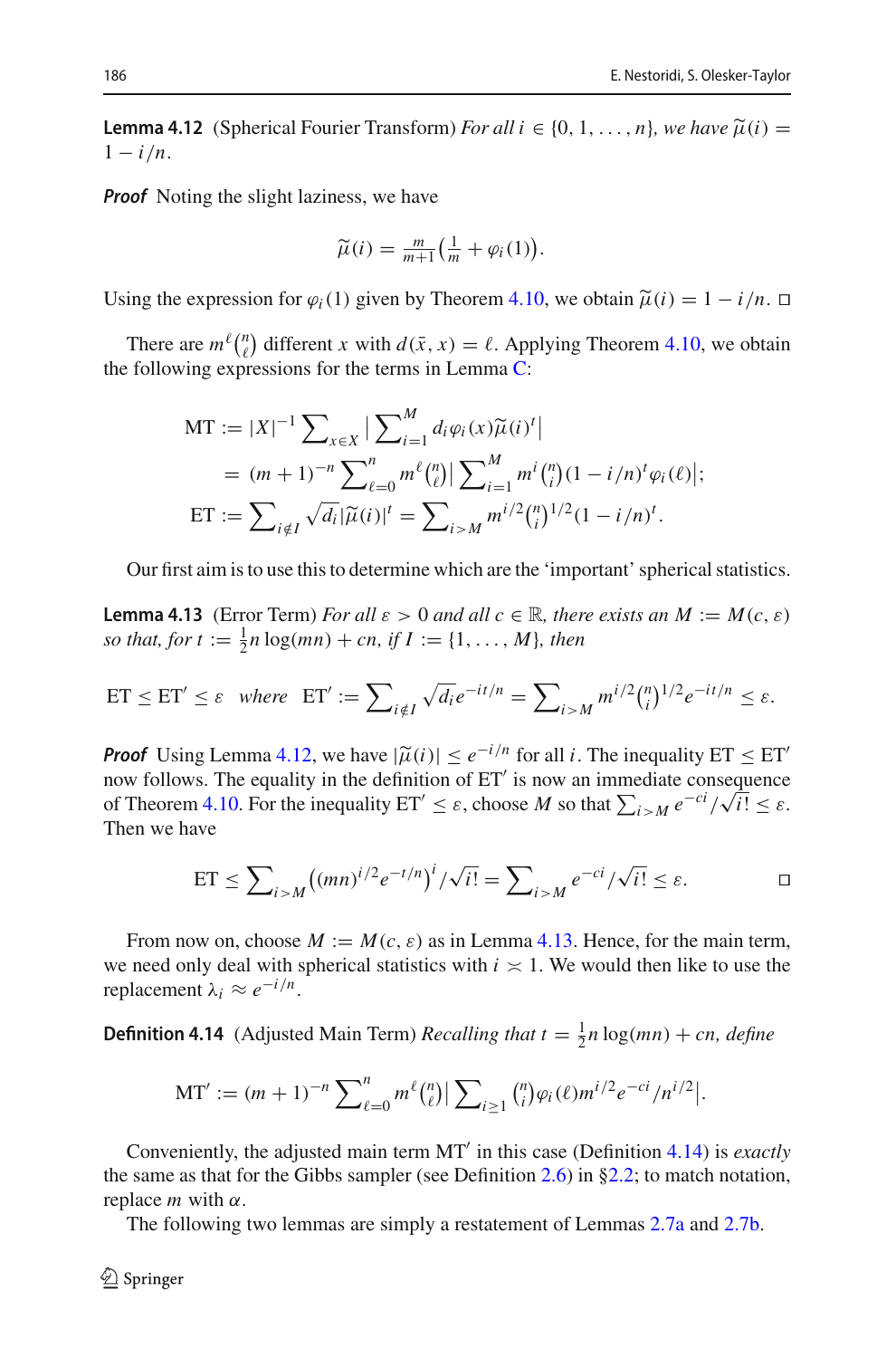**Lemma 4.12** (Spherical Fourier Transform) *For all i*  $\in \{0, 1, \ldots, n\}$ *, we have*  $\widetilde{\mu}(i)$  =  $1 - i/n$ .

*Proof* Noting the slight laziness, we have

$$
\widetilde{\mu}(i) = \frac{m}{m+1} \Big( \frac{1}{m} + \varphi_i(1) \Big).
$$

Using the expression for  $\varphi_i(1)$  given by Theorem [4.10,](#page-28-0) we obtain  $\tilde{\mu}(i) = 1 - i/n$ .

There are  $m^{\ell} \binom{n}{\ell}$  different *x* with  $d(\bar{x}, x) = \ell$ . Applying Theorem [4.10,](#page-28-0) we obtain the following expressions for the terms in Lemma  $C$ :

$$
\begin{split} \text{MT} &:= |X|^{-1} \sum_{x \in X} \left| \sum_{i=1}^{M} d_i \varphi_i(x) \widetilde{\mu}(i)^t \right| \\ &= (m+1)^{-n} \sum_{\ell=0}^{n} m^{\ell} \binom{n}{\ell} \left| \sum_{i=1}^{M} m^i \binom{n}{i} (1-i/n)^t \varphi_i(\ell) \right|; \\ \text{ET} &:= \sum_{i \notin I} \sqrt{d_i} |\widetilde{\mu}(i)|^t = \sum_{i > M} m^{i/2} \binom{n}{i}^{1/2} (1-i/n)^t. \end{split}
$$

<span id="page-29-0"></span>Our first aim is to use this to determine which are the 'important' spherical statistics.

**Lemma 4.13** (Error Term) *For all*  $\varepsilon > 0$  *and all*  $c \in \mathbb{R}$ *, there exists an*  $M := M(c, \varepsilon)$ *so that, for*  $t := \frac{1}{2}n \log(mn) + cn$ , if  $I := \{1, ..., M\}$ , then

ET 
$$
\leq
$$
 ET'  $\leq \varepsilon$  where ET' :=  $\sum_{i \notin I} \sqrt{d_i} e^{-it/n} = \sum_{i > M} m^{i/2} {n \choose i}^{1/2} e^{-it/n} \leq \varepsilon$ .

*Proof* Using Lemma [4.12,](#page-28-1) we have  $|\tilde{\mu}(i)| \leq e^{-i/n}$  for all *i*. The inequality ET  $\leq$  ET' now follows The equality in the definition of ET' is now an immediate consequence now follows. The equality in the definition of ET is now an immediate consequence of Theorem [4.10.](#page-28-0) For the inequality  $ET' \leq \varepsilon$ , choose *M* so that  $\sum_{i>M} e^{-ci}/\sqrt{i!} \leq \varepsilon$ . Then we have

ET 
$$
\leq \sum_{i>M} ((mn)^{i/2} e^{-t/n})^i / \sqrt{i!} = \sum_{i>M} e^{-ci} / \sqrt{i!} \leq \varepsilon.
$$

From now on, choose  $M := M(c, \varepsilon)$  as in Lemma [4.13.](#page-29-0) Hence, for the main term, we need only deal with spherical statistics with  $i \times 1$ . We would then like to use the replacement <sup>λ</sup>*<sup>i</sup>* <sup>≈</sup> *<sup>e</sup>*−*i*/*n*.

<span id="page-29-1"></span>**Definition 4.14** (Adjusted Main Term) *Recalling that*  $t = \frac{1}{2}n \log(mn) + cn$ , *define* 

$$
\mathrm{MT}' := (m+1)^{-n} \sum_{\ell=0}^{n} m^{\ell} {n \choose \ell} \Big| \sum_{i \geq 1} {n \choose i} \varphi_i(\ell) m^{i/2} e^{-ci} / n^{i/2} \Big|.
$$

Conveniently, the adjusted main term MT in this case (Definition [4.14\)](#page-29-1) is *exactly* the same as that for the Gibbs sampler (see Definition [2.6\)](#page-11-3) in [§2.2;](#page-9-1) to match notation, replace *m* with  $α$ .

<span id="page-29-2"></span>The following two lemmas are simply a restatement of Lemmas [2.7a](#page-11-1) and [2.7b.](#page-11-2)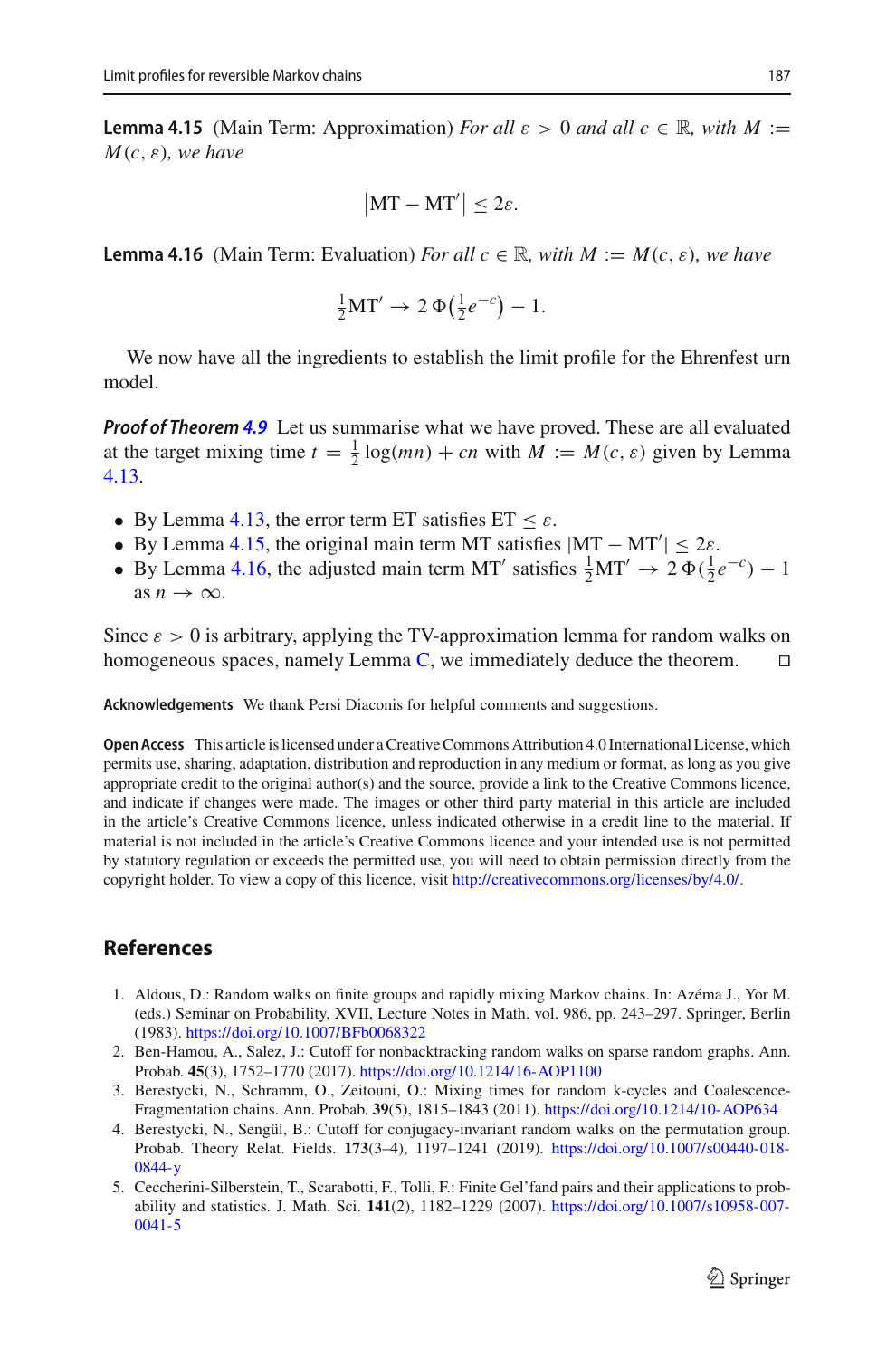**Lemma 4.15** (Main Term: Approximation) *For all*  $\varepsilon > 0$  *and all*  $c \in \mathbb{R}$ , with  $M :=$ *M*(*c*, ε)*, we have*

$$
|\mathrm{MT}-\mathrm{MT}'|\leq 2\varepsilon.
$$

<span id="page-30-6"></span>**Lemma 4.16** (Main Term: Evaluation) *For all*  $c \in \mathbb{R}$ *, with*  $M := M(c, \varepsilon)$ *, we have* 

$$
\frac{1}{2}\mathbf{MT}' \to 2\,\Phi\big(\frac{1}{2}e^{-c}\big) - 1.
$$

We now have all the ingredients to establish the limit profile for the Ehrenfest urn model.

*Proof of Theorem [4.9](#page-27-0)* Let us summarise what we have proved. These are all evaluated at the target mixing time  $t = \frac{1}{2} \log(mn) + cn$  with  $M := M(c, \varepsilon)$  given by Lemma [4.13.](#page-29-0)

- By Lemma [4.13,](#page-29-0) the error term ET satisfies  $ET < \varepsilon$ .
- By Lemma [4.15,](#page-29-2) the original main term MT satisfies  $|MT MT'| \leq 2\varepsilon$ .
- By Lemma [4.16,](#page-30-6) the adjusted main term MT' satisfies  $\frac{1}{2}MT' \rightarrow 2\Phi(\frac{1}{2}e^{-c}) 1$ as  $n \to \infty$ .

Since  $\varepsilon > 0$  is arbitrary, applying the TV-approximation lemma for random walks on homogeneous spaces, namely Lemma [C,](#page-6-0) we immediately deduce the theorem.  $\square$ 

**Acknowledgements** We thank Persi Diaconis for helpful comments and suggestions.

**Open Access** This article is licensed under a Creative Commons Attribution 4.0 International License, which permits use, sharing, adaptation, distribution and reproduction in any medium or format, as long as you give appropriate credit to the original author(s) and the source, provide a link to the Creative Commons licence, and indicate if changes were made. The images or other third party material in this article are included in the article's Creative Commons licence, unless indicated otherwise in a credit line to the material. If material is not included in the article's Creative Commons licence and your intended use is not permitted by statutory regulation or exceeds the permitted use, you will need to obtain permission directly from the copyright holder. To view a copy of this licence, visit [http://creativecommons.org/licenses/by/4.0/.](http://creativecommons.org/licenses/by/4.0/)

# <span id="page-30-0"></span>**References**

- <span id="page-30-5"></span>1. Aldous, D.: Random walks on finite groups and rapidly mixing Markov chains. In: Azéma J., Yor M. (eds.) Seminar on Probability, XVII, Lecture Notes in Math. vol. 986, pp. 243–297. Springer, Berlin (1983). <https://doi.org/10.1007/BFb0068322>
- <span id="page-30-1"></span>2. Ben-Hamou, A., Salez, J.: Cutoff for nonbacktracking random walks on sparse random graphs. Ann. Probab. **45**(3), 1752–1770 (2017). <https://doi.org/10.1214/16-AOP1100>
- <span id="page-30-2"></span>3. Berestycki, N., Schramm, O., Zeitouni, O.: Mixing times for random k-cycles and Coalescence-Fragmentation chains. Ann. Probab. **39**(5), 1815–1843 (2011). <https://doi.org/10.1214/10-AOP634>
- <span id="page-30-4"></span>4. Berestycki, N., Sengül, B.: Cutoff for conjugacy-invariant random walks on the permutation group. Probab. Theory Relat. Fields. **173**(3–4), 1197–1241 (2019). [https://doi.org/10.1007/s00440-018-](https://doi.org/10.1007/s00440-018-0844-y) [0844-y](https://doi.org/10.1007/s00440-018-0844-y)
- <span id="page-30-3"></span>5. Ceccherini-Silberstein, T., Scarabotti, F., Tolli, F.: Finite Gel'fand pairs and their applications to probability and statistics. J. Math. Sci. **141**(2), 1182–1229 (2007). [https://doi.org/10.1007/s10958-007-](https://doi.org/10.1007/s10958-007-0041-5) [0041-5](https://doi.org/10.1007/s10958-007-0041-5)